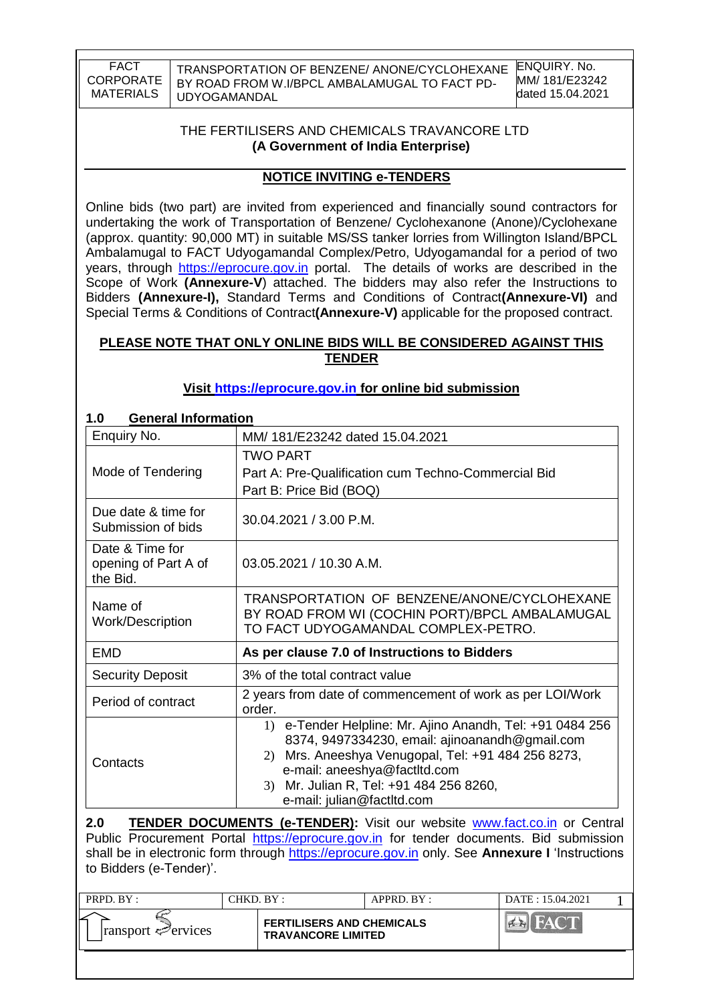TRANSPORTATION OF BENZENE/ ANONE/CYCLOHEXANE BY ROAD FROM W.I/BPCL AMBALAMUGAL TO FACT PD-UDYOGAMANDAL

### THE FERTILISERS AND CHEMICALS TRAVANCORE LTD **(A Government of India Enterprise)**

## **NOTICE INVITING e-TENDERS**

Online bids (two part) are invited from experienced and financially sound contractors for undertaking the work of Transportation of Benzene/ Cyclohexanone (Anone)/Cyclohexane (approx. quantity: 90,000 MT) in suitable MS/SS tanker lorries from Willington Island/BPCL Ambalamugal to FACT Udyogamandal Complex/Petro, Udyogamandal for a period of two years, through [https://eprocure.gov.in](https://eprocure.gov.in/) portal. The details of works are described in the Scope of Work **(Annexure-V**) attached. The bidders may also refer the Instructions to Bidders **(Annexure-I),** Standard Terms and Conditions of Contract**(Annexure-VI)** and Special Terms & Conditions of Contract**(Annexure-V)** applicable for the proposed contract.

### **PLEASE NOTE THAT ONLY ONLINE BIDS WILL BE CONSIDERED AGAINST THIS TENDER**

## **Visit [https://eprocure.gov.in](https://eprocure.gov.in/) for online bid submission**

| <b>General Information</b>                                                                                                                                                                                                                                                    |
|-------------------------------------------------------------------------------------------------------------------------------------------------------------------------------------------------------------------------------------------------------------------------------|
| MM/181/E23242 dated 15.04.2021                                                                                                                                                                                                                                                |
| TWO PART<br>Part A: Pre-Qualification cum Techno-Commercial Bid<br>Part B: Price Bid (BOQ)                                                                                                                                                                                    |
| 30.04.2021 / 3.00 P.M.                                                                                                                                                                                                                                                        |
| 03.05.2021 / 10.30 A.M.                                                                                                                                                                                                                                                       |
| TRANSPORTATION OF BENZENE/ANONE/CYCLOHEXANE<br>BY ROAD FROM WI (COCHIN PORT)/BPCL AMBALAMUGAL<br>TO FACT UDYOGAMANDAL COMPLEX-PETRO.                                                                                                                                          |
| As per clause 7.0 of Instructions to Bidders                                                                                                                                                                                                                                  |
| 3% of the total contract value                                                                                                                                                                                                                                                |
| 2 years from date of commencement of work as per LOI/Work<br>order.                                                                                                                                                                                                           |
| 1) e-Tender Helpline: Mr. Ajino Anandh, Tel: +91 0484 256<br>8374, 9497334230, email: ajinoanandh@gmail.com<br>2) Mrs. Aneeshya Venugopal, Tel: +91 484 256 8273,<br>e-mail: aneeshya@factltd.com<br>Mr. Julian R, Tel: +91 484 256 8260,<br>3)<br>e-mail: julian@factltd.com |
|                                                                                                                                                                                                                                                                               |

2.0 **TENDER DOCUMENTS (e-TENDER):** Visit our website **www.fact.co.in** or Central Public Procurement Portal [https://eprocure.gov.in](https://eprocure.gov.in/) for tender documents. Bid submission shall be in electronic form through [https://eprocure.gov.in](https://eprocure.gov.in/) only. See **Annexure I** "Instructions to Bidders (e-Tender)".

| PRPD. BY:                       | CHKD. BY: |                                                               | APPRD. BY: | DATE: 15.04.2021 |  |
|---------------------------------|-----------|---------------------------------------------------------------|------------|------------------|--|
| $\lvert$ ransport $\ll$ ervices |           | <b>FERTILISERS AND CHEMICALS</b><br><b>TRAVANCORE LIMITED</b> |            |                  |  |
|                                 |           |                                                               |            |                  |  |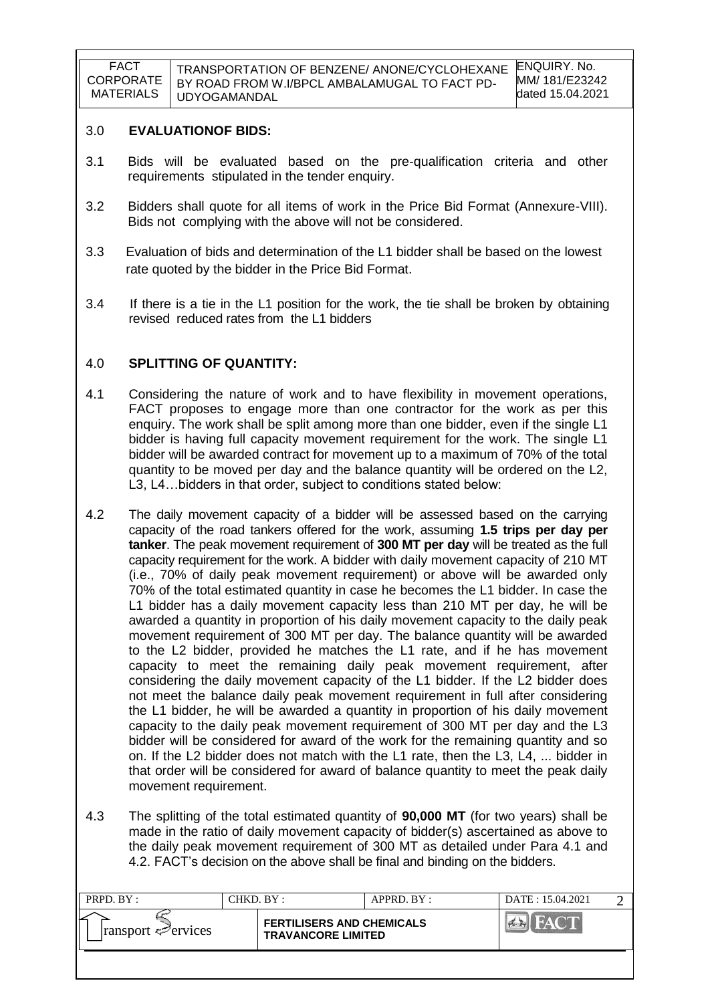#### 3.0 **EVALUATIONOF BIDS:**

- 3.1 Bids will be evaluated based on the pre-qualification criteria and other requirements stipulated in the tender enquiry.
- 3.2 Bidders shall quote for all items of work in the Price Bid Format (Annexure-VIII). Bids not complying with the above will not be considered.
- 3.3 Evaluation of bids and determination of the L1 bidder shall be based on the lowest rate quoted by the bidder in the Price Bid Format.
- 3.4 If there is a tie in the L1 position for the work, the tie shall be broken by obtaining revised reduced rates from the L1 bidders

### 4.0 **SPLITTING OF QUANTITY:**

- 4.1 Considering the nature of work and to have flexibility in movement operations, FACT proposes to engage more than one contractor for the work as per this enquiry. The work shall be split among more than one bidder, even if the single L1 bidder is having full capacity movement requirement for the work. The single L1 bidder will be awarded contract for movement up to a maximum of 70% of the total quantity to be moved per day and the balance quantity will be ordered on the L2, L3, L4…bidders in that order, subject to conditions stated below:
- 4.2 The daily movement capacity of a bidder will be assessed based on the carrying capacity of the road tankers offered for the work, assuming **1.5 trips per day per tanker**. The peak movement requirement of **300 MT per day** will be treated as the full capacity requirement for the work. A bidder with daily movement capacity of 210 MT (i.e., 70% of daily peak movement requirement) or above will be awarded only 70% of the total estimated quantity in case he becomes the L1 bidder. In case the L1 bidder has a daily movement capacity less than 210 MT per day, he will be awarded a quantity in proportion of his daily movement capacity to the daily peak movement requirement of 300 MT per day. The balance quantity will be awarded to the L2 bidder, provided he matches the L1 rate, and if he has movement capacity to meet the remaining daily peak movement requirement, after considering the daily movement capacity of the L1 bidder. If the L2 bidder does not meet the balance daily peak movement requirement in full after considering the L1 bidder, he will be awarded a quantity in proportion of his daily movement capacity to the daily peak movement requirement of 300 MT per day and the L3 bidder will be considered for award of the work for the remaining quantity and so on. If the L2 bidder does not match with the L1 rate, then the L3, L4, ... bidder in that order will be considered for award of balance quantity to meet the peak daily movement requirement.
- 4.3 The splitting of the total estimated quantity of **90,000 MT** (for two years) shall be made in the ratio of daily movement capacity of bidder(s) ascertained as above to the daily peak movement requirement of 300 MT as detailed under Para 4.1 and 4.2. FACT"s decision on the above shall be final and binding on the bidders.

| PRPD. BY:                   | CHKD. BY :                                                    | APPRD. BY: | DATE: 15.04.2021 |  |
|-----------------------------|---------------------------------------------------------------|------------|------------------|--|
| $ $ ransport $\leq$ ervices | <b>FERTILISERS AND CHEMICALS</b><br><b>TRAVANCORE LIMITED</b> |            |                  |  |
|                             |                                                               |            |                  |  |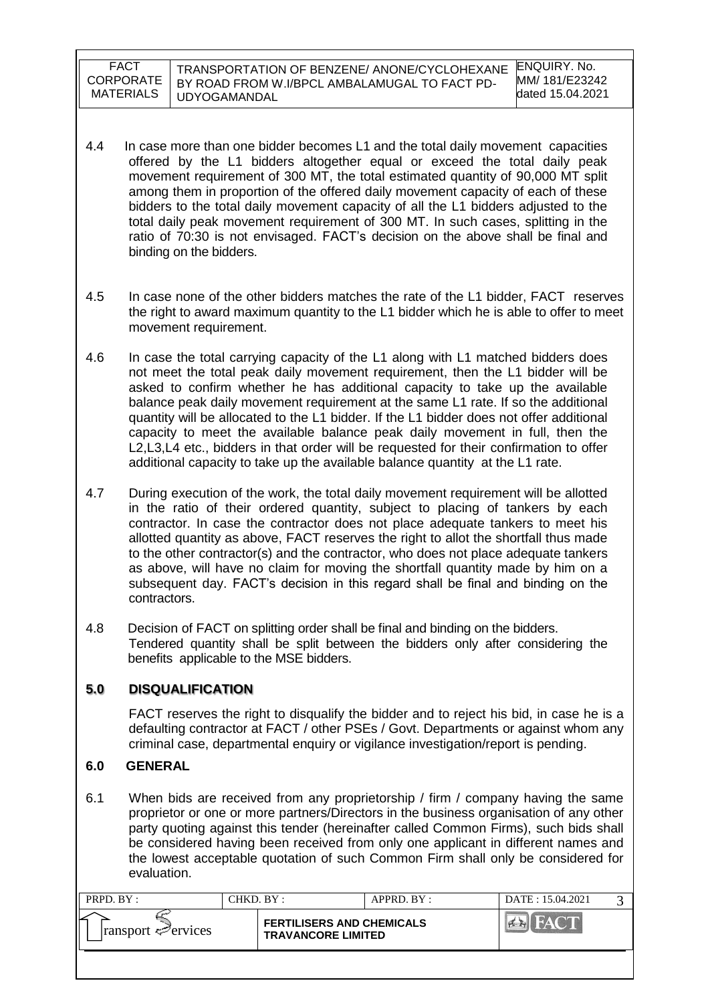| <b>FACT</b><br><b>CORPORATE</b><br>MATERIALS | TRANSPORTATION OF BENZENE/ ANONE/CYCLOHEXANE<br>BY ROAD FROM W.I/BPCL AMBALAMUGAL TO FACT PD-<br>UDYOGAMANDAL | <b>ENQUIRY. No.</b><br>MM/ 181/E23242<br>dated 15.04.2021 |
|----------------------------------------------|---------------------------------------------------------------------------------------------------------------|-----------------------------------------------------------|
|                                              |                                                                                                               |                                                           |

- 4.4 In case more than one bidder becomes L1 and the total daily movement capacities offered by the L1 bidders altogether equal or exceed the total daily peak movement requirement of 300 MT, the total estimated quantity of 90,000 MT split among them in proportion of the offered daily movement capacity of each of these bidders to the total daily movement capacity of all the L1 bidders adjusted to the total daily peak movement requirement of 300 MT. In such cases, splitting in the ratio of 70:30 is not envisaged. FACT"s decision on the above shall be final and binding on the bidders.
- 4.5 In case none of the other bidders matches the rate of the L1 bidder, FACT reserves the right to award maximum quantity to the L1 bidder which he is able to offer to meet movement requirement.
- 4.6 In case the total carrying capacity of the L1 along with L1 matched bidders does not meet the total peak daily movement requirement, then the L1 bidder will be asked to confirm whether he has additional capacity to take up the available balance peak daily movement requirement at the same L1 rate. If so the additional quantity will be allocated to the L1 bidder. If the L1 bidder does not offer additional capacity to meet the available balance peak daily movement in full, then the L2,L3,L4 etc., bidders in that order will be requested for their confirmation to offer additional capacity to take up the available balance quantity at the L1 rate.
- 4.7 During execution of the work, the total daily movement requirement will be allotted in the ratio of their ordered quantity, subject to placing of tankers by each contractor. In case the contractor does not place adequate tankers to meet his allotted quantity as above, FACT reserves the right to allot the shortfall thus made to the other contractor(s) and the contractor, who does not place adequate tankers as above, will have no claim for moving the shortfall quantity made by him on a subsequent day. FACT"s decision in this regard shall be final and binding on the contractors.
- 4.8 Decision of FACT on splitting order shall be final and binding on the bidders. Tendered quantity shall be split between the bidders only after considering the benefits applicable to the MSE bidders.

### **5.0 DISQUALIFICATION**

FACT reserves the right to disqualify the bidder and to reject his bid, in case he is a defaulting contractor at FACT / other PSEs / Govt. Departments or against whom any criminal case, departmental enquiry or vigilance investigation/report is pending.

## **6.0 GENERAL**

6.1 When bids are received from any proprietorship / firm / company having the same proprietor or one or more partners/Directors in the business organisation of any other party quoting against this tender (hereinafter called Common Firms), such bids shall be considered having been received from only one applicant in different names and the lowest acceptable quotation of such Common Firm shall only be considered for evaluation.

| PRPD. BY:                               | CHKD. BY :                                                    | APPRD. BY : | DATE: 15.04.2021 |  |
|-----------------------------------------|---------------------------------------------------------------|-------------|------------------|--|
| $\lvert$ ransport $\mathcal{P}$ ervices | <b>FERTILISERS AND CHEMICALS</b><br><b>TRAVANCORE LIMITED</b> |             |                  |  |
|                                         |                                                               |             |                  |  |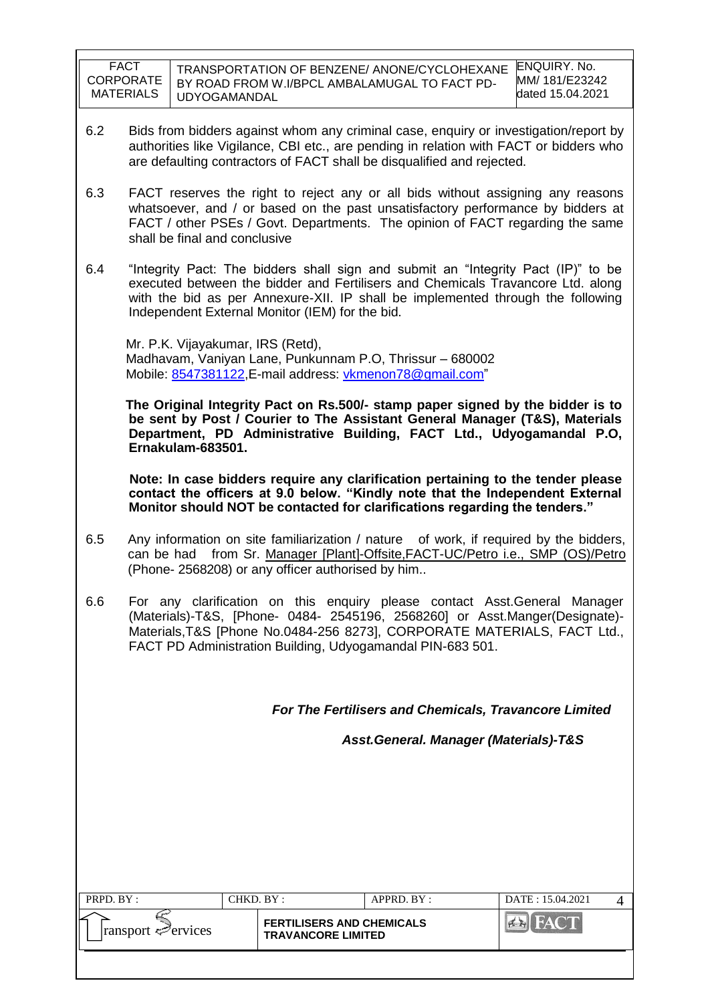| <b>FACT</b>      | TRANSPORTATION OF BENZENE/ ANONE/CYCLOHEXANE  | ENQUIRY, No.     |
|------------------|-----------------------------------------------|------------------|
| <b>CORPORATE</b> | BY ROAD FROM W.I/BPCL AMBALAMUGAL TO FACT PD- | MM/181/E23242    |
| MATERIALS        | <b>UDYOGAMANDAL</b>                           | dated 15.04.2021 |

- 6.2 Bids from bidders against whom any criminal case, enquiry or investigation/report by authorities like Vigilance, CBI etc., are pending in relation with FACT or bidders who are defaulting contractors of FACT shall be disqualified and rejected.
- 6.3 FACT reserves the right to reject any or all bids without assigning any reasons whatsoever, and / or based on the past unsatisfactory performance by bidders at FACT / other PSEs / Govt. Departments. The opinion of FACT regarding the same shall be final and conclusive
- 6.4 "Integrity Pact: The bidders shall sign and submit an "Integrity Pact (IP)" to be executed between the bidder and Fertilisers and Chemicals Travancore Ltd. along with the bid as per Annexure-XII. IP shall be implemented through the following Independent External Monitor (IEM) for the bid.

 Mr. P.K. Vijayakumar, IRS (Retd), Madhavam, Vaniyan Lane, Punkunnam P.O, Thrissur – 680002 Mobile: [8547381122,](callto:8547381122) E-mail address: [vkmenon78@gmail.com"](mailto:vkmenon78@gmail.com)

 **The Original Integrity Pact on Rs.500/- stamp paper signed by the bidder is to be sent by Post / Courier to The Assistant General Manager (T&S), Materials Department, PD Administrative Building, FACT Ltd., Udyogamandal P.O, Ernakulam-683501.**

 **Note: In case bidders require any clarification pertaining to the tender please contact the officers at 9.0 below. "Kindly note that the Independent External Monitor should NOT be contacted for clarifications regarding the tenders."**

- 6.5 Any information on site familiarization / nature of work, if required by the bidders, can be had from Sr. Manager [Plant]-Offsite,FACT-UC/Petro i.e., SMP (OS)/Petro (Phone- 2568208) or any officer authorised by him..
- 6.6 For any clarification on this enquiry please contact Asst.General Manager (Materials)-T&S, [Phone- 0484- 2545196, 2568260] or Asst.Manger(Designate)- Materials,T&S [Phone No.0484-256 8273], CORPORATE MATERIALS, FACT Ltd., FACT PD Administration Building, Udyogamandal PIN-683 501.

*For The Fertilisers and Chemicals, Travancore Limited*

 *Asst.General. Manager (Materials)-T&S*

| PRPD. BY :                       | CHKD. BY : |                                                               | APPRD. BY: | DATE: 15.04.2021 |  |
|----------------------------------|------------|---------------------------------------------------------------|------------|------------------|--|
| ⊵<br>$ $ ransport $\leq$ ervices |            | <b>FERTILISERS AND CHEMICALS</b><br><b>TRAVANCORE LIMITED</b> |            |                  |  |
|                                  |            |                                                               |            |                  |  |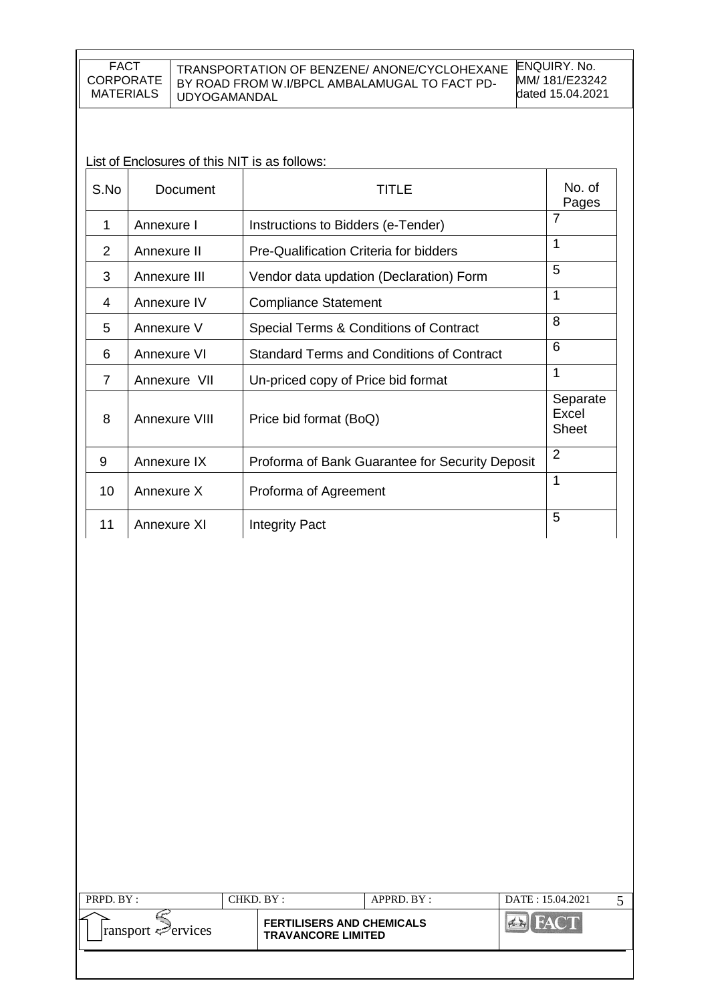#### TRANSPORTATION OF BENZENE/ ANONE/CYCLOHEXANE BY ROAD FROM W.I/BPCL AMBALAMUGAL TO FACT PD-UDYOGAMANDAL

ENQUIRY. No. MM/ 181/E23242 dated 15.04.2021

List of Enclosures of this NIT is as follows:

| S.No           | Document      | TITLE                                            | No. of<br>Pages                   |
|----------------|---------------|--------------------------------------------------|-----------------------------------|
| 1              | Annexure I    | Instructions to Bidders (e-Tender)               | $\overline{7}$                    |
| 2              | Annexure II   | Pre-Qualification Criteria for bidders           | 1                                 |
| 3              | Annexure III  | Vendor data updation (Declaration) Form          | 5                                 |
| 4              | Annexure IV   | <b>Compliance Statement</b>                      | 1                                 |
| 5              | Annexure V    | Special Terms & Conditions of Contract           | 8                                 |
| 6              | Annexure VI   | <b>Standard Terms and Conditions of Contract</b> | 6                                 |
| $\overline{7}$ | Annexure VII  | Un-priced copy of Price bid format               | $\mathbf{1}$                      |
| 8              | Annexure VIII | Price bid format (BoQ)                           | Separate<br>Excel<br><b>Sheet</b> |
| 9              | Annexure IX   | Proforma of Bank Guarantee for Security Deposit  | $\overline{2}$                    |
| 10             | Annexure X    | Proforma of Agreement                            | 1                                 |
| 11             | Annexure XI   | <b>Integrity Pact</b>                            | 5                                 |

| PRPD. BY:          | CHKD. BY :                                                    | APPRD. BY: | DATE: 15.04.2021 |  |
|--------------------|---------------------------------------------------------------|------------|------------------|--|
| ransport <⊅ervices | <b>FERTILISERS AND CHEMICALS</b><br><b>TRAVANCORE LIMITED</b> |            |                  |  |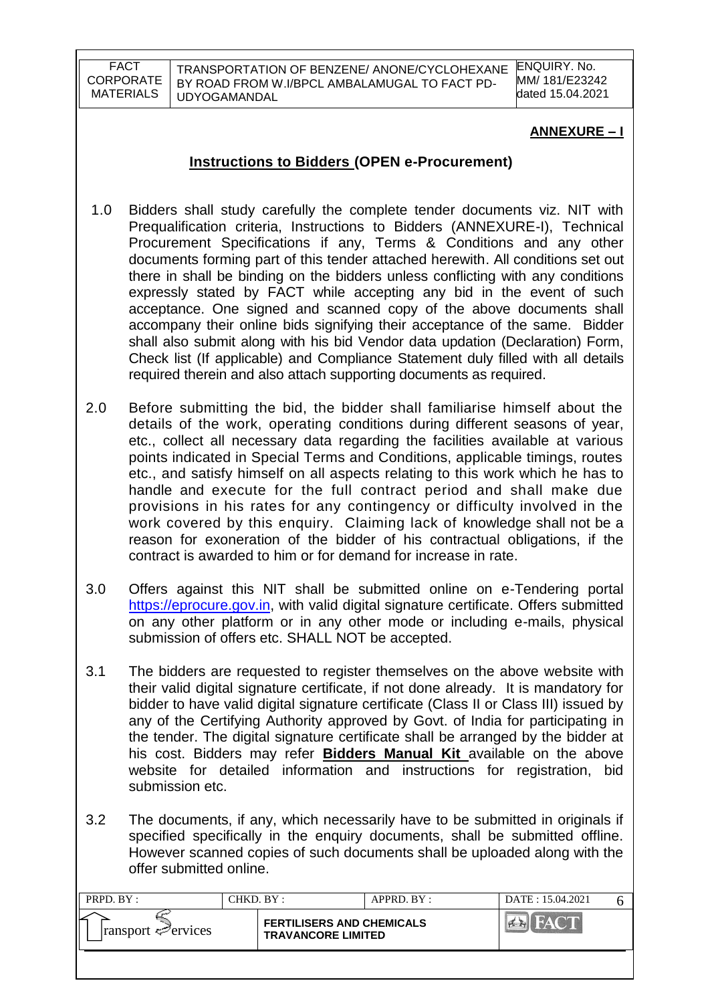TRANSPORTATION OF BENZENE/ ANONE/CYCLOHEXANE BY ROAD FROM W.I/BPCL AMBALAMUGAL TO FACT PD-UDYOGAMANDAL

ENQUIRY. No. MM/ 181/E23242 dated 15.04.2021

## **ANNEXURE – I**

## **Instructions to Bidders (OPEN e-Procurement)**

- 1.0 Bidders shall study carefully the complete tender documents viz. NIT with Prequalification criteria, Instructions to Bidders (ANNEXURE-I), Technical Procurement Specifications if any, Terms & Conditions and any other documents forming part of this tender attached herewith. All conditions set out there in shall be binding on the bidders unless conflicting with any conditions expressly stated by FACT while accepting any bid in the event of such acceptance. One signed and scanned copy of the above documents shall accompany their online bids signifying their acceptance of the same. Bidder shall also submit along with his bid Vendor data updation (Declaration) Form, Check list (If applicable) and Compliance Statement duly filled with all details required therein and also attach supporting documents as required.
- 2.0 Before submitting the bid, the bidder shall familiarise himself about the details of the work, operating conditions during different seasons of year, etc., collect all necessary data regarding the facilities available at various points indicated in Special Terms and Conditions, applicable timings, routes etc., and satisfy himself on all aspects relating to this work which he has to handle and execute for the full contract period and shall make due provisions in his rates for any contingency or difficulty involved in the work covered by this enquiry. Claiming lack of knowledge shall not be a reason for exoneration of the bidder of his contractual obligations, if the contract is awarded to him or for demand for increase in rate.
- 3.0 Offers against this NIT shall be submitted online on e-Tendering portal [https://eprocure.gov.in,](https://eprocure.gov.in/) with valid digital signature certificate. Offers submitted on any other platform or in any other mode or including e-mails, physical submission of offers etc. SHALL NOT be accepted.
- 3.1 The bidders are requested to register themselves on the above website with their valid digital signature certificate, if not done already. It is mandatory for bidder to have valid digital signature certificate (Class II or Class III) issued by any of the Certifying Authority approved by Govt. of India for participating in the tender. The digital signature certificate shall be arranged by the bidder at his cost. Bidders may refer **Bidders Manual Kit** available on the above website for detailed information and instructions for registration, bid submission etc.
- 3.2 The documents, if any, which necessarily have to be submitted in originals if specified specifically in the enquiry documents, shall be submitted offline. However scanned copies of such documents shall be uploaded along with the offer submitted online.

| PRPD. BY:                       | CHKD. BY :                                                    | APPRD. BY: | DATE: 15.04.2021 |  |
|---------------------------------|---------------------------------------------------------------|------------|------------------|--|
| $\lvert$ ransport $\ll$ ervices | <b>FERTILISERS AND CHEMICALS</b><br><b>TRAVANCORE LIMITED</b> |            |                  |  |
|                                 |                                                               |            |                  |  |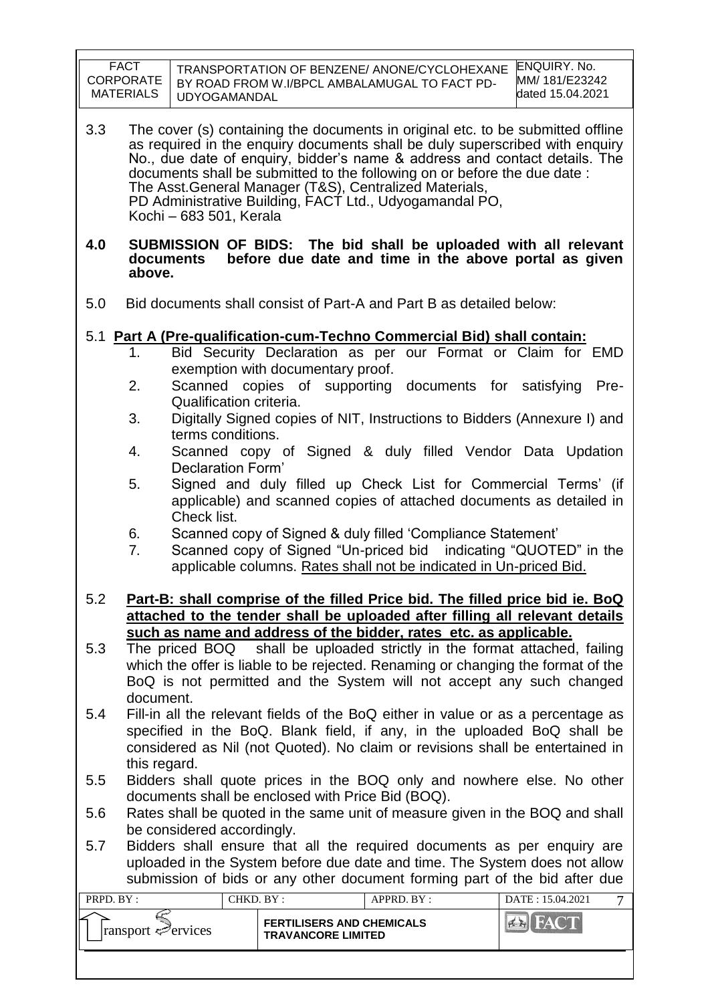|            | <b>FACT</b><br><b>CORPORATE</b><br><b>MATERIALS</b><br><b>UDYOGAMANDAL</b>                                                                                                                                                                                                                                                                                                                                                                                                  | TRANSPORTATION OF BENZENE/ ANONE/CYCLOHEXANE<br>BY ROAD FROM W.I/BPCL AMBALAMUGAL TO FACT PD-                                                                                                                                                                                                                                                                                 | <b>ENQUIRY. No.</b><br>MM/ 181/E23242<br>dated 15.04.2021 |  |  |  |
|------------|-----------------------------------------------------------------------------------------------------------------------------------------------------------------------------------------------------------------------------------------------------------------------------------------------------------------------------------------------------------------------------------------------------------------------------------------------------------------------------|-------------------------------------------------------------------------------------------------------------------------------------------------------------------------------------------------------------------------------------------------------------------------------------------------------------------------------------------------------------------------------|-----------------------------------------------------------|--|--|--|
| 3.3        | The cover (s) containing the documents in original etc. to be submitted offline<br>as required in the enquiry documents shall be duly superscribed with enquiry<br>No., due date of enquiry, bidder's name & address and contact details. The<br>documents shall be submitted to the following on or before the due date :<br>The Asst. General Manager (T&S), Centralized Materials,<br>PD Administrative Building, FACT Ltd., Udyogamandal PO,<br>Kochi - 683 501, Kerala |                                                                                                                                                                                                                                                                                                                                                                               |                                                           |  |  |  |
| 4.0        | documents<br>above.                                                                                                                                                                                                                                                                                                                                                                                                                                                         | SUBMISSION OF BIDS: The bid shall be uploaded with all relevant<br>before due date and time in the above portal as given                                                                                                                                                                                                                                                      |                                                           |  |  |  |
| 5.0        |                                                                                                                                                                                                                                                                                                                                                                                                                                                                             | Bid documents shall consist of Part-A and Part B as detailed below:                                                                                                                                                                                                                                                                                                           |                                                           |  |  |  |
|            | 1.<br>2.<br>Qualification criteria.<br>3.<br>terms conditions.<br>4.<br>Declaration Form'                                                                                                                                                                                                                                                                                                                                                                                   | 5.1 Part A (Pre-qualification-cum-Techno Commercial Bid) shall contain:<br>Bid Security Declaration as per our Format or Claim for EMD<br>exemption with documentary proof.<br>Scanned copies of supporting documents for satisfying<br>Digitally Signed copies of NIT, Instructions to Bidders (Annexure I) and<br>Scanned copy of Signed & duly filled Vendor Data Updation | Pre-                                                      |  |  |  |
|            | 5.<br>Check list.<br>6.<br>7.                                                                                                                                                                                                                                                                                                                                                                                                                                               | Signed and duly filled up Check List for Commercial Terms' (if<br>applicable) and scanned copies of attached documents as detailed in<br>Scanned copy of Signed & duly filled 'Compliance Statement'<br>Scanned copy of Signed "Un-priced bid indicating "QUOTED" in the<br>applicable columns. Rates shall not be indicated in Un-priced Bid.                                |                                                           |  |  |  |
| 5.2        |                                                                                                                                                                                                                                                                                                                                                                                                                                                                             | Part-B: shall comprise of the filled Price bid. The filled price bid ie. BoQ<br>attached to the tender shall be uploaded after filling all relevant details                                                                                                                                                                                                                   |                                                           |  |  |  |
| 5.3        | such as name and address of the bidder, rates etc. as applicable.<br>The priced BOQ shall be uploaded strictly in the format attached, failing<br>which the offer is liable to be rejected. Renaming or changing the format of the<br>BoQ is not permitted and the System will not accept any such changed                                                                                                                                                                  |                                                                                                                                                                                                                                                                                                                                                                               |                                                           |  |  |  |
| 5.4        | document.<br>Fill-in all the relevant fields of the BoQ either in value or as a percentage as<br>specified in the BoQ. Blank field, if any, in the uploaded BoQ shall be<br>considered as Nil (not Quoted). No claim or revisions shall be entertained in<br>this regard.                                                                                                                                                                                                   |                                                                                                                                                                                                                                                                                                                                                                               |                                                           |  |  |  |
| 5.5        | Bidders shall quote prices in the BOQ only and nowhere else. No other<br>documents shall be enclosed with Price Bid (BOQ).                                                                                                                                                                                                                                                                                                                                                  |                                                                                                                                                                                                                                                                                                                                                                               |                                                           |  |  |  |
| 5.6<br>5.7 | Rates shall be quoted in the same unit of measure given in the BOQ and shall<br>be considered accordingly.<br>Bidders shall ensure that all the required documents as per enquiry are<br>uploaded in the System before due date and time. The System does not allow<br>submission of bids or any other document forming part of the bid after due                                                                                                                           |                                                                                                                                                                                                                                                                                                                                                                               |                                                           |  |  |  |
| PRPD. BY:  |                                                                                                                                                                                                                                                                                                                                                                                                                                                                             | CHKD. BY:<br>APPRD. BY:                                                                                                                                                                                                                                                                                                                                                       | DATE: 15.04.2021<br>$\tau$                                |  |  |  |
|            | ransport Pervices                                                                                                                                                                                                                                                                                                                                                                                                                                                           | <b>FERTILISERS AND CHEMICALS</b><br><b>TRAVANCORE LIMITED</b>                                                                                                                                                                                                                                                                                                                 | <b>EN FACT</b>                                            |  |  |  |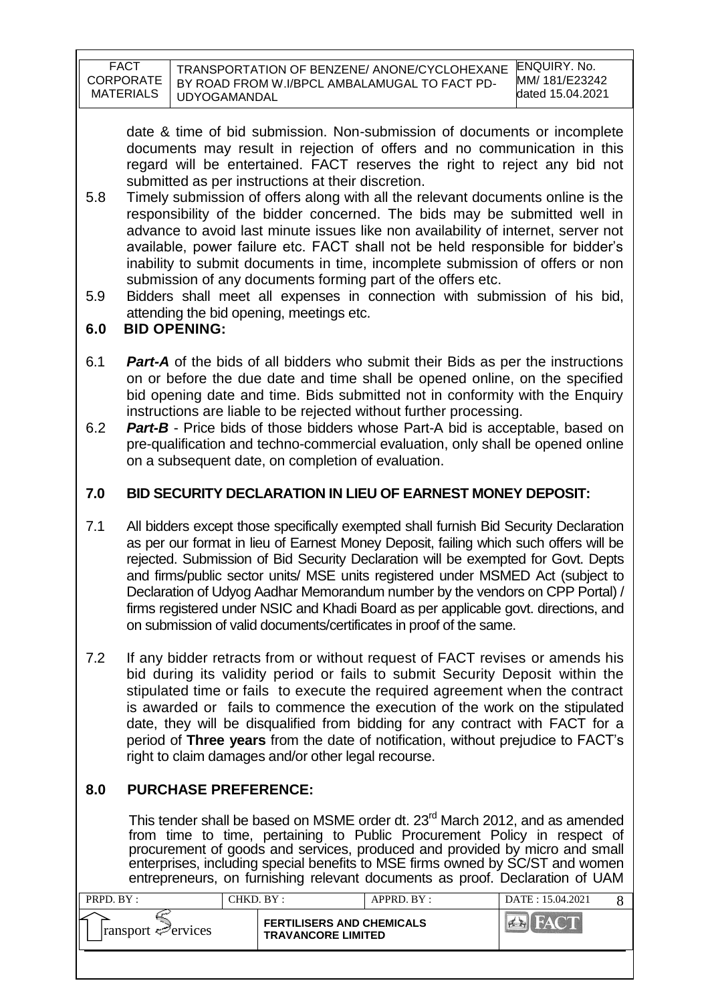| FACT             | TRANSPORTATION OF BENZENE/ ANONE/CYCLOHEXANE  | <b>ENQUIRY. No.</b> |
|------------------|-----------------------------------------------|---------------------|
| <b>CORPORATE</b> | BY ROAD FROM W.I/BPCL AMBALAMUGAL TO FACT PD- | MM/181/E23242       |
| <b>MATERIALS</b> | UDYOGAMANDAL                                  | dated 15.04.2021    |

date & time of bid submission. Non-submission of documents or incomplete documents may result in rejection of offers and no communication in this regard will be entertained. FACT reserves the right to reject any bid not submitted as per instructions at their discretion.

- 5.8 Timely submission of offers along with all the relevant documents online is the responsibility of the bidder concerned. The bids may be submitted well in advance to avoid last minute issues like non availability of internet, server not available, power failure etc. FACT shall not be held responsible for bidder"s inability to submit documents in time, incomplete submission of offers or non submission of any documents forming part of the offers etc.
- 5.9 Bidders shall meet all expenses in connection with submission of his bid, attending the bid opening, meetings etc.

## **6.0 BID OPENING:**

- 6.1 *Part-A* of the bids of all bidders who submit their Bids as per the instructions on or before the due date and time shall be opened online, on the specified bid opening date and time. Bids submitted not in conformity with the Enquiry instructions are liable to be rejected without further processing.
- 6.2 *Part-B* Price bids of those bidders whose Part-A bid is acceptable, based on pre-qualification and techno-commercial evaluation, only shall be opened online on a subsequent date, on completion of evaluation.

## **7.0 BID SECURITY DECLARATION IN LIEU OF EARNEST MONEY DEPOSIT:**

- 7.1 All bidders except those specifically exempted shall furnish Bid Security Declaration as per our format in lieu of Earnest Money Deposit, failing which such offers will be rejected. Submission of Bid Security Declaration will be exempted for Govt. Depts and firms/public sector units/ MSE units registered under MSMED Act (subject to Declaration of Udyog Aadhar Memorandum number by the vendors on CPP Portal) / firms registered under NSIC and Khadi Board as per applicable govt. directions, and on submission of valid documents/certificates in proof of the same.
- 7.2 If any bidder retracts from or without request of FACT revises or amends his bid during its validity period or fails to submit Security Deposit within the stipulated time or fails to execute the required agreement when the contract is awarded or fails to commence the execution of the work on the stipulated date, they will be disqualified from bidding for any contract with FACT for a period of **Three years** from the date of notification, without prejudice to FACT"s right to claim damages and/or other legal recourse.

# **8.0 PURCHASE PREFERENCE:**

This tender shall be based on MSME order dt. 23<sup>rd</sup> March 2012, and as amended from time to time, pertaining to Public Procurement Policy in respect of procurement of goods and services, produced and provided by micro and small enterprises, including special benefits to MSE firms owned by SC/ST and women entrepreneurs, on furnishing relevant documents as proof. Declaration of UAM

| PRPD. BY :                              | CHKD. BY : |                                                               | APPRD. BY: | DATE: 15.04.2021 |  |
|-----------------------------------------|------------|---------------------------------------------------------------|------------|------------------|--|
| $\lvert$ ransport $\mathcal{P}$ ervices |            | <b>FERTILISERS AND CHEMICALS</b><br><b>TRAVANCORE LIMITED</b> |            | <b>FACT</b>      |  |
|                                         |            |                                                               |            |                  |  |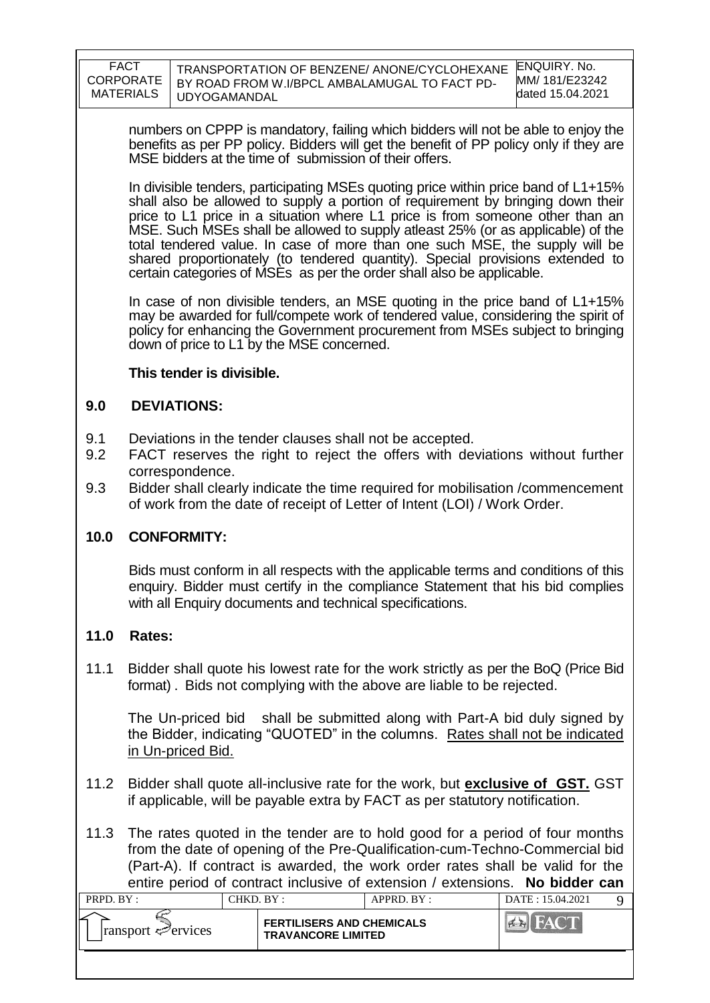| FACT      | TRANSPORTATION OF BENZENE/ ANONE/CYCLOHEXANE  | ENQUIRY, No.     |
|-----------|-----------------------------------------------|------------------|
| CORPORATE | BY ROAD FROM W.I/BPCL AMBALAMUGAL TO FACT PD- | MM/181/E23242    |
| MATERIALS | <b>UDYOGAMANDAL</b>                           | dated 15.04.2021 |

numbers on CPPP is mandatory, failing which bidders will not be able to enjoy the benefits as per PP policy. Bidders will get the benefit of PP policy only if they are MSE bidders at the time of submission of their offers.

In divisible tenders, participating MSEs quoting price within price band of L1+15% shall also be allowed to supply a portion of requirement by bringing down their price to L1 price in a situation where L1 price is from someone other than an MSE. Such MSEs shall be allowed to supply atleast 25% (or as applicable) of the total tendered value. In case of more than one such MSE, the supply will be shared proportionately (to tendered quantity). Special provisions extended to certain categories of MSEs as per the order shall also be applicable.

In case of non divisible tenders, an MSE quoting in the price band of L1+15% may be awarded for full/compete work of tendered value, considering the spirit of policy for enhancing the Government procurement from MSEs subject to bringing down of price to L1 by the MSE concerned.

## **This tender is divisible.**

## **9.0 DEVIATIONS:**

- 9.1 Deviations in the tender clauses shall not be accepted.
- 9.2 FACT reserves the right to reject the offers with deviations without further correspondence.
- 9.3 Bidder shall clearly indicate the time required for mobilisation /commencement of work from the date of receipt of Letter of Intent (LOI) / Work Order.

## **10.0 CONFORMITY:**

Bids must conform in all respects with the applicable terms and conditions of this enquiry. Bidder must certify in the compliance Statement that his bid complies with all Enquiry documents and technical specifications.

## **11.0 Rates:**

11.1 Bidder shall quote his lowest rate for the work strictly as per the BoQ (Price Bid format) . Bids not complying with the above are liable to be rejected.

The Un-priced bid shall be submitted along with Part-A bid duly signed by the Bidder, indicating "QUOTED" in the columns. Rates shall not be indicated in Un-priced Bid.

11.2 Bidder shall quote all-inclusive rate for the work, but **exclusive of GST.** GST if applicable, will be payable extra by FACT as per statutory notification.

11.3 The rates quoted in the tender are to hold good for a period of four months from the date of opening of the Pre-Qualification-cum-Techno-Commercial bid (Part-A). If contract is awarded, the work order rates shall be valid for the entire period of contract inclusive of extension / extensions. **No bidder can** 

| PRPD. BY:                       | CHKD. BY : |                                                               | APPRD, BY: | DATE: 15.04.2021 |  |
|---------------------------------|------------|---------------------------------------------------------------|------------|------------------|--|
| $\lvert$ ransport $\ll$ ervices |            | <b>FERTILISERS AND CHEMICALS</b><br><b>TRAVANCORE LIMITED</b> |            |                  |  |
|                                 |            |                                                               |            |                  |  |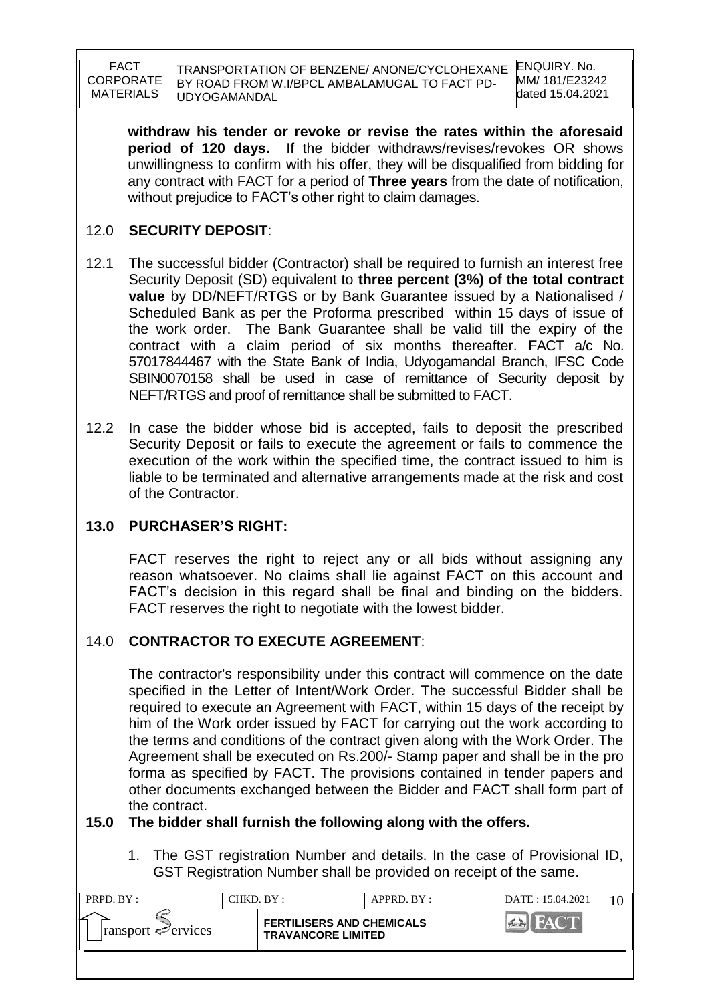TRANSPORTATION OF BENZENE/ ANONE/CYCLOHEXANE BY ROAD FROM W.I/BPCL AMBALAMUGAL TO FACT PD-UDYOGAMANDAL

**withdraw his tender or revoke or revise the rates within the aforesaid period of 120 days.** If the bidder withdraws/revises/revokes OR shows unwillingness to confirm with his offer, they will be disqualified from bidding for any contract with FACT for a period of **Three years** from the date of notification, without prejudice to FACT"s other right to claim damages.

## 12.0 **SECURITY DEPOSIT**:

- 12.1 The successful bidder (Contractor) shall be required to furnish an interest free Security Deposit (SD) equivalent to **three percent (3%) of the total contract value** by DD/NEFT/RTGS or by Bank Guarantee issued by a Nationalised / Scheduled Bank as per the Proforma prescribed within 15 days of issue of the work order. The Bank Guarantee shall be valid till the expiry of the contract with a claim period of six months thereafter. FACT a/c No. 57017844467 with the State Bank of India, Udyogamandal Branch, IFSC Code SBIN0070158 shall be used in case of remittance of Security deposit by NEFT/RTGS and proof of remittance shall be submitted to FACT.
- 12.2 In case the bidder whose bid is accepted, fails to deposit the prescribed Security Deposit or fails to execute the agreement or fails to commence the execution of the work within the specified time, the contract issued to him is liable to be terminated and alternative arrangements made at the risk and cost of the Contractor.

## **13.0 PURCHASER'S RIGHT:**

FACT reserves the right to reject any or all bids without assigning any reason whatsoever. No claims shall lie against FACT on this account and FACT"s decision in this regard shall be final and binding on the bidders. FACT reserves the right to negotiate with the lowest bidder.

## 14.0 **CONTRACTOR TO EXECUTE AGREEMENT**:

The contractor's responsibility under this contract will commence on the date specified in the Letter of Intent/Work Order. The successful Bidder shall be required to execute an Agreement with FACT, within 15 days of the receipt by him of the Work order issued by FACT for carrying out the work according to the terms and conditions of the contract given along with the Work Order. The Agreement shall be executed on Rs.200/- Stamp paper and shall be in the pro forma as specified by FACT. The provisions contained in tender papers and other documents exchanged between the Bidder and FACT shall form part of the contract.

### **15.0 The bidder shall furnish the following along with the offers.**

1. The GST registration Number and details. In the case of Provisional ID, GST Registration Number shall be provided on receipt of the same.

| PRPD. BY:                       | CHKD. BY : |                                                               | APPRD. BY: | DATE: 15.04.2021     |  |
|---------------------------------|------------|---------------------------------------------------------------|------------|----------------------|--|
| $\lvert$ ransport $\ll$ ervices |            | <b>FERTILISERS AND CHEMICALS</b><br><b>TRAVANCORE LIMITED</b> |            | <b>THE SAY OF BU</b> |  |
|                                 |            |                                                               |            |                      |  |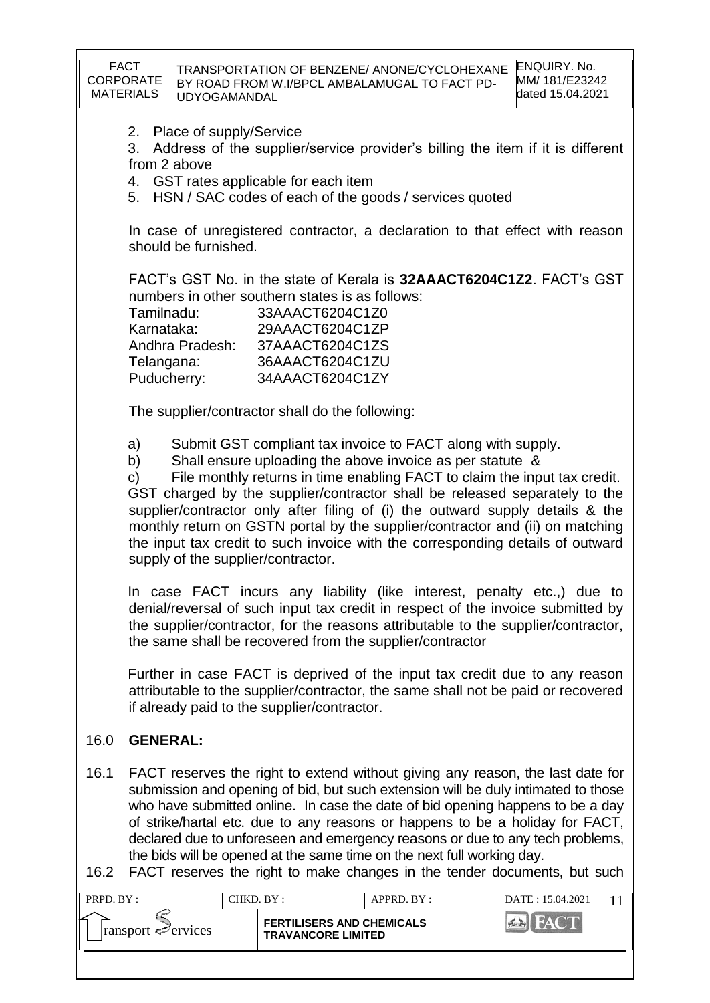| supply of the supplier/contractor.<br>In case FACT incurs any liability (like interest, penalty etc.,) due to<br>denial/reversal of such input tax credit in respect of the invoice submitted by<br>the supplier/contractor, for the reasons attributable to the supplier/contractor,<br>the same shall be recovered from the supplier/contractor<br>Further in case FACT is deprived of the input tax credit due to any reason<br>attributable to the supplier/contractor, the same shall not be paid or recovered<br>if already paid to the supplier/contractor.<br>16.0<br><b>GENERAL:</b><br>16.1<br>FACT reserves the right to extend without giving any reason, the last date for<br>submission and opening of bid, but such extension will be duly intimated to those<br>who have submitted online. In case the date of bid opening happens to be a day<br>of strike/hartal etc. due to any reasons or happens to be a holiday for FACT,<br>declared due to unforeseen and emergency reasons or due to any tech problems,<br>the bids will be opened at the same time on the next full working day.<br>FACT reserves the right to make changes in the tender documents, but such<br>16.2<br>PRPD. BY:<br>CHKD. BY:<br>APPRD. BY:<br>DATE: 15.04.2021<br>11 |  |  |  |  |  |  |  |  |
|-------------------------------------------------------------------------------------------------------------------------------------------------------------------------------------------------------------------------------------------------------------------------------------------------------------------------------------------------------------------------------------------------------------------------------------------------------------------------------------------------------------------------------------------------------------------------------------------------------------------------------------------------------------------------------------------------------------------------------------------------------------------------------------------------------------------------------------------------------------------------------------------------------------------------------------------------------------------------------------------------------------------------------------------------------------------------------------------------------------------------------------------------------------------------------------------------------------------------------------------------------------------|--|--|--|--|--|--|--|--|
|                                                                                                                                                                                                                                                                                                                                                                                                                                                                                                                                                                                                                                                                                                                                                                                                                                                                                                                                                                                                                                                                                                                                                                                                                                                                   |  |  |  |  |  |  |  |  |
|                                                                                                                                                                                                                                                                                                                                                                                                                                                                                                                                                                                                                                                                                                                                                                                                                                                                                                                                                                                                                                                                                                                                                                                                                                                                   |  |  |  |  |  |  |  |  |
|                                                                                                                                                                                                                                                                                                                                                                                                                                                                                                                                                                                                                                                                                                                                                                                                                                                                                                                                                                                                                                                                                                                                                                                                                                                                   |  |  |  |  |  |  |  |  |
|                                                                                                                                                                                                                                                                                                                                                                                                                                                                                                                                                                                                                                                                                                                                                                                                                                                                                                                                                                                                                                                                                                                                                                                                                                                                   |  |  |  |  |  |  |  |  |
|                                                                                                                                                                                                                                                                                                                                                                                                                                                                                                                                                                                                                                                                                                                                                                                                                                                                                                                                                                                                                                                                                                                                                                                                                                                                   |  |  |  |  |  |  |  |  |
| Submit GST compliant tax invoice to FACT along with supply.<br>a)<br>Shall ensure uploading the above invoice as per statute &<br>b)<br>File monthly returns in time enabling FACT to claim the input tax credit.<br>c)<br>GST charged by the supplier/contractor shall be released separately to the<br>supplier/contractor only after filing of (i) the outward supply details & the<br>monthly return on GSTN portal by the supplier/contractor and (ii) on matching<br>the input tax credit to such invoice with the corresponding details of outward                                                                                                                                                                                                                                                                                                                                                                                                                                                                                                                                                                                                                                                                                                         |  |  |  |  |  |  |  |  |
| The supplier/contractor shall do the following:                                                                                                                                                                                                                                                                                                                                                                                                                                                                                                                                                                                                                                                                                                                                                                                                                                                                                                                                                                                                                                                                                                                                                                                                                   |  |  |  |  |  |  |  |  |
| FACT's GST No. in the state of Kerala is 32AAACT6204C1Z2. FACT's GST<br>numbers in other southern states is as follows:<br>Tamilnadu:<br>33AAACT6204C1Z0<br>Karnataka:<br>29AAACT6204C1ZP<br>Andhra Pradesh:<br>37AAACT6204C1ZS<br>Telangana:<br>36AAACT6204C1ZU<br>Puducherry:<br>34AAACT6204C1ZY                                                                                                                                                                                                                                                                                                                                                                                                                                                                                                                                                                                                                                                                                                                                                                                                                                                                                                                                                                |  |  |  |  |  |  |  |  |
| In case of unregistered contractor, a declaration to that effect with reason<br>should be furnished.                                                                                                                                                                                                                                                                                                                                                                                                                                                                                                                                                                                                                                                                                                                                                                                                                                                                                                                                                                                                                                                                                                                                                              |  |  |  |  |  |  |  |  |
| 2. Place of supply/Service<br>Address of the supplier/service provider's billing the item if it is different<br>3.<br>from 2 above<br>4. GST rates applicable for each item<br>5. HSN / SAC codes of each of the goods / services quoted                                                                                                                                                                                                                                                                                                                                                                                                                                                                                                                                                                                                                                                                                                                                                                                                                                                                                                                                                                                                                          |  |  |  |  |  |  |  |  |
| <b>FACT</b><br>ENQUIRY. No.<br>TRANSPORTATION OF BENZENE/ ANONE/CYCLOHEXANE<br><b>CORPORATE</b><br>MM/ 181/E23242<br>BY ROAD FROM W.I/BPCL AMBALAMUGAL TO FACT PD-<br><b>MATERIALS</b><br>dated 15.04.2021<br><b>UDYOGAMANDAL</b>                                                                                                                                                                                                                                                                                                                                                                                                                                                                                                                                                                                                                                                                                                                                                                                                                                                                                                                                                                                                                                 |  |  |  |  |  |  |  |  |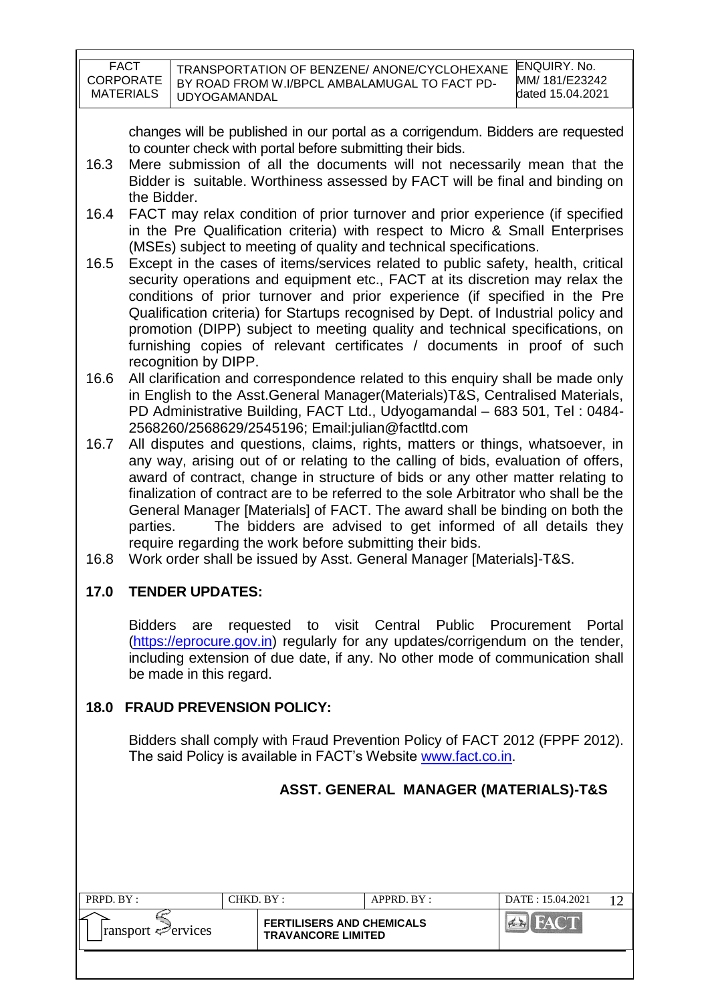| <b>FACT</b><br><b>CORPORATE</b> | TRANSPORTATION OF BENZENE/ ANONE/CYCLOHEXANE                  | ENQUIRY, No.<br>MM/181/E23242 |
|---------------------------------|---------------------------------------------------------------|-------------------------------|
| <b>MATERIALS</b>                | BY ROAD FROM W.I/BPCL AMBALAMUGAL TO FACT PD-<br>UDYOGAMANDAL | dated 15.04.2021              |
|                                 |                                                               |                               |

changes will be published in our portal as a corrigendum. Bidders are requested to counter check with portal before submitting their bids.

- 16.3 Mere submission of all the documents will not necessarily mean that the Bidder is suitable. Worthiness assessed by FACT will be final and binding on the Bidder.
- 16.4 FACT may relax condition of prior turnover and prior experience (if specified in the Pre Qualification criteria) with respect to Micro & Small Enterprises (MSEs) subject to meeting of quality and technical specifications.
- 16.5 Except in the cases of items/services related to public safety, health, critical security operations and equipment etc., FACT at its discretion may relax the conditions of prior turnover and prior experience (if specified in the Pre Qualification criteria) for Startups recognised by Dept. of Industrial policy and promotion (DIPP) subject to meeting quality and technical specifications, on furnishing copies of relevant certificates / documents in proof of such recognition by DIPP.
- 16.6 All clarification and correspondence related to this enquiry shall be made only in English to the Asst.General Manager(Materials)T&S, Centralised Materials, PD Administrative Building, FACT Ltd., Udyogamandal – 683 501, Tel : 0484- 2568260/2568629/2545196; Email:julian@factltd.com
- 16.7 All disputes and questions, claims, rights, matters or things, whatsoever, in any way, arising out of or relating to the calling of bids, evaluation of offers, award of contract, change in structure of bids or any other matter relating to finalization of contract are to be referred to the sole Arbitrator who shall be the General Manager [Materials] of FACT. The award shall be binding on both the parties. The bidders are advised to get informed of all details they require regarding the work before submitting their bids.
- 16.8 Work order shall be issued by Asst. General Manager [Materials]-T&S.

# **17.0 TENDER UPDATES:**

Bidders are requested to visit Central Public Procurement Portal [\(https://eprocure.gov.in\)](https://eprocure.gov.in/) regularly for any updates/corrigendum on the tender, including extension of due date, if any. No other mode of communication shall be made in this regard.

## **18.0 FRAUD PREVENSION POLICY:**

Bidders shall comply with Fraud Prevention Policy of FACT 2012 (FPPF 2012). The said Policy is available in FACT"s Website [www.fact.co.in.](http://www.fact.co.in/)

# **ASST. GENERAL MANAGER (MATERIALS)-T&S**

| PRPD. BY:                   | CHKD. BY : |                                                               | $APPRD$ . $BY$ : | DATE: 15.04.2021 |  |
|-----------------------------|------------|---------------------------------------------------------------|------------------|------------------|--|
| $ $ ransport $\leq$ ervices |            | <b>FERTILISERS AND CHEMICALS</b><br><b>TRAVANCORE LIMITED</b> |                  |                  |  |
|                             |            |                                                               |                  |                  |  |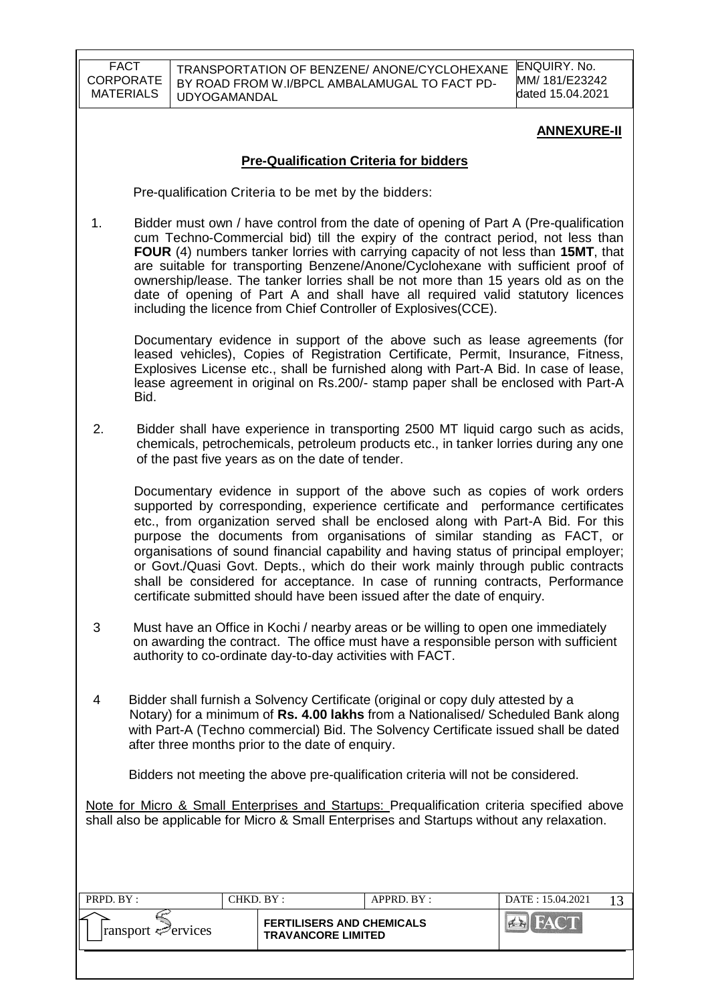TRANSPORTATION OF BENZENE/ ANONE/CYCLOHEXANE BY ROAD FROM W.I/BPCL AMBALAMUGAL TO FACT PD-UDYOGAMANDAL

ENQUIRY. No. MM/ 181/E23242 dated 15.04.2021

#### **ANNEXURE-II**

#### **Pre-Qualification Criteria for bidders**

Pre-qualification Criteria to be met by the bidders:

1. Bidder must own / have control from the date of opening of Part A (Pre-qualification cum Techno-Commercial bid) till the expiry of the contract period, not less than **FOUR** (4) numbers tanker lorries with carrying capacity of not less than **15MT**, that are suitable for transporting Benzene/Anone/Cyclohexane with sufficient proof of ownership/lease. The tanker lorries shall be not more than 15 years old as on the date of opening of Part A and shall have all required valid statutory licences including the licence from Chief Controller of Explosives(CCE).

Documentary evidence in support of the above such as lease agreements (for leased vehicles), Copies of Registration Certificate, Permit, Insurance, Fitness, Explosives License etc., shall be furnished along with Part-A Bid. In case of lease, lease agreement in original on Rs.200/- stamp paper shall be enclosed with Part-A Bid.

 2. Bidder shall have experience in transporting 2500 MT liquid cargo such as acids, chemicals, petrochemicals, petroleum products etc., in tanker lorries during any one of the past five years as on the date of tender.

Documentary evidence in support of the above such as copies of work orders supported by corresponding, experience certificate and performance certificates etc., from organization served shall be enclosed along with Part-A Bid. For this purpose the documents from organisations of similar standing as FACT, or organisations of sound financial capability and having status of principal employer; or Govt./Quasi Govt. Depts., which do their work mainly through public contracts shall be considered for acceptance. In case of running contracts, Performance certificate submitted should have been issued after the date of enquiry.

- 3 Must have an Office in Kochi / nearby areas or be willing to open one immediately on awarding the contract. The office must have a responsible person with sufficient authority to co-ordinate day-to-day activities with FACT.
- 4 Bidder shall furnish a Solvency Certificate (original or copy duly attested by a Notary) for a minimum of **Rs. 4.00 lakhs** from a Nationalised/ Scheduled Bank along with Part-A (Techno commercial) Bid. The Solvency Certificate issued shall be dated after three months prior to the date of enquiry.

Bidders not meeting the above pre-qualification criteria will not be considered.

Note for Micro & Small Enterprises and Startups: Prequalification criteria specified above shall also be applicable for Micro & Small Enterprises and Startups without any relaxation.

| PRPD. BY:                       | CHKD. BY : |                                                               | APPRD. BY: | DATE: 15.04.2021 |  |
|---------------------------------|------------|---------------------------------------------------------------|------------|------------------|--|
| $\lvert$ ransport $\ll$ ervices |            | <b>FERTILISERS AND CHEMICALS</b><br><b>TRAVANCORE LIMITED</b> |            | <b>FACT</b>      |  |
|                                 |            |                                                               |            |                  |  |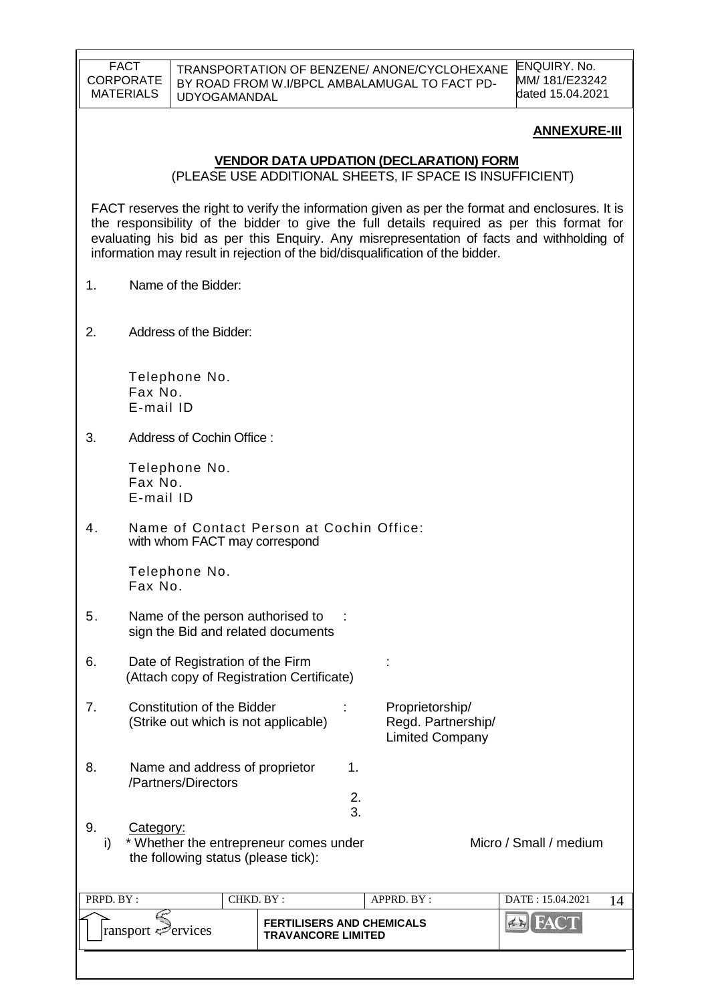TRANSPORTATION OF BENZENE/ ANONE/CYCLOHEXANE BY ROAD FROM W.I/BPCL AMBALAMUGAL TO FACT PD-UDYOGAMANDAL

ENQUIRY. No. MM/ 181/E23242 dated 15.04.2021

#### **ANNEXURE-III**

#### **VENDOR DATA UPDATION (DECLARATION) FORM**

(PLEASE USE ADDITIONAL SHEETS, IF SPACE IS INSUFFICIENT)

FACT reserves the right to verify the information given as per the format and enclosures. It is the responsibility of the bidder to give the full details required as per this format for evaluating his bid as per this Enquiry. Any misrepresentation of facts and withholding of information may result in rejection of the bid/disqualification of the bidder.

- 1. Name of the Bidder:
- 2. Address of the Bidder:

Telephone No. Fax No. E-mail ID

3. Address of Cochin Office :

Telephone No. Fax No. E-mail ID

4. Name of Contact Person at Cochin Office: with whom FACT may correspond

> Telephone No. Fax No.

- 5. Name of the person authorised to : sign the Bid and related documents
- 6. Date of Registration of the Firm : (Attach copy of Registration Certificate)
- 7. Constitution of the Bidder : Proprietorship/ (Strike out which is not applicable) Regd. Partnership/ Limited Company
- 8. Name and address of proprietor 1. /Partners/Directors
	-
- 9. Category: i) \* Whether the entrepreneur comes under Micro / Small / medium the following status (please tick):

 2. 3.

| PRPD. BY:                       | CHKD. BY : |                                                               | APPRD. BY: | DATE: 15.04.2021 |  |
|---------------------------------|------------|---------------------------------------------------------------|------------|------------------|--|
| $\lvert$ ransport $\ll$ ervices |            | <b>FERTILISERS AND CHEMICALS</b><br><b>TRAVANCORE LIMITED</b> |            |                  |  |
|                                 |            |                                                               |            |                  |  |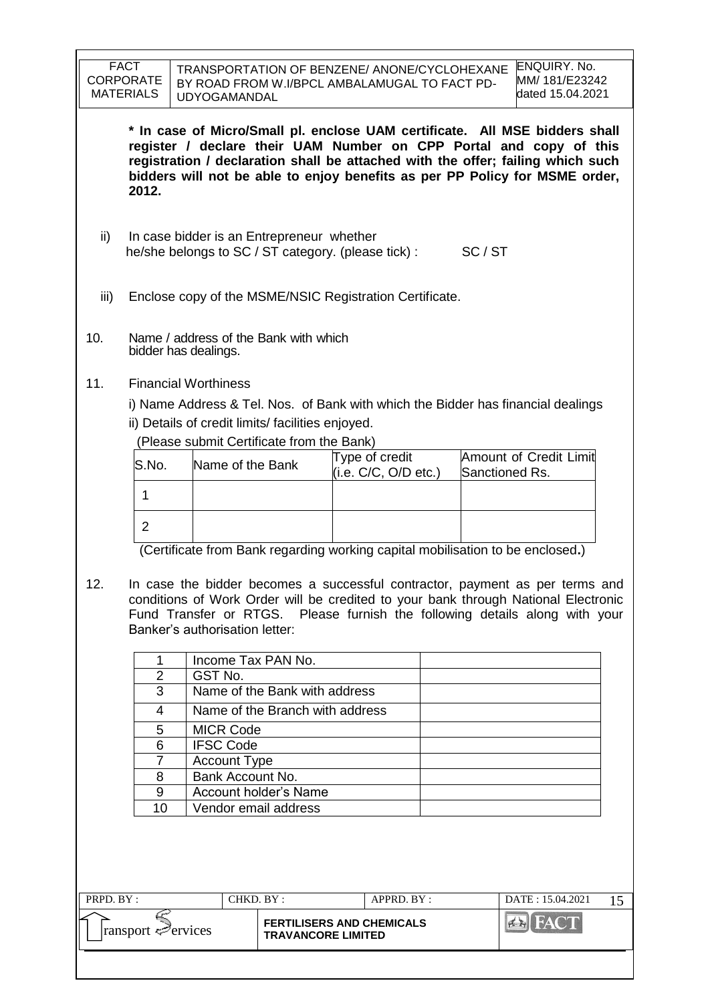|           | <b>FACT</b><br><b>CORPORATE</b><br><b>MATERIALS</b>                                                       |                              | <b>UDYOGAMANDAL</b>            |                                                   | TRANSPORTATION OF BENZENE/ ANONE/CYCLOHEXANE<br>BY ROAD FROM W.I/BPCL AMBALAMUGAL TO FACT PD- |  |  | <b>ENQUIRY. No.</b><br>MM/ 181/E23242<br>dated 15.04.2021                                                                                                                                                                                                                                                           |    |
|-----------|-----------------------------------------------------------------------------------------------------------|------------------------------|--------------------------------|---------------------------------------------------|-----------------------------------------------------------------------------------------------|--|--|---------------------------------------------------------------------------------------------------------------------------------------------------------------------------------------------------------------------------------------------------------------------------------------------------------------------|----|
|           | 2012.                                                                                                     |                              |                                |                                                   |                                                                                               |  |  | * In case of Micro/Small pl. enclose UAM certificate. All MSE bidders shall<br>register / declare their UAM Number on CPP Portal and copy of this<br>registration / declaration shall be attached with the offer; failing which such<br>bidders will not be able to enjoy benefits as per PP Policy for MSME order, |    |
| ii)       | In case bidder is an Entrepreneur whether<br>he/she belongs to SC / ST category. (please tick) :<br>SC/ST |                              |                                |                                                   |                                                                                               |  |  |                                                                                                                                                                                                                                                                                                                     |    |
| iii)      |                                                                                                           |                              |                                |                                                   | Enclose copy of the MSME/NSIC Registration Certificate.                                       |  |  |                                                                                                                                                                                                                                                                                                                     |    |
| 10.       |                                                                                                           |                              | bidder has dealings.           | Name / address of the Bank with which             |                                                                                               |  |  |                                                                                                                                                                                                                                                                                                                     |    |
| 11.       |                                                                                                           |                              | <b>Financial Worthiness</b>    |                                                   |                                                                                               |  |  |                                                                                                                                                                                                                                                                                                                     |    |
|           |                                                                                                           |                              |                                |                                                   |                                                                                               |  |  | i) Name Address & Tel. Nos. of Bank with which the Bidder has financial dealings                                                                                                                                                                                                                                    |    |
|           |                                                                                                           |                              |                                | ii) Details of credit limits/ facilities enjoyed. |                                                                                               |  |  |                                                                                                                                                                                                                                                                                                                     |    |
|           |                                                                                                           |                              |                                | (Please submit Certificate from the Bank)         |                                                                                               |  |  |                                                                                                                                                                                                                                                                                                                     |    |
|           | S.No.                                                                                                     |                              | Name of the Bank               |                                                   | Type of credit<br>(i.e. C/C, O/D etc.)                                                        |  |  | Amount of Credit Limit<br>Sanctioned Rs.                                                                                                                                                                                                                                                                            |    |
|           | 1                                                                                                         |                              |                                |                                                   |                                                                                               |  |  |                                                                                                                                                                                                                                                                                                                     |    |
|           | $\overline{2}$                                                                                            |                              |                                |                                                   |                                                                                               |  |  |                                                                                                                                                                                                                                                                                                                     |    |
|           |                                                                                                           |                              |                                |                                                   | (Certificate from Bank regarding working capital mobilisation to be enclosed.)                |  |  |                                                                                                                                                                                                                                                                                                                     |    |
| 12.       |                                                                                                           |                              | Banker's authorisation letter: |                                                   |                                                                                               |  |  | In case the bidder becomes a successful contractor, payment as per terms and<br>conditions of Work Order will be credited to your bank through National Electronic<br>Fund Transfer or RTGS. Please furnish the following details along with your                                                                   |    |
|           | 1                                                                                                         |                              | Income Tax PAN No.             |                                                   |                                                                                               |  |  |                                                                                                                                                                                                                                                                                                                     |    |
|           | $\overline{2}$<br>3                                                                                       |                              | GST No.                        | Name of the Bank with address                     |                                                                                               |  |  |                                                                                                                                                                                                                                                                                                                     |    |
|           | 4                                                                                                         |                              |                                | Name of the Branch with address                   |                                                                                               |  |  |                                                                                                                                                                                                                                                                                                                     |    |
|           | 5                                                                                                         |                              | <b>MICR Code</b>               |                                                   |                                                                                               |  |  |                                                                                                                                                                                                                                                                                                                     |    |
|           | 6                                                                                                         |                              | <b>IFSC Code</b>               |                                                   |                                                                                               |  |  |                                                                                                                                                                                                                                                                                                                     |    |
|           | 7                                                                                                         |                              | <b>Account Type</b>            |                                                   |                                                                                               |  |  |                                                                                                                                                                                                                                                                                                                     |    |
|           | 8                                                                                                         |                              | Bank Account No.               |                                                   |                                                                                               |  |  |                                                                                                                                                                                                                                                                                                                     |    |
|           | 9                                                                                                         | <b>Account holder's Name</b> |                                |                                                   |                                                                                               |  |  |                                                                                                                                                                                                                                                                                                                     |    |
|           | 10<br>Vendor email address                                                                                |                              |                                |                                                   |                                                                                               |  |  |                                                                                                                                                                                                                                                                                                                     |    |
| PRPD. BY: |                                                                                                           |                              | CHKD. BY:                      |                                                   | APPRD. BY:                                                                                    |  |  | DATE: 15.04.2021                                                                                                                                                                                                                                                                                                    | 15 |
|           | ransport Pervices                                                                                         |                              |                                | <b>TRAVANCORE LIMITED</b>                         | <b>FERTILISERS AND CHEMICALS</b>                                                              |  |  | <b>BIFACT</b>                                                                                                                                                                                                                                                                                                       |    |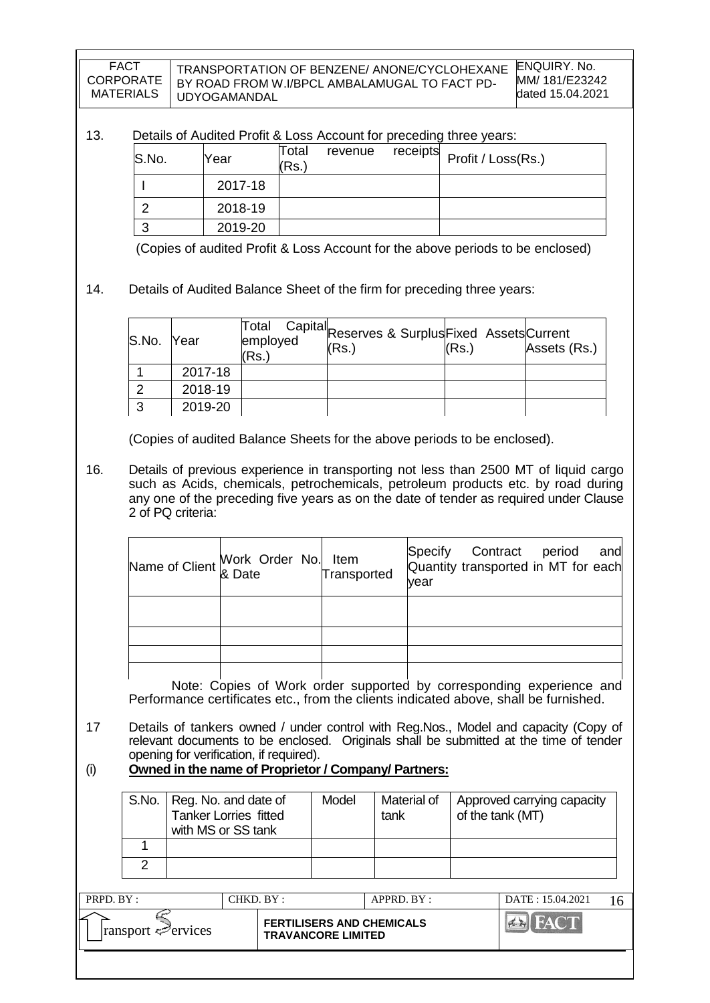TRANSPORTATION OF BENZENE/ ANONE/CYCLOHEXANE BY ROAD FROM W.I/BPCL AMBALAMUGAL TO FACT PD-UDYOGAMANDAL

#### 13. Details of Audited Profit & Loss Account for preceding three years:

| S.No. | Year    | Total<br>(Rs.) | revenue |  |
|-------|---------|----------------|---------|--|
|       | 2017-18 |                |         |  |
|       | 2018-19 |                |         |  |
|       | 2019-20 |                |         |  |

(Copies of audited Profit & Loss Account for the above periods to be enclosed)

#### 14. Details of Audited Balance Sheet of the firm for preceding three years:

| S.No. Year |         | Total<br>employed<br>(Rs.) | Capital <sub>Reserves &amp; SurplusFixed Assets</sub> Current<br>(Rs.) | (Rs.) | Assets (Rs.) |
|------------|---------|----------------------------|------------------------------------------------------------------------|-------|--------------|
|            | 2017-18 |                            |                                                                        |       |              |
|            | 2018-19 |                            |                                                                        |       |              |
|            | 2019-20 |                            |                                                                        |       |              |

(Copies of audited Balance Sheets for the above periods to be enclosed).

16. Details of previous experience in transporting not less than 2500 MT of liquid cargo such as Acids, chemicals, petrochemicals, petroleum products etc. by road during any one of the preceding five years as on the date of tender as required under Clause 2 of PQ criteria:

| Name of Client Work Order No. Item<br>Transp & Date | Transported | Specify Contract period and<br>Quantity transported in MT for each<br>vear |
|-----------------------------------------------------|-------------|----------------------------------------------------------------------------|
|                                                     |             |                                                                            |
|                                                     |             |                                                                            |
|                                                     |             |                                                                            |
|                                                     |             |                                                                            |

Note: Copies of Work order supported by corresponding experience and Performance certificates etc., from the clients indicated above, shall be furnished.

- 17 Details of tankers owned / under control with Reg.Nos., Model and capacity (Copy of relevant documents to be enclosed. Originals shall be submitted at the time of tender opening for verification, if required).
- (i) **Owned in the name of Proprietor / Company/ Partners:**

| S.No. | Reg. No. and date of<br><b>Tanker Lorries fitted</b><br>with MS or SS tank | Model | Material of<br>tank | Approved carrying capacity<br>of the tank (MT) |
|-------|----------------------------------------------------------------------------|-------|---------------------|------------------------------------------------|
|       |                                                                            |       |                     |                                                |
|       |                                                                            |       |                     |                                                |

| PRPD. BY:                                    | CHKD. BY : |                                                               | $APPRD$ . BY : | DATE: 15.04.2021 |  |
|----------------------------------------------|------------|---------------------------------------------------------------|----------------|------------------|--|
| ⋍<br>$\lvert$ ransport $\mathcal{P}$ ervices |            | <b>FERTILISERS AND CHEMICALS</b><br><b>TRAVANCORE LIMITED</b> |                |                  |  |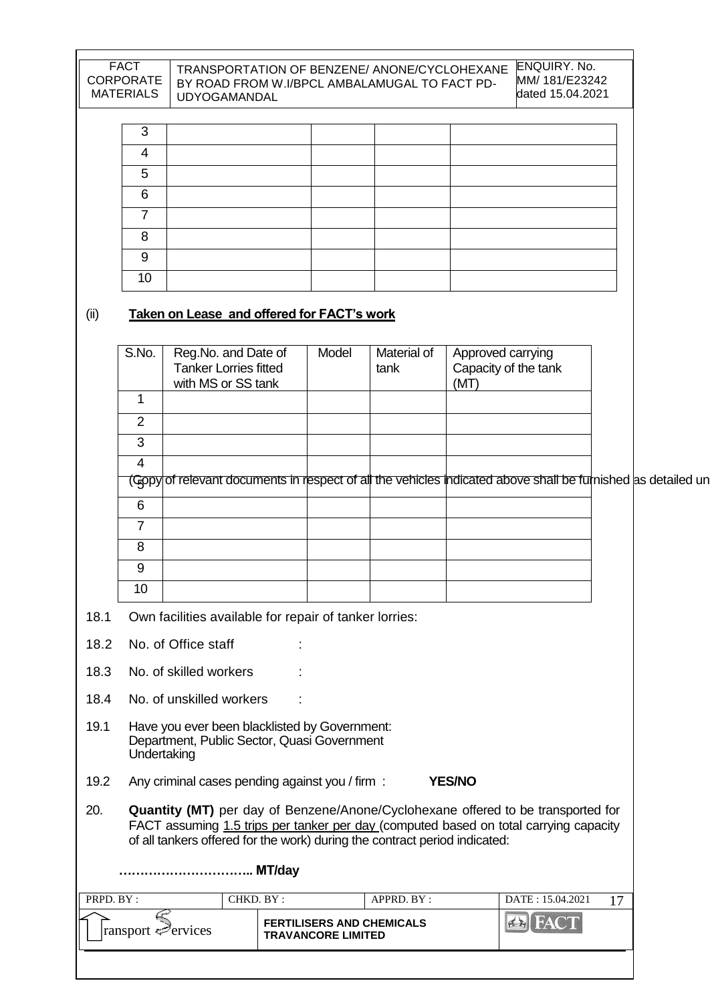#### TRANSPORTATION OF BENZENE/ ANONE/CYCLOHEXANE BY ROAD FROM W.I/BPCL AMBALAMUGAL TO FACT PD-UDYOGAMANDAL

| ົ  |  |  |
|----|--|--|
|    |  |  |
| 5  |  |  |
| 6  |  |  |
|    |  |  |
| 8  |  |  |
| 9  |  |  |
| 10 |  |  |

## (ii) **Taken on Lease and offered for FACT's work**

|      | S.No.          | Reg.No. and Date of<br><b>Tanker Lorries fitted</b><br>with MS or SS tank                    | Model | Material of<br>tank | Approved carrying<br>Capacity of the tank<br>(MT)                                                            |  |
|------|----------------|----------------------------------------------------------------------------------------------|-------|---------------------|--------------------------------------------------------------------------------------------------------------|--|
|      |                |                                                                                              |       |                     |                                                                                                              |  |
|      | $\overline{2}$ |                                                                                              |       |                     |                                                                                                              |  |
|      | 3              |                                                                                              |       |                     |                                                                                                              |  |
|      | 4              |                                                                                              |       |                     |                                                                                                              |  |
|      |                |                                                                                              |       |                     | (Gopy of relevant documents in respect of all the vehicles indicated above shall be furnished as detailed un |  |
|      | 6              |                                                                                              |       |                     |                                                                                                              |  |
|      | $\overline{7}$ |                                                                                              |       |                     |                                                                                                              |  |
|      | 8              |                                                                                              |       |                     |                                                                                                              |  |
|      | 9              |                                                                                              |       |                     |                                                                                                              |  |
|      | 10             |                                                                                              |       |                     |                                                                                                              |  |
| 18.1 |                | Own facilities available for repair of tanker lorries:                                       |       |                     |                                                                                                              |  |
| 18.2 |                | No. of Office staff                                                                          |       |                     |                                                                                                              |  |
| 18.3 |                | No. of skilled workers                                                                       |       |                     |                                                                                                              |  |
| 18.4 |                | No. of unskilled workers                                                                     |       |                     |                                                                                                              |  |
| 19.1 | Undertaking    | Have you ever been blacklisted by Government:<br>Department, Public Sector, Quasi Government |       |                     |                                                                                                              |  |
| 19.2 |                | Any criminal cases pending against you / firm :                                              |       |                     | <b>YES/NO</b>                                                                                                |  |
|      |                |                                                                                              |       |                     | 20 <b>Oughtily (MT)</b> per day of Denzene (ApenalCyclobeyane offered to be transported for                  |  |

| 20. | <b>Quantity (MT)</b> per day of Benzene/Anone/Cyclohexane offered to be transported for |
|-----|-----------------------------------------------------------------------------------------|
|     | FACT assuming 1.5 trips per tanker per day (computed based on total carrying capacity   |
|     | of all tankers offered for the work) during the contract period indicated:              |

|                                 | MT/day                                                        |            |                  |  |
|---------------------------------|---------------------------------------------------------------|------------|------------------|--|
| PRPD. BY:                       | CHKD. BY:                                                     | APPRD. BY: | DATE: 15.04.2021 |  |
| $\vert$ ransport $\leq$ ervices | <b>FERTILISERS AND CHEMICALS</b><br><b>TRAVANCORE LIMITED</b> |            | FACT             |  |
|                                 |                                                               |            |                  |  |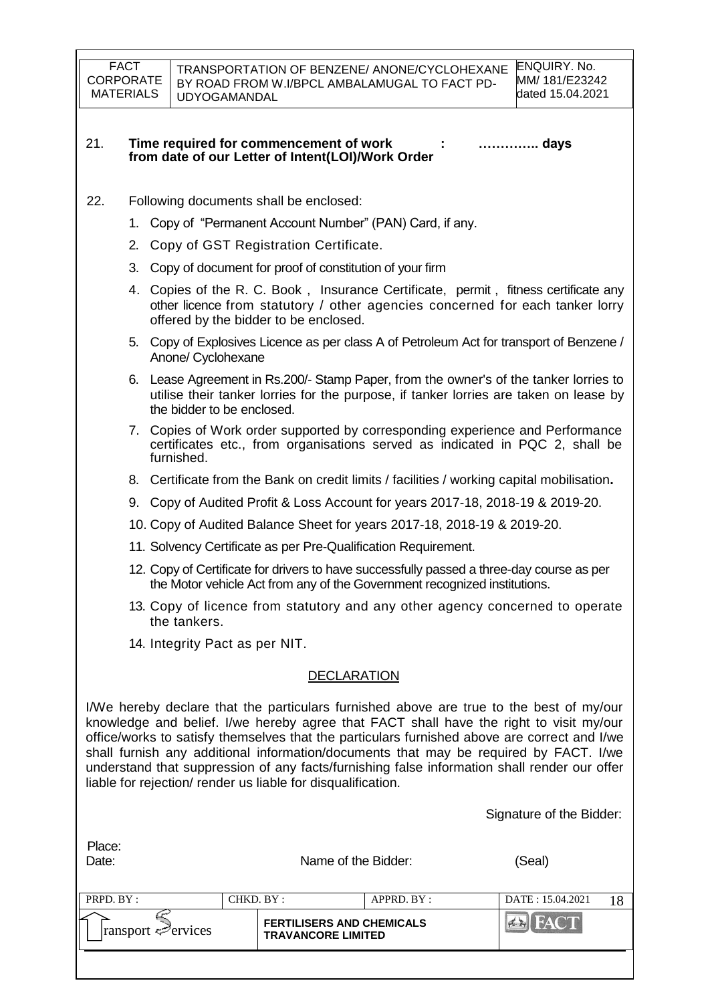- 22. Following documents shall be enclosed:
	- 1. Copy of "Permanent Account Number" (PAN) Card, if any.
	- 2. Copy of GST Registration Certificate.
	- 3. Copy of document for proof of constitution of your firm
	- 4. Copies of the R. C. Book , Insurance Certificate, permit , fitness certificate any other licence from statutory / other agencies concerned for each tanker lorry offered by the bidder to be enclosed.
	- 5. Copy of Explosives Licence as per class A of Petroleum Act for transport of Benzene / Anone/ Cyclohexane
	- 6. Lease Agreement in Rs.200/- Stamp Paper, from the owner's of the tanker lorries to utilise their tanker lorries for the purpose, if tanker lorries are taken on lease by the bidder to be enclosed.
	- 7. Copies of Work order supported by corresponding experience and Performance certificates etc., from organisations served as indicated in PQC 2, shall be furnished.
	- 8. Certificate from the Bank on credit limits / facilities / working capital mobilisation**.**
	- 9. Copy of Audited Profit & Loss Account for years 2017-18, 2018-19 & 2019-20.
	- 10. Copy of Audited Balance Sheet for years 2017-18, 2018-19 & 2019-20.
	- 11. Solvency Certificate as per Pre-Qualification Requirement.
	- 12. Copy of Certificate for drivers to have successfully passed a three-day course as per the Motor vehicle Act from any of the Government recognized institutions.
	- 13. Copy of licence from statutory and any other agency concerned to operate the tankers.
	- 14. Integrity Pact as per NIT.

Place:

#### DECLARATION

I/We hereby declare that the particulars furnished above are true to the best of my/our knowledge and belief. I/we hereby agree that FACT shall have the right to visit my/our office/works to satisfy themselves that the particulars furnished above are correct and I/we shall furnish any additional information/documents that may be required by FACT. I/we understand that suppression of any facts/furnishing false information shall render our offer liable for rejection/ render us liable for disqualification.

Signature of the Bidder:

| iuvv.<br>Date:                     |            | Name of the Bidder:                                           | (Seal)                  |
|------------------------------------|------------|---------------------------------------------------------------|-------------------------|
| PRPD. BY :                         | CHKD. BY : | APPRD. BY :                                                   | DATE: 15.04.2021<br>1 O |
| $ $ ransport $\mathcal{P}$ ervices |            | <b>FERTILISERS AND CHEMICALS</b><br><b>TRAVANCORE LIMITED</b> | <b>EN FACT</b>          |
|                                    |            |                                                               |                         |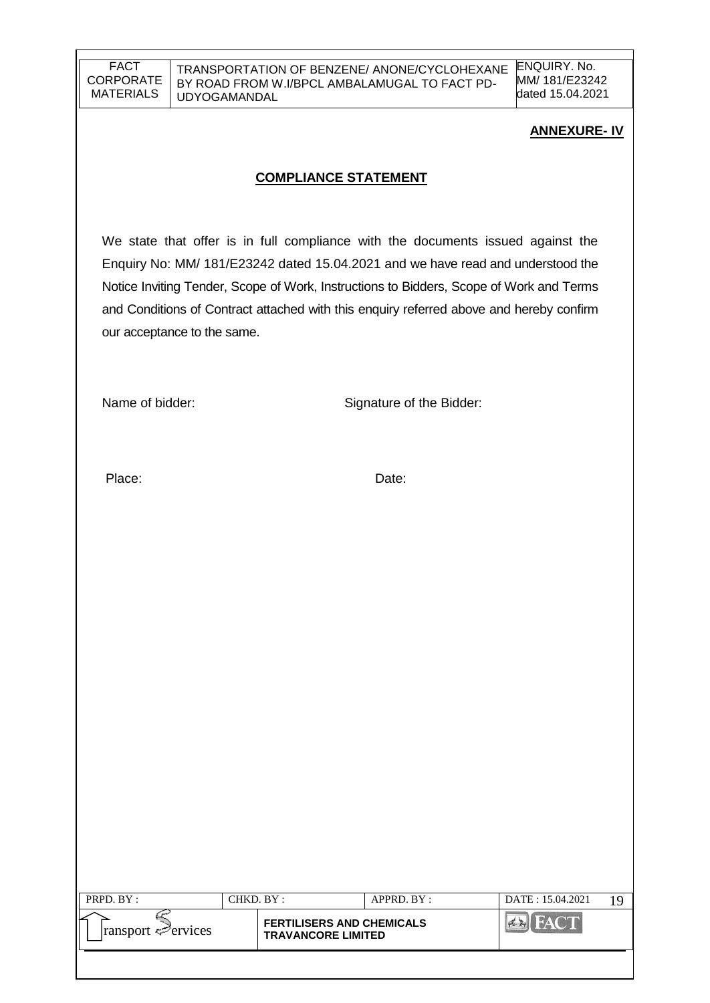TRANSPORTATION OF BENZENE/ ANONE/CYCLOHEXANE BY ROAD FROM W.I/BPCL AMBALAMUGAL TO FACT PD-UDYOGAMANDAL

ENQUIRY. No. MM/ 181/E23242 dated 15.04.2021

### **ANNEXURE- IV**

### **COMPLIANCE STATEMENT**

We state that offer is in full compliance with the documents issued against the Enquiry No: MM/ 181/E23242 dated 15.04.2021 and we have read and understood the Notice Inviting Tender, Scope of Work, Instructions to Bidders, Scope of Work and Terms and Conditions of Contract attached with this enquiry referred above and hereby confirm our acceptance to the same.

Name of bidder: Signature of the Bidder:

Place: Date:

| PRPD. BY:                   | CHKD. BY : |                                                               | APPRD. BY: | DATE: 15.04.2021 |  |
|-----------------------------|------------|---------------------------------------------------------------|------------|------------------|--|
| $ $ ransport $\leq$ ervices |            | <b>FERTILISERS AND CHEMICALS</b><br><b>TRAVANCORE LIMITED</b> |            |                  |  |
|                             |            |                                                               |            |                  |  |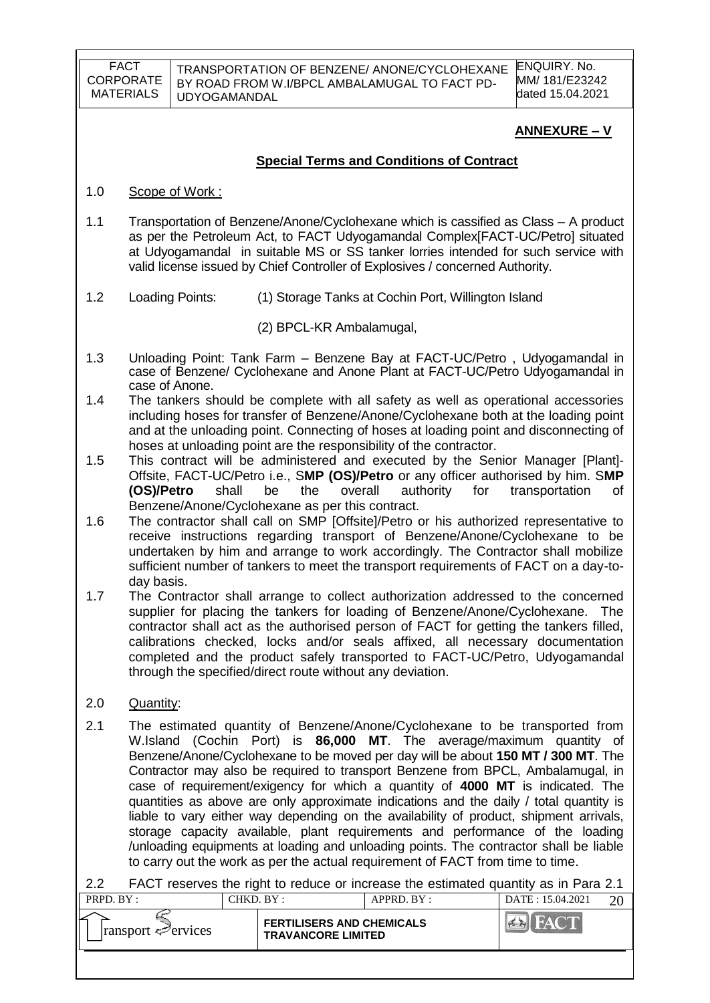TRANSPORTATION OF BENZENE/ ANONE/CYCLOHEXANE BY ROAD FROM W.I/BPCL AMBALAMUGAL TO FACT PD-UDYOGAMANDAL

ENQUIRY. No. MM/ 181/E23242 dated 15.04.2021

## **ANNEXURE – V**

### **Special Terms and Conditions of Contract**

- 1.0 Scope of Work :
- 1.1 Transportation of Benzene/Anone/Cyclohexane which is cassified as Class A product as per the Petroleum Act, to FACT Udyogamandal Complex[FACT-UC/Petro] situated at Udyogamandal in suitable MS or SS tanker lorries intended for such service with valid license issued by Chief Controller of Explosives / concerned Authority.
- 1.2 Loading Points: (1) Storage Tanks at Cochin Port, Willington Island

(2) BPCL-KR Ambalamugal,

- 1.3 Unloading Point: Tank Farm Benzene Bay at FACT-UC/Petro , Udyogamandal in case of Benzene/ Cyclohexane and Anone Plant at FACT-UC/Petro Udyogamandal in case of Anone.
- 1.4 The tankers should be complete with all safety as well as operational accessories including hoses for transfer of Benzene/Anone/Cyclohexane both at the loading point and at the unloading point. Connecting of hoses at loading point and disconnecting of hoses at unloading point are the responsibility of the contractor.
- 1.5 This contract will be administered and executed by the Senior Manager [Plant]- Offsite, FACT-UC/Petro i.e., S**MP (OS)/Petro** or any officer authorised by him. S**MP (OS)/Petro** shall be the overall authority for transportation of Benzene/Anone/Cyclohexane as per this contract.
- 1.6 The contractor shall call on SMP [Offsite]/Petro or his authorized representative to receive instructions regarding transport of Benzene/Anone/Cyclohexane to be undertaken by him and arrange to work accordingly. The Contractor shall mobilize sufficient number of tankers to meet the transport requirements of FACT on a day-today basis.
- 1.7 The Contractor shall arrange to collect authorization addressed to the concerned supplier for placing the tankers for loading of Benzene/Anone/Cyclohexane. The contractor shall act as the authorised person of FACT for getting the tankers filled, calibrations checked, locks and/or seals affixed, all necessary documentation completed and the product safely transported to FACT-UC/Petro, Udyogamandal through the specified/direct route without any deviation.
- 2.0 Quantity:
- 2.1 The estimated quantity of Benzene/Anone/Cyclohexane to be transported from W.Island (Cochin Port) is **86,000 MT**. The average/maximum quantity of Benzene/Anone/Cyclohexane to be moved per day will be about **150 MT / 300 MT**. The Contractor may also be required to transport Benzene from BPCL, Ambalamugal, in case of requirement/exigency for which a quantity of **4000 MT** is indicated. The quantities as above are only approximate indications and the daily / total quantity is liable to vary either way depending on the availability of product, shipment arrivals, storage capacity available, plant requirements and performance of the loading /unloading equipments at loading and unloading points. The contractor shall be liable to carry out the work as per the actual requirement of FACT from time to time.

2.2 FACT reserves the right to reduce or increase the estimated quantity as in Para 2.1<br>  $\frac{1 \text{ QED D P}}{1 \text{ QED R}} = \frac{1}{1}$ 

| <b>FERTILISERS AND CHEMICALS</b><br>$\lvert$ ransport $\ll$ ervices<br><b>TRAVANCORE LIMITED</b> |  |
|--------------------------------------------------------------------------------------------------|--|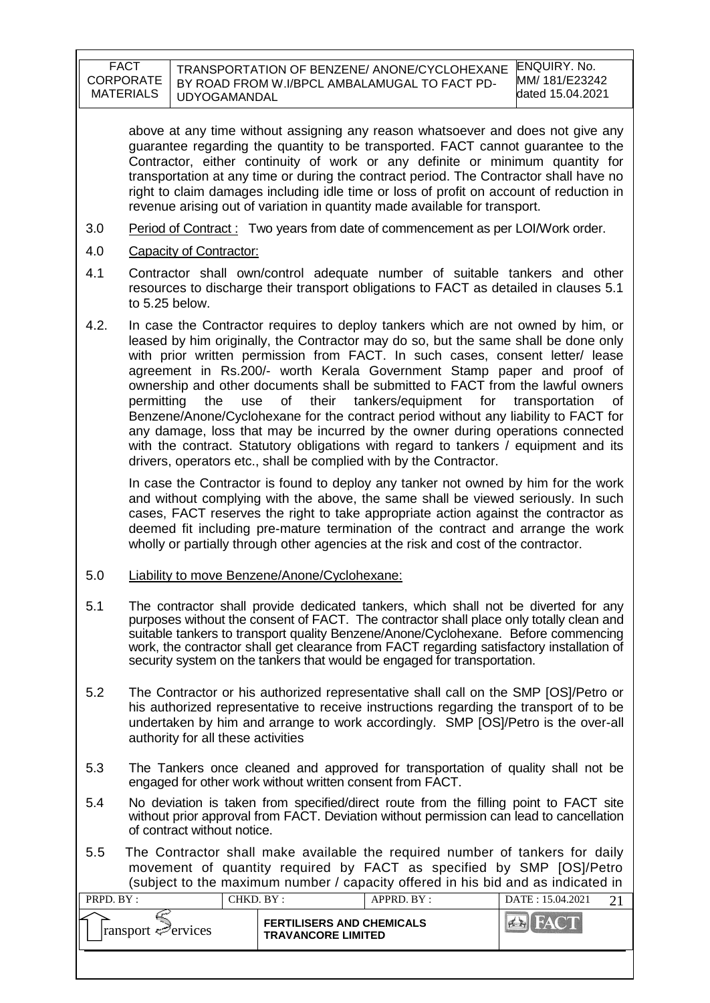| FACT             | TRANSPORTATION OF BENZENE/ ANONE/CYCLOHEXANE  | <b>ENQUIRY. No.</b> |
|------------------|-----------------------------------------------|---------------------|
| <b>CORPORATE</b> | BY ROAD FROM W.I/BPCL AMBALAMUGAL TO FACT PD- | MM/ 181/E23242      |
| <b>MATERIALS</b> | UDYOGAMANDAL                                  | dated 15.04.2021    |

above at any time without assigning any reason whatsoever and does not give any guarantee regarding the quantity to be transported. FACT cannot guarantee to the Contractor, either continuity of work or any definite or minimum quantity for transportation at any time or during the contract period. The Contractor shall have no right to claim damages including idle time or loss of profit on account of reduction in revenue arising out of variation in quantity made available for transport.

- 3.0 Period of Contract : Two years from date of commencement as per LOI/Work order.
- 4.0 Capacity of Contractor:
- 4.1 Contractor shall own/control adequate number of suitable tankers and other resources to discharge their transport obligations to FACT as detailed in clauses 5.1 to 5.25 below.
- 4.2. In case the Contractor requires to deploy tankers which are not owned by him, or leased by him originally, the Contractor may do so, but the same shall be done only with prior written permission from FACT. In such cases, consent letter/ lease agreement in Rs.200/- worth Kerala Government Stamp paper and proof of ownership and other documents shall be submitted to FACT from the lawful owners permitting the use of their tankers/equipment for transportation of Benzene/Anone/Cyclohexane for the contract period without any liability to FACT for any damage, loss that may be incurred by the owner during operations connected with the contract. Statutory obligations with regard to tankers / equipment and its drivers, operators etc., shall be complied with by the Contractor.

In case the Contractor is found to deploy any tanker not owned by him for the work and without complying with the above, the same shall be viewed seriously. In such cases, FACT reserves the right to take appropriate action against the contractor as deemed fit including pre-mature termination of the contract and arrange the work wholly or partially through other agencies at the risk and cost of the contractor.

#### 5.0 Liability to move Benzene/Anone/Cyclohexane:

- 5.1 The contractor shall provide dedicated tankers, which shall not be diverted for any purposes without the consent of FACT. The contractor shall place only totally clean and suitable tankers to transport quality Benzene/Anone/Cyclohexane. Before commencing work, the contractor shall get clearance from FACT regarding satisfactory installation of security system on the tankers that would be engaged for transportation.
- 5.2 The Contractor or his authorized representative shall call on the SMP [OS]/Petro or his authorized representative to receive instructions regarding the transport of to be undertaken by him and arrange to work accordingly. SMP [OS]/Petro is the over-all authority for all these activities
- 5.3 The Tankers once cleaned and approved for transportation of quality shall not be engaged for other work without written consent from FACT.
- 5.4 No deviation is taken from specified/direct route from the filling point to FACT site without prior approval from FACT. Deviation without permission can lead to cancellation of contract without notice.
- 5.5 The Contractor shall make available the required number of tankers for daily movement of quantity required by FACT as specified by SMP [OS]/Petro (subject to the maximum number / capacity offered in his bid and as indicated in

| PRPD. BY :                      | CHKD. BY: |                                                               | APPRD. BY: | DATE: 15.04.2021 |  |
|---------------------------------|-----------|---------------------------------------------------------------|------------|------------------|--|
| $\lvert$ ransport $\ll$ ervices |           | <b>FERTILISERS AND CHEMICALS</b><br><b>TRAVANCORE LIMITED</b> |            |                  |  |
|                                 |           |                                                               |            |                  |  |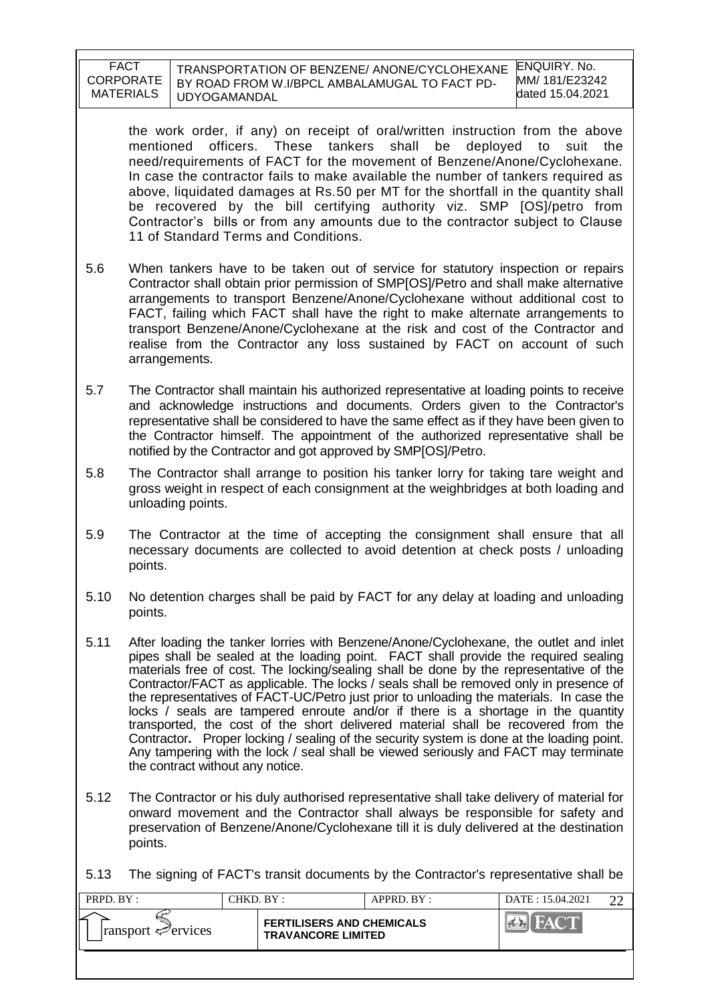| <b>FACT</b>      | TRANSPORTATION OF BENZENE/ ANONE/CYCLOHEXANE  | ENOU   |
|------------------|-----------------------------------------------|--------|
| <b>CORPORATE</b> | BY ROAD FROM W.I/BPCL AMBALAMUGAL TO FACT PD- | MM/ 18 |
| MATERIALS        | UDYOGAMANDAL                                  | dated  |

IRY. No. 81/ E23242 dated 15.04.2021

the work order, if any) on receipt of oral/written instruction from the above mentioned officers. These tankers shall be deployed to suit the need/requirements of FACT for the movement of Benzene/Anone/Cyclohexane. In case the contractor fails to make available the number of tankers required as above, liquidated damages at Rs.50 per MT for the shortfall in the quantity shall be recovered by the bill certifying authority viz. SMP [OS]/petro from Contractor"s bills or from any amounts due to the contractor subject to Clause 11 of Standard Terms and Conditions.

- 5.6 When tankers have to be taken out of service for statutory inspection or repairs Contractor shall obtain prior permission of SMP[OS]/Petro and shall make alternative arrangements to transport Benzene/Anone/Cyclohexane without additional cost to FACT, failing which FACT shall have the right to make alternate arrangements to transport Benzene/Anone/Cyclohexane at the risk and cost of the Contractor and realise from the Contractor any loss sustained by FACT on account of such arrangements.
- 5.7 The Contractor shall maintain his authorized representative at loading points to receive and acknowledge instructions and documents. Orders given to the Contractor's representative shall be considered to have the same effect as if they have been given to the Contractor himself. The appointment of the authorized representative shall be notified by the Contractor and got approved by SMP[OS]/Petro.
- 5.8 The Contractor shall arrange to position his tanker lorry for taking tare weight and gross weight in respect of each consignment at the weighbridges at both loading and unloading points.
- 5.9 The Contractor at the time of accepting the consignment shall ensure that all necessary documents are collected to avoid detention at check posts / unloading points.
- 5.10 No detention charges shall be paid by FACT for any delay at loading and unloading points.
- 5.11 After loading the tanker lorries with Benzene/Anone/Cyclohexane, the outlet and inlet pipes shall be sealed at the loading point. FACT shall provide the required sealing materials free of cost. The locking/sealing shall be done by the representative of the Contractor/FACT as applicable. The locks / seals shall be removed only in presence of the representatives of FACT-UC/Petro just prior to unloading the materials. In case the locks / seals are tampered enroute and/or if there is a shortage in the quantity transported, the cost of the short delivered material shall be recovered from the Contractor**.** Proper locking / sealing of the security system is done at the loading point. Any tampering with the lock / seal shall be viewed seriously and FACT may terminate the contract without any notice.
- 5.12 The Contractor or his duly authorised representative shall take delivery of material for onward movement and the Contractor shall always be responsible for safety and preservation of Benzene/Anone/Cyclohexane till it is duly delivered at the destination points.

5.13 The signing of FACT's transit documents by the Contractor's representative shall be

| PRPD. BY:                   | CHKD. BY:                                                     |  | APPRD. BY: | DATE: 15.04.2021 |  |
|-----------------------------|---------------------------------------------------------------|--|------------|------------------|--|
| $ $ ransport $\leq$ ervices | <b>FERTILISERS AND CHEMICALS</b><br><b>TRAVANCORE LIMITED</b> |  |            |                  |  |
|                             |                                                               |  |            |                  |  |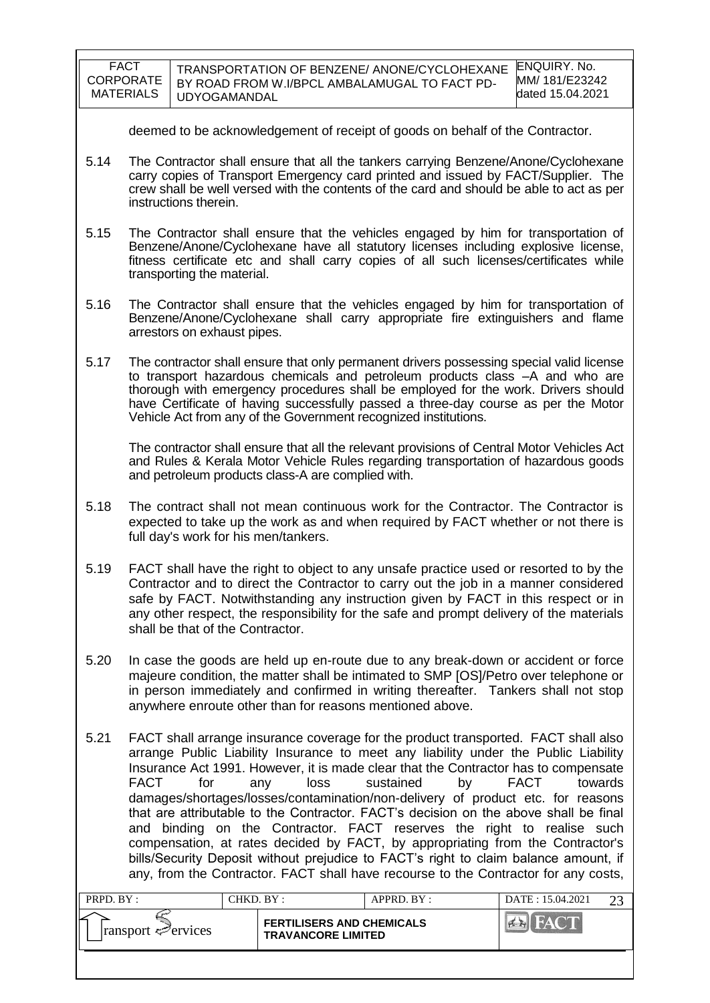| <b>FACT</b>      | TRANSPORTATION OF BENZENE/ ANONE/CYCLOHEXANE  | ENQUIRY. No.     |
|------------------|-----------------------------------------------|------------------|
| CORPORATE        | BY ROAD FROM W.I/BPCL AMBALAMUGAL TO FACT PD- | MM/181/E23242    |
| <b>MATERIALS</b> | UDYOGAMANDAL                                  | dated 15.04.2021 |
|                  |                                               |                  |

deemed to be acknowledgement of receipt of goods on behalf of the Contractor.

- 5.14 The Contractor shall ensure that all the tankers carrying Benzene/Anone/Cyclohexane carry copies of Transport Emergency card printed and issued by FACT/Supplier. The crew shall be well versed with the contents of the card and should be able to act as per instructions therein.
- 5.15 The Contractor shall ensure that the vehicles engaged by him for transportation of Benzene/Anone/Cyclohexane have all statutory licenses including explosive license, fitness certificate etc and shall carry copies of all such licenses/certificates while transporting the material.
- 5.16 The Contractor shall ensure that the vehicles engaged by him for transportation of Benzene/Anone/Cyclohexane shall carry appropriate fire extinguishers and flame arrestors on exhaust pipes.
- 5.17 The contractor shall ensure that only permanent drivers possessing special valid license to transport hazardous chemicals and petroleum products class –A and who are thorough with emergency procedures shall be employed for the work. Drivers should have Certificate of having successfully passed a three-day course as per the Motor Vehicle Act from any of the Government recognized institutions.

The contractor shall ensure that all the relevant provisions of Central Motor Vehicles Act and Rules & Kerala Motor Vehicle Rules regarding transportation of hazardous goods and petroleum products class-A are complied with.

- 5.18 The contract shall not mean continuous work for the Contractor. The Contractor is expected to take up the work as and when required by FACT whether or not there is full day's work for his men/tankers.
- 5.19 FACT shall have the right to object to any unsafe practice used or resorted to by the Contractor and to direct the Contractor to carry out the job in a manner considered safe by FACT. Notwithstanding any instruction given by FACT in this respect or in any other respect, the responsibility for the safe and prompt delivery of the materials shall be that of the Contractor.
- 5.20 In case the goods are held up en-route due to any break-down or accident or force majeure condition, the matter shall be intimated to SMP [OS]/Petro over telephone or in person immediately and confirmed in writing thereafter. Tankers shall not stop anywhere enroute other than for reasons mentioned above.
- 5.21 FACT shall arrange insurance coverage for the product transported. FACT shall also arrange Public Liability Insurance to meet any liability under the Public Liability Insurance Act 1991. However, it is made clear that the Contractor has to compensate FACT for any loss sustained by FACT towards damages/shortages/losses/contamination/non-delivery of product etc. for reasons that are attributable to the Contractor. FACT"s decision on the above shall be final and binding on the Contractor. FACT reserves the right to realise such compensation, at rates decided by FACT, by appropriating from the Contractor's bills/Security Deposit without prejudice to FACT"s right to claim balance amount, if any, from the Contractor. FACT shall have recourse to the Contractor for any costs,

| PRPD. BY:                            | CHKD. BY :                                                    |  | $APPRD$ . $BY$ : | DATE: 15.04.2021 |  |
|--------------------------------------|---------------------------------------------------------------|--|------------------|------------------|--|
| ⋍<br>$\lvert$ ransport $\ll$ ervices | <b>FERTILISERS AND CHEMICALS</b><br><b>TRAVANCORE LIMITED</b> |  |                  |                  |  |
|                                      |                                                               |  |                  |                  |  |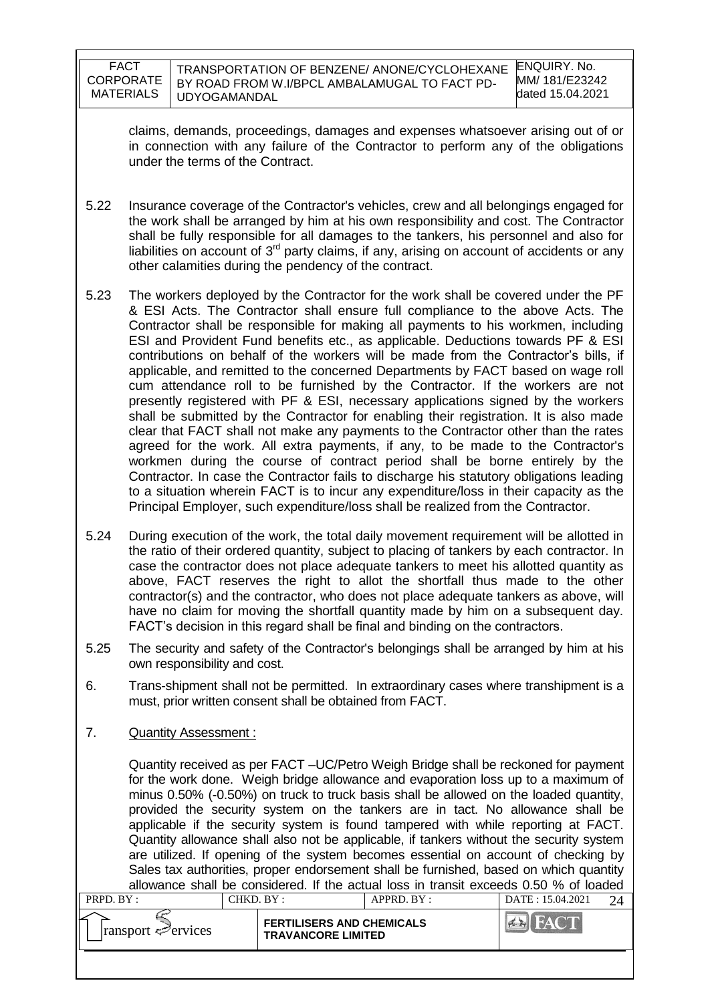| FACT      |
|-----------|
| CORPORATE |
| MATERIALS |

claims, demands, proceedings, damages and expenses whatsoever arising out of or in connection with any failure of the Contractor to perform any of the obligations under the terms of the Contract.

- 5.22 Insurance coverage of the Contractor's vehicles, crew and all belongings engaged for the work shall be arranged by him at his own responsibility and cost. The Contractor shall be fully responsible for all damages to the tankers, his personnel and also for liabilities on account of  $3<sup>rd</sup>$  party claims, if any, arising on account of accidents or any other calamities during the pendency of the contract.
- 5.23 The workers deployed by the Contractor for the work shall be covered under the PF & ESI Acts. The Contractor shall ensure full compliance to the above Acts. The Contractor shall be responsible for making all payments to his workmen, including ESI and Provident Fund benefits etc., as applicable. Deductions towards PF & ESI contributions on behalf of the workers will be made from the Contractor's bills, if applicable, and remitted to the concerned Departments by FACT based on wage roll cum attendance roll to be furnished by the Contractor. If the workers are not presently registered with PF & ESI, necessary applications signed by the workers shall be submitted by the Contractor for enabling their registration. It is also made clear that FACT shall not make any payments to the Contractor other than the rates agreed for the work. All extra payments, if any, to be made to the Contractor's workmen during the course of contract period shall be borne entirely by the Contractor. In case the Contractor fails to discharge his statutory obligations leading to a situation wherein FACT is to incur any expenditure/loss in their capacity as the Principal Employer, such expenditure/loss shall be realized from the Contractor.
- 5.24 During execution of the work, the total daily movement requirement will be allotted in the ratio of their ordered quantity, subject to placing of tankers by each contractor. In case the contractor does not place adequate tankers to meet his allotted quantity as above, FACT reserves the right to allot the shortfall thus made to the other contractor(s) and the contractor, who does not place adequate tankers as above, will have no claim for moving the shortfall quantity made by him on a subsequent day. FACT"s decision in this regard shall be final and binding on the contractors.
- 5.25 The security and safety of the Contractor's belongings shall be arranged by him at his own responsibility and cost.
- 6. Trans-shipment shall not be permitted. In extraordinary cases where transhipment is a must, prior written consent shall be obtained from FACT.
- 7. Quantity Assessment :

Quantity received as per FACT –UC/Petro Weigh Bridge shall be reckoned for payment for the work done. Weigh bridge allowance and evaporation loss up to a maximum of minus 0.50% (-0.50%) on truck to truck basis shall be allowed on the loaded quantity, provided the security system on the tankers are in tact. No allowance shall be applicable if the security system is found tampered with while reporting at FACT. Quantity allowance shall also not be applicable, if tankers without the security system are utilized. If opening of the system becomes essential on account of checking by Sales tax authorities, proper endorsement shall be furnished, based on which quantity allowance shall be considered. If the actual loss in transit exceeds 0.50 % of loaded

| PRPD. BY:                        |  | CHKD. BY :<br>$APPRD$ . BY :                                  |  | DATE: 15.04.2021 |  |
|----------------------------------|--|---------------------------------------------------------------|--|------------------|--|
| $\lvert$ ransport $\leq$ ervices |  | <b>FERTILISERS AND CHEMICALS</b><br><b>TRAVANCORE LIMITED</b> |  |                  |  |
|                                  |  |                                                               |  |                  |  |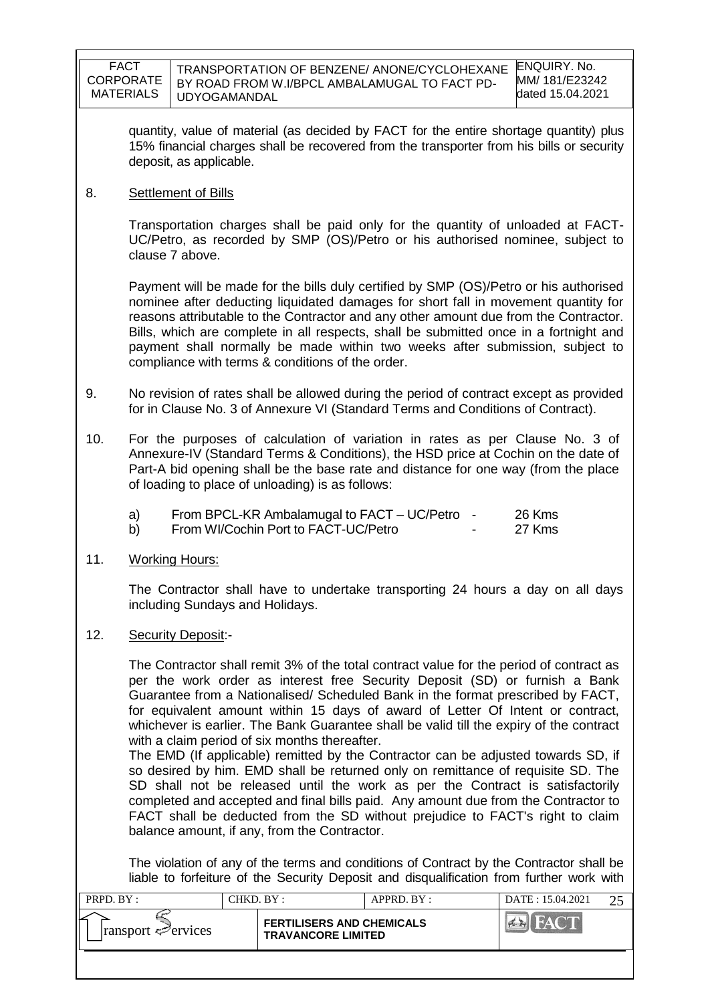| FACT<br>CORPORATE<br><b>MATERIALS</b> | TRANSPORTATION OF BENZENE/ ANONE/CYCLOHEXANE ENQUIRY. No.<br>BY ROAD FROM W.I/BPCL AMBALAMUGAL TO FACT PD-<br><b>UDYOGAMANDAL</b> | MM/ 181/E23242<br>dated 15.04.2021 |
|---------------------------------------|-----------------------------------------------------------------------------------------------------------------------------------|------------------------------------|
|---------------------------------------|-----------------------------------------------------------------------------------------------------------------------------------|------------------------------------|

quantity, value of material (as decided by FACT for the entire shortage quantity) plus 15% financial charges shall be recovered from the transporter from his bills or security deposit, as applicable.

8. Settlement of Bills

Transportation charges shall be paid only for the quantity of unloaded at FACT-UC/Petro, as recorded by SMP (OS)/Petro or his authorised nominee, subject to clause 7 above.

Payment will be made for the bills duly certified by SMP (OS)/Petro or his authorised nominee after deducting liquidated damages for short fall in movement quantity for reasons attributable to the Contractor and any other amount due from the Contractor. Bills, which are complete in all respects, shall be submitted once in a fortnight and payment shall normally be made within two weeks after submission, subject to compliance with terms & conditions of the order.

- 9. No revision of rates shall be allowed during the period of contract except as provided for in Clause No. 3 of Annexure VI (Standard Terms and Conditions of Contract).
- 10. For the purposes of calculation of variation in rates as per Clause No. 3 of Annexure-IV (Standard Terms & Conditions), the HSD price at Cochin on the date of Part-A bid opening shall be the base rate and distance for one way (from the place of loading to place of unloading) is as follows:
	- a) From BPCL-KR Ambalamugal to FACT UC/Petro 26 Kms
	- b) From WI/Cochin Port to FACT-UC/Petro **-** 27 Kms
- 11. Working Hours:

The Contractor shall have to undertake transporting 24 hours a day on all days including Sundays and Holidays.

12. Security Deposit:-

The Contractor shall remit 3% of the total contract value for the period of contract as per the work order as interest free Security Deposit (SD) or furnish a Bank Guarantee from a Nationalised/ Scheduled Bank in the format prescribed by FACT, for equivalent amount within 15 days of award of Letter Of Intent or contract, whichever is earlier. The Bank Guarantee shall be valid till the expiry of the contract with a claim period of six months thereafter.

The EMD (If applicable) remitted by the Contractor can be adjusted towards SD, if so desired by him. EMD shall be returned only on remittance of requisite SD. The SD shall not be released until the work as per the Contract is satisfactorily completed and accepted and final bills paid. Any amount due from the Contractor to FACT shall be deducted from the SD without prejudice to FACT's right to claim balance amount, if any, from the Contractor.

The violation of any of the terms and conditions of Contract by the Contractor shall be liable to forfeiture of the Security Deposit and disqualification from further work with

| PRPD. BY :                  | CHKD. BY :                                                    |  | APPRD. BY: | DATE: 15.04.2021 |  |
|-----------------------------|---------------------------------------------------------------|--|------------|------------------|--|
| $ $ ransport $\leq$ ervices | <b>FERTILISERS AND CHEMICALS</b><br><b>TRAVANCORE LIMITED</b> |  |            |                  |  |
|                             |                                                               |  |            |                  |  |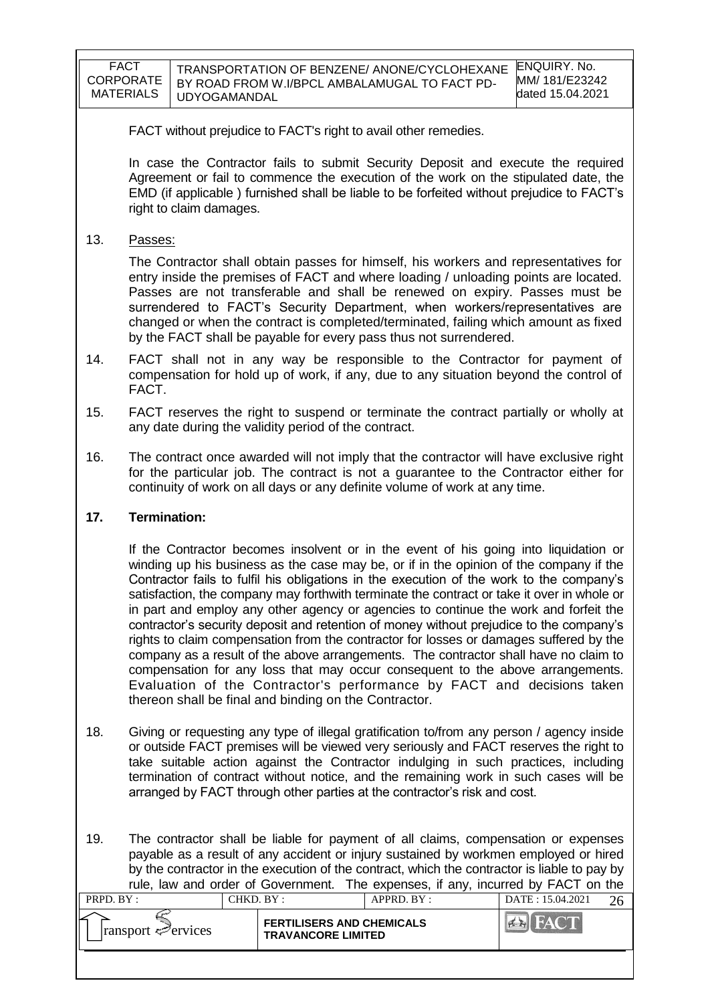| <b>FACT</b>      | TRANSPORTATION OF BENZENE/ ANONE/CYCLOHEXANE  | ENQUIRY, No.     |
|------------------|-----------------------------------------------|------------------|
| CORPORATE        | BY ROAD FROM W.I/BPCL AMBALAMUGAL TO FACT PD- | MM/181/E23242    |
| <b>MATERIALS</b> | UDYOGAMANDAL                                  | dated 15.04.2021 |

FACT without prejudice to FACT's right to avail other remedies.

In case the Contractor fails to submit Security Deposit and execute the required Agreement or fail to commence the execution of the work on the stipulated date, the EMD (if applicable ) furnished shall be liable to be forfeited without prejudice to FACT"s right to claim damages.

13. Passes:

The Contractor shall obtain passes for himself, his workers and representatives for entry inside the premises of FACT and where loading / unloading points are located. Passes are not transferable and shall be renewed on expiry. Passes must be surrendered to FACT"s Security Department, when workers/representatives are changed or when the contract is completed/terminated, failing which amount as fixed by the FACT shall be payable for every pass thus not surrendered.

- 14. FACT shall not in any way be responsible to the Contractor for payment of compensation for hold up of work, if any, due to any situation beyond the control of FACT.
- 15. FACT reserves the right to suspend or terminate the contract partially or wholly at any date during the validity period of the contract.
- 16. The contract once awarded will not imply that the contractor will have exclusive right for the particular job. The contract is not a guarantee to the Contractor either for continuity of work on all days or any definite volume of work at any time.

#### **17. Termination:**

If the Contractor becomes insolvent or in the event of his going into liquidation or winding up his business as the case may be, or if in the opinion of the company if the Contractor fails to fulfil his obligations in the execution of the work to the company"s satisfaction, the company may forthwith terminate the contract or take it over in whole or in part and employ any other agency or agencies to continue the work and forfeit the contractor"s security deposit and retention of money without prejudice to the company"s rights to claim compensation from the contractor for losses or damages suffered by the company as a result of the above arrangements. The contractor shall have no claim to compensation for any loss that may occur consequent to the above arrangements. Evaluation of the Contractor's performance by FACT and decisions taken thereon shall be final and binding on the Contractor.

- 18. Giving or requesting any type of illegal gratification to/from any person / agency inside or outside FACT premises will be viewed very seriously and FACT reserves the right to take suitable action against the Contractor indulging in such practices, including termination of contract without notice, and the remaining work in such cases will be arranged by FACT through other parties at the contractor"s risk and cost.
- 19. The contractor shall be liable for payment of all claims, compensation or expenses payable as a result of any accident or injury sustained by workmen employed or hired by the contractor in the execution of the contract, which the contractor is liable to pay by rule, law and order of Government. The expenses, if any, incurred by FACT on the

| PRPD. BY:                       | CHKD. BY : |                                                               | $APPRD$ . $BY$ : | DATE: 15.04.2021 |  |
|---------------------------------|------------|---------------------------------------------------------------|------------------|------------------|--|
| $\lvert$ ransport $\ll$ ervices |            | <b>FERTILISERS AND CHEMICALS</b><br><b>TRAVANCORE LIMITED</b> |                  |                  |  |
|                                 |            |                                                               |                  |                  |  |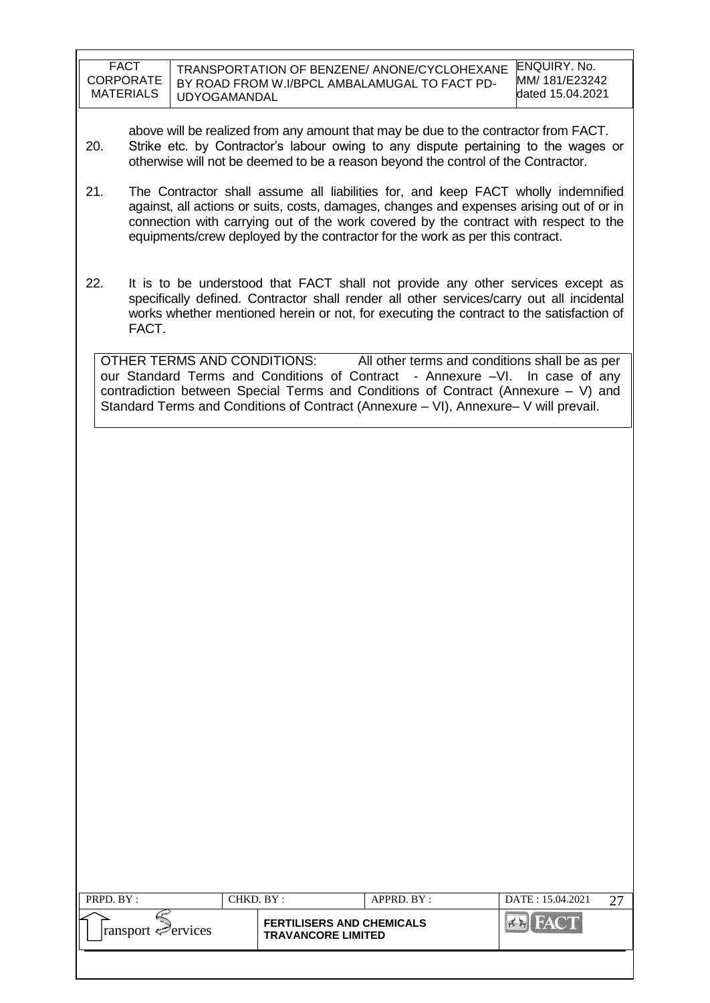| <b>FACT</b>      | TRANSPORTATION OF BENZENE/ ANONE/CYCLOHEXANE  | ENQUIRY, No.     |
|------------------|-----------------------------------------------|------------------|
| <b>CORPORATE</b> | BY ROAD FROM W.I/BPCL AMBALAMUGAL TO FACT PD- | MM/181/E23242    |
| <b>MATERIALS</b> | UDYOGAMANDAL                                  | dated 15.04.2021 |

above will be realized from any amount that may be due to the contractor from FACT. 20. Strike etc. by Contractor"s labour owing to any dispute pertaining to the wages or otherwise will not be deemed to be a reason beyond the control of the Contractor.

- 21. The Contractor shall assume all liabilities for, and keep FACT wholly indemnified against, all actions or suits, costs, damages, changes and expenses arising out of or in connection with carrying out of the work covered by the contract with respect to the equipments/crew deployed by the contractor for the work as per this contract.
- 22. It is to be understood that FACT shall not provide any other services except as specifically defined. Contractor shall render all other services/carry out all incidental works whether mentioned herein or not, for executing the contract to the satisfaction of FACT.

OTHER TERMS AND CONDITIONS: All other terms and conditions shall be as per our Standard Terms and Conditions of Contract - Annexure –VI. In case of any contradiction between Special Terms and Conditions of Contract (Annexure – V) and Standard Terms and Conditions of Contract (Annexure – VI), Annexure– V will prevail.

| PRPD. BY:                       | CHKD. BY : |                                                               | APPRD. BY: | DATE: 15.04.2021 |  |
|---------------------------------|------------|---------------------------------------------------------------|------------|------------------|--|
| $\lvert$ ransport $\ll$ ervices |            | <b>FERTILISERS AND CHEMICALS</b><br><b>TRAVANCORE LIMITED</b> |            | HAC T            |  |
|                                 |            |                                                               |            |                  |  |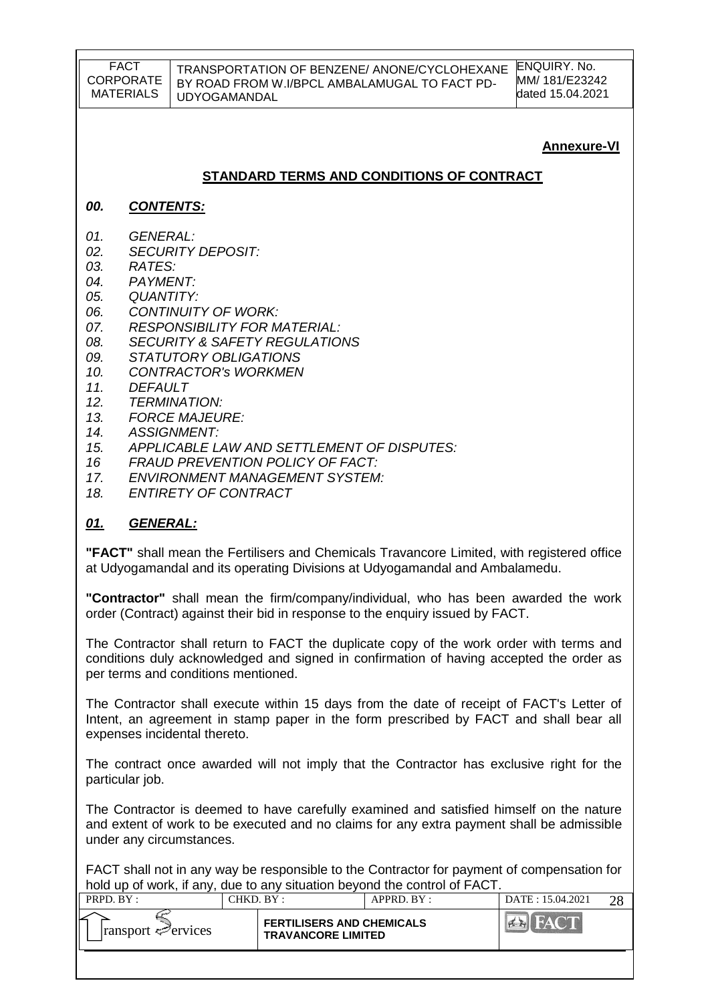#### TRANSPORTATION OF BENZENE/ ANONE/CYCLOHEXANE BY ROAD FROM W.I/BPCL AMBALAMUGAL TO FACT PD-UDYOGAMANDAL

ENQUIRY. No. MM/ 181/E23242 dated 15.04.2021

## **Annexure-VI**

### **STANDARD TERMS AND CONDITIONS OF CONTRACT**

#### *00. CONTENTS:*

- *01. GENERAL:*
- *02. SECURITY DEPOSIT:*
- *03. RATES:*
- *04. PAYMENT:*
- *05. QUANTITY:*
- *06. CONTINUITY OF WORK:*
- *07. RESPONSIBILITY FOR MATERIAL:*
- *08. SECURITY & SAFETY REGULATIONS*
- *09. STATUTORY OBLIGATIONS*
- *10. CONTRACTOR's WORKMEN*
- *11. DEFAULT*
- *12. TERMINATION:*
- *13. FORCE MAJEURE:*
- *14. ASSIGNMENT:*
- *15. APPLICABLE LAW AND SETTLEMENT OF DISPUTES:*
- *16 FRAUD PREVENTION POLICY OF FACT:*
- *17. ENVIRONMENT MANAGEMENT SYSTEM:*
- *18. ENTIRETY OF CONTRACT*

### *01. GENERAL:*

**"FACT"** shall mean the Fertilisers and Chemicals Travancore Limited, with registered office at Udyogamandal and its operating Divisions at Udyogamandal and Ambalamedu.

**"Contractor"** shall mean the firm/company/individual, who has been awarded the work order (Contract) against their bid in response to the enquiry issued by FACT.

The Contractor shall return to FACT the duplicate copy of the work order with terms and conditions duly acknowledged and signed in confirmation of having accepted the order as per terms and conditions mentioned.

The Contractor shall execute within 15 days from the date of receipt of FACT's Letter of Intent, an agreement in stamp paper in the form prescribed by FACT and shall bear all expenses incidental thereto.

The contract once awarded will not imply that the Contractor has exclusive right for the particular job.

The Contractor is deemed to have carefully examined and satisfied himself on the nature and extent of work to be executed and no claims for any extra payment shall be admissible under any circumstances.

FACT shall not in any way be responsible to the Contractor for payment of compensation for hold up of work, if any, due to any situation beyond the control of FACT.

| PRPD. BY:                        | CHKD. BY: |                                                               | $APPRD$ . $BY$ : | DATE: 15.04.2021 |  |
|----------------------------------|-----------|---------------------------------------------------------------|------------------|------------------|--|
| $\lvert$ ransport $\leq$ ervices |           | <b>FERTILISERS AND CHEMICALS</b><br><b>TRAVANCORE LIMITED</b> |                  |                  |  |
|                                  |           |                                                               |                  |                  |  |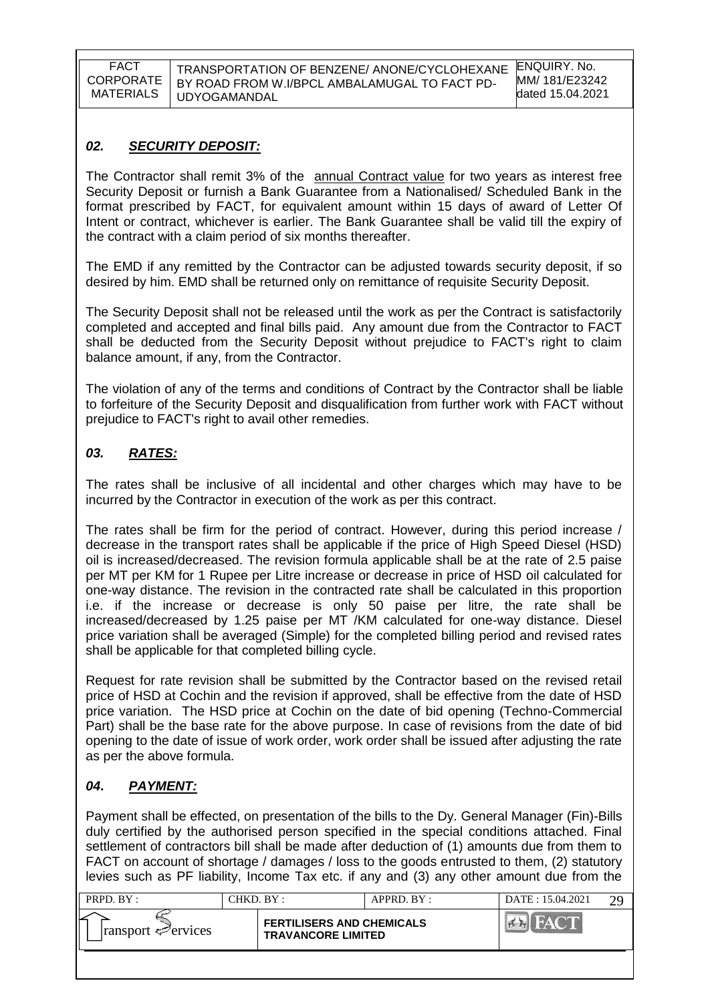TRANSPORTATION OF BENZENE/ ANONE/CYCLOHEXANE BY ROAD FROM W.I/BPCL AMBALAMUGAL TO FACT PD-UDYOGAMANDAL

### *02. SECURITY DEPOSIT:*

The Contractor shall remit 3% of the annual Contract value for two years as interest free Security Deposit or furnish a Bank Guarantee from a Nationalised/ Scheduled Bank in the format prescribed by FACT, for equivalent amount within 15 days of award of Letter Of Intent or contract, whichever is earlier. The Bank Guarantee shall be valid till the expiry of the contract with a claim period of six months thereafter.

The EMD if any remitted by the Contractor can be adjusted towards security deposit, if so desired by him. EMD shall be returned only on remittance of requisite Security Deposit.

The Security Deposit shall not be released until the work as per the Contract is satisfactorily completed and accepted and final bills paid. Any amount due from the Contractor to FACT shall be deducted from the Security Deposit without prejudice to FACT's right to claim balance amount, if any, from the Contractor.

The violation of any of the terms and conditions of Contract by the Contractor shall be liable to forfeiture of the Security Deposit and disqualification from further work with FACT without prejudice to FACT's right to avail other remedies.

### *03. RATES:*

The rates shall be inclusive of all incidental and other charges which may have to be incurred by the Contractor in execution of the work as per this contract.

The rates shall be firm for the period of contract. However, during this period increase / decrease in the transport rates shall be applicable if the price of High Speed Diesel (HSD) oil is increased/decreased. The revision formula applicable shall be at the rate of 2.5 paise per MT per KM for 1 Rupee per Litre increase or decrease in price of HSD oil calculated for one-way distance. The revision in the contracted rate shall be calculated in this proportion i.e. if the increase or decrease is only 50 paise per litre, the rate shall be increased/decreased by 1.25 paise per MT /KM calculated for one-way distance. Diesel price variation shall be averaged (Simple) for the completed billing period and revised rates shall be applicable for that completed billing cycle.

Request for rate revision shall be submitted by the Contractor based on the revised retail price of HSD at Cochin and the revision if approved, shall be effective from the date of HSD price variation. The HSD price at Cochin on the date of bid opening (Techno-Commercial Part) shall be the base rate for the above purpose. In case of revisions from the date of bid opening to the date of issue of work order, work order shall be issued after adjusting the rate as per the above formula.

### *04***.** *PAYMENT:*

Payment shall be effected, on presentation of the bills to the Dy. General Manager (Fin)-Bills duly certified by the authorised person specified in the special conditions attached. Final settlement of contractors bill shall be made after deduction of (1) amounts due from them to FACT on account of shortage / damages / loss to the goods entrusted to them, (2) statutory levies such as PF liability, Income Tax etc. if any and (3) any other amount due from the

| PRPD. BY:                       | CHKD. BY : |                                                               | APPRD. BY: | DATE: 15.04.2021 | $\gamma$ <sup><math>\alpha</math></sup> |
|---------------------------------|------------|---------------------------------------------------------------|------------|------------------|-----------------------------------------|
| $\lvert$ ransport $\ll$ ervices |            | <b>FERTILISERS AND CHEMICALS</b><br><b>TRAVANCORE LIMITED</b> |            |                  |                                         |
|                                 |            |                                                               |            |                  |                                         |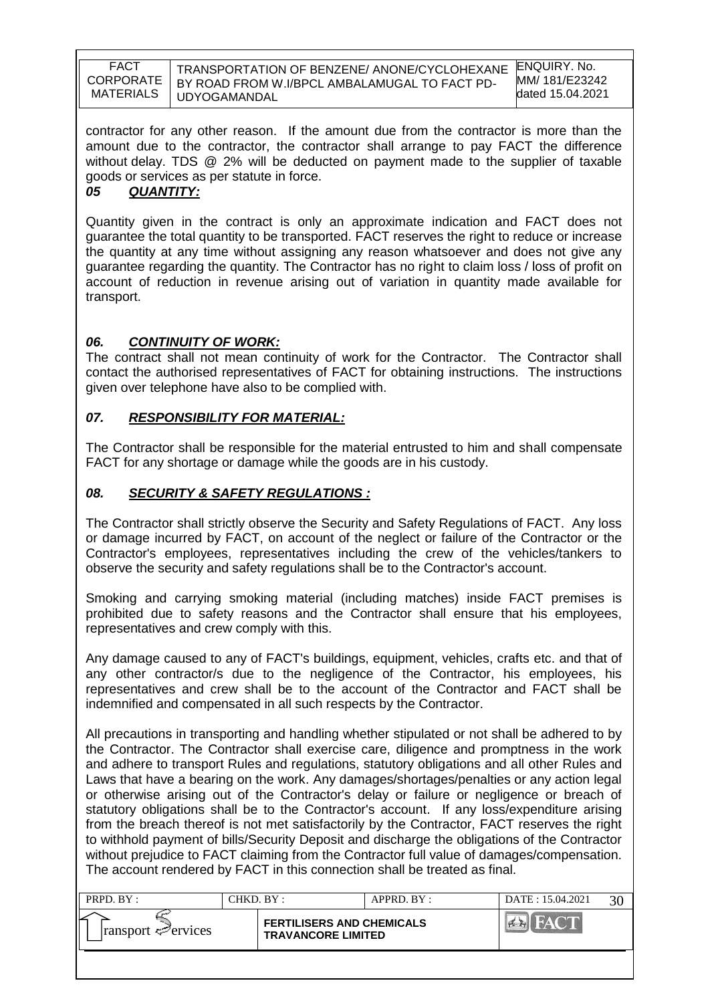TRANSPORTATION OF BENZENE/ ANONE/CYCLOHEXANE BY ROAD FROM W.I/BPCL AMBALAMUGAL TO FACT PD-UDYOGAMANDAL

ENQUIRY. No. MM/ 181/E23242 dated 15.04.2021

contractor for any other reason. If the amount due from the contractor is more than the amount due to the contractor, the contractor shall arrange to pay FACT the difference without delay. TDS @ 2% will be deducted on payment made to the supplier of taxable goods or services as per statute in force.

## *05 QUANTITY:*

Quantity given in the contract is only an approximate indication and FACT does not guarantee the total quantity to be transported. FACT reserves the right to reduce or increase the quantity at any time without assigning any reason whatsoever and does not give any guarantee regarding the quantity. The Contractor has no right to claim loss / loss of profit on account of reduction in revenue arising out of variation in quantity made available for transport.

### *06. CONTINUITY OF WORK:*

The contract shall not mean continuity of work for the Contractor. The Contractor shall contact the authorised representatives of FACT for obtaining instructions. The instructions given over telephone have also to be complied with.

### *07. RESPONSIBILITY FOR MATERIAL:*

The Contractor shall be responsible for the material entrusted to him and shall compensate FACT for any shortage or damage while the goods are in his custody.

### *08. SECURITY & SAFETY REGULATIONS :*

The Contractor shall strictly observe the Security and Safety Regulations of FACT. Any loss or damage incurred by FACT, on account of the neglect or failure of the Contractor or the Contractor's employees, representatives including the crew of the vehicles/tankers to observe the security and safety regulations shall be to the Contractor's account.

Smoking and carrying smoking material (including matches) inside FACT premises is prohibited due to safety reasons and the Contractor shall ensure that his employees, representatives and crew comply with this.

Any damage caused to any of FACT's buildings, equipment, vehicles, crafts etc. and that of any other contractor/s due to the negligence of the Contractor, his employees, his representatives and crew shall be to the account of the Contractor and FACT shall be indemnified and compensated in all such respects by the Contractor.

All precautions in transporting and handling whether stipulated or not shall be adhered to by the Contractor. The Contractor shall exercise care, diligence and promptness in the work and adhere to transport Rules and regulations, statutory obligations and all other Rules and Laws that have a bearing on the work. Any damages/shortages/penalties or any action legal or otherwise arising out of the Contractor's delay or failure or negligence or breach of statutory obligations shall be to the Contractor's account. If any loss/expenditure arising from the breach thereof is not met satisfactorily by the Contractor, FACT reserves the right to withhold payment of bills/Security Deposit and discharge the obligations of the Contractor without prejudice to FACT claiming from the Contractor full value of damages/compensation. The account rendered by FACT in this connection shall be treated as final.

| PRPD. BY :                                   | CHKD. BY : |                                                               | $APPRD$ . $BY$ : | DATE: 15.04.2021 | $30^{\circ}$ |
|----------------------------------------------|------------|---------------------------------------------------------------|------------------|------------------|--------------|
| ⋍<br>$\lvert$ ransport $\mathcal{P}$ ervices |            | <b>FERTILISERS AND CHEMICALS</b><br><b>TRAVANCORE LIMITED</b> |                  |                  |              |
|                                              |            |                                                               |                  |                  |              |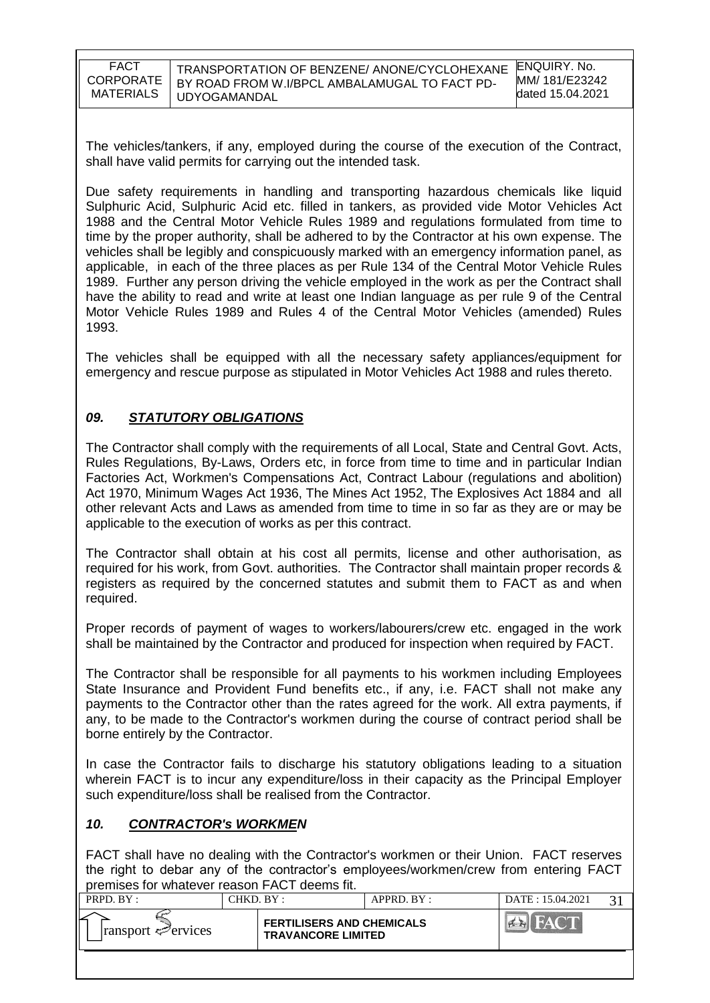| FACT             | TRANSPORTATION OF BENZENE/ ANONE/CYCLOHEXANE  | ENQUIRY, No.     |
|------------------|-----------------------------------------------|------------------|
| <b>CORPORATE</b> | BY ROAD FROM W.I/BPCL AMBALAMUGAL TO FACT PD- | MM/181/E23242    |
| MATERIALS        | <b>UDYOGAMANDAL</b>                           | dated 15.04.2021 |

The vehicles/tankers, if any, employed during the course of the execution of the Contract, shall have valid permits for carrying out the intended task.

Due safety requirements in handling and transporting hazardous chemicals like liquid Sulphuric Acid, Sulphuric Acid etc. filled in tankers, as provided vide Motor Vehicles Act 1988 and the Central Motor Vehicle Rules 1989 and regulations formulated from time to time by the proper authority, shall be adhered to by the Contractor at his own expense. The vehicles shall be legibly and conspicuously marked with an emergency information panel, as applicable, in each of the three places as per Rule 134 of the Central Motor Vehicle Rules 1989. Further any person driving the vehicle employed in the work as per the Contract shall have the ability to read and write at least one Indian language as per rule 9 of the Central Motor Vehicle Rules 1989 and Rules 4 of the Central Motor Vehicles (amended) Rules 1993.

The vehicles shall be equipped with all the necessary safety appliances/equipment for emergency and rescue purpose as stipulated in Motor Vehicles Act 1988 and rules thereto.

## *09. STATUTORY OBLIGATIONS*

The Contractor shall comply with the requirements of all Local, State and Central Govt. Acts, Rules Regulations, By-Laws, Orders etc, in force from time to time and in particular Indian Factories Act, Workmen's Compensations Act, Contract Labour (regulations and abolition) Act 1970, Minimum Wages Act 1936, The Mines Act 1952, The Explosives Act 1884 and all other relevant Acts and Laws as amended from time to time in so far as they are or may be applicable to the execution of works as per this contract.

The Contractor shall obtain at his cost all permits, license and other authorisation, as required for his work, from Govt. authorities. The Contractor shall maintain proper records & registers as required by the concerned statutes and submit them to FACT as and when required.

Proper records of payment of wages to workers/labourers/crew etc. engaged in the work shall be maintained by the Contractor and produced for inspection when required by FACT.

The Contractor shall be responsible for all payments to his workmen including Employees State Insurance and Provident Fund benefits etc., if any, i.e. FACT shall not make any payments to the Contractor other than the rates agreed for the work. All extra payments, if any, to be made to the Contractor's workmen during the course of contract period shall be borne entirely by the Contractor.

In case the Contractor fails to discharge his statutory obligations leading to a situation wherein FACT is to incur any expenditure/loss in their capacity as the Principal Employer such expenditure/loss shall be realised from the Contractor.

### *10. CONTRACTOR's WORKMEN*

FACT shall have no dealing with the Contractor's workmen or their Union. FACT reserves the right to debar any of the contractor"s employees/workmen/crew from entering FACT premises for whatever reason FACT deems fit.

| PRPD. BY:                   | CHKD. BY:                                                     | APPRD. BY: | DATE: 15.04.2021 |  |
|-----------------------------|---------------------------------------------------------------|------------|------------------|--|
| $ $ ransport $\leq$ ervices | <b>FERTILISERS AND CHEMICALS</b><br><b>TRAVANCORE LIMITED</b> |            |                  |  |
|                             |                                                               |            |                  |  |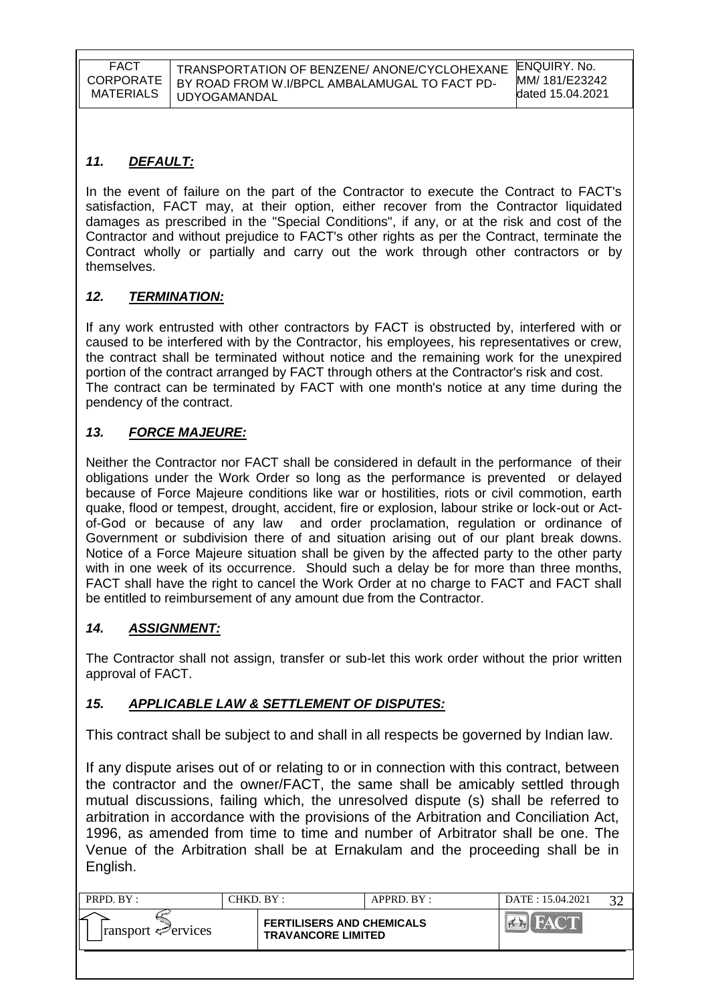## *11. DEFAULT:*

In the event of failure on the part of the Contractor to execute the Contract to FACT's satisfaction, FACT may, at their option, either recover from the Contractor liquidated damages as prescribed in the "Special Conditions", if any, or at the risk and cost of the Contractor and without prejudice to FACT's other rights as per the Contract, terminate the Contract wholly or partially and carry out the work through other contractors or by themselves.

## *12. TERMINATION:*

If any work entrusted with other contractors by FACT is obstructed by, interfered with or caused to be interfered with by the Contractor, his employees, his representatives or crew, the contract shall be terminated without notice and the remaining work for the unexpired portion of the contract arranged by FACT through others at the Contractor's risk and cost. The contract can be terminated by FACT with one month's notice at any time during the pendency of the contract.

# *13. FORCE MAJEURE:*

Neither the Contractor nor FACT shall be considered in default in the performance of their obligations under the Work Order so long as the performance is prevented or delayed because of Force Majeure conditions like war or hostilities, riots or civil commotion, earth quake, flood or tempest, drought, accident, fire or explosion, labour strike or lock-out or Actof-God or because of any law and order proclamation, regulation or ordinance of Government or subdivision there of and situation arising out of our plant break downs. Notice of a Force Majeure situation shall be given by the affected party to the other party with in one week of its occurrence. Should such a delay be for more than three months, FACT shall have the right to cancel the Work Order at no charge to FACT and FACT shall be entitled to reimbursement of any amount due from the Contractor.

## *14. ASSIGNMENT:*

The Contractor shall not assign, transfer or sub-let this work order without the prior written approval of FACT.

## *15. APPLICABLE LAW & SETTLEMENT OF DISPUTES:*

This contract shall be subject to and shall in all respects be governed by Indian law.

If any dispute arises out of or relating to or in connection with this contract, between the contractor and the owner/FACT, the same shall be amicably settled through mutual discussions, failing which, the unresolved dispute (s) shall be referred to arbitration in accordance with the provisions of the Arbitration and Conciliation Act, 1996, as amended from time to time and number of Arbitrator shall be one. The Venue of the Arbitration shall be at Ernakulam and the proceeding shall be in English.

| PRPD. BY:                   | CHKD. BY :                                                    | APPRD. BY: | DATE: 15.04.2021 | $\mathbf{2} \cap$ |
|-----------------------------|---------------------------------------------------------------|------------|------------------|-------------------|
| $ $ ransport $\leq$ ervices | <b>FERTILISERS AND CHEMICALS</b><br><b>TRAVANCORE LIMITED</b> |            |                  |                   |
|                             |                                                               |            |                  |                   |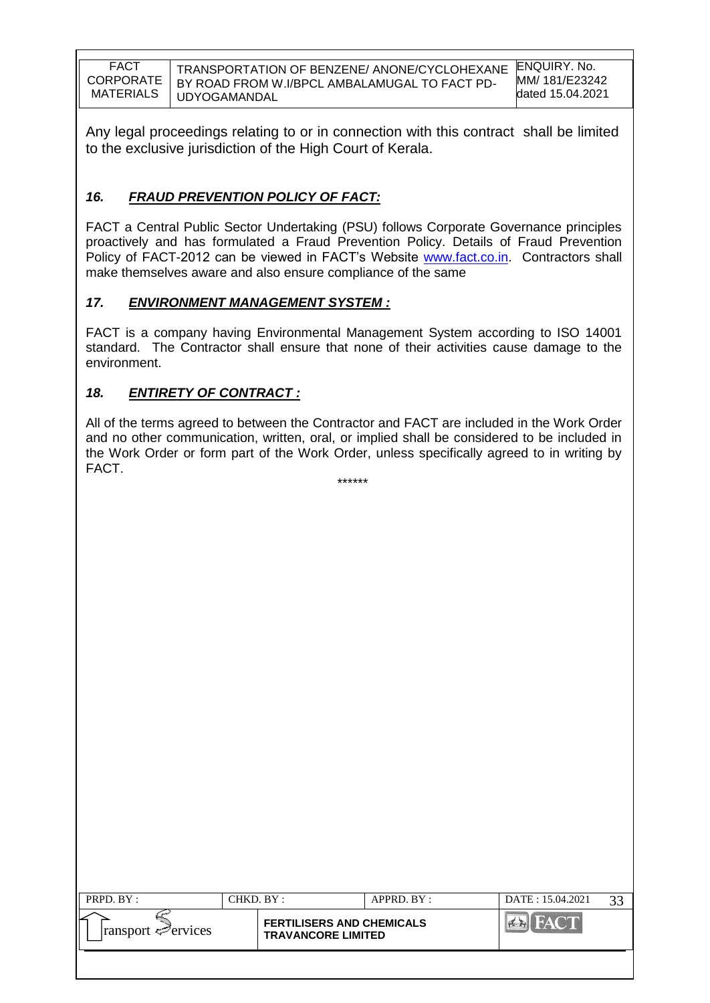TRANSPORTATION OF BENZENE/ ANONE/CYCLOHEXANE BY ROAD FROM W.I/BPCL AMBALAMUGAL TO FACT PD-UDYOGAMANDAL

Any legal proceedings relating to or in connection with this contract shall be limited to the exclusive jurisdiction of the High Court of Kerala.

## *16. FRAUD PREVENTION POLICY OF FACT:*

FACT a Central Public Sector Undertaking (PSU) follows Corporate Governance principles proactively and has formulated a Fraud Prevention Policy. Details of Fraud Prevention Policy of FACT-2012 can be viewed in FACT"s Website [www.fact.co.in.](http://www.fact.co.in/) Contractors shall make themselves aware and also ensure compliance of the same

## *17. ENVIRONMENT MANAGEMENT SYSTEM :*

FACT is a company having Environmental Management System according to ISO 14001 standard. The Contractor shall ensure that none of their activities cause damage to the environment.

## *18. ENTIRETY OF CONTRACT :*

All of the terms agreed to between the Contractor and FACT are included in the Work Order and no other communication, written, oral, or implied shall be considered to be included in the Work Order or form part of the Work Order, unless specifically agreed to in writing by FACT. \*\*\*\*\*\*

| PRPD. BY :                         | CHKD. BY:                                                     | APPRD. BY: | DATE: 15.04.2021 | 33 |
|------------------------------------|---------------------------------------------------------------|------------|------------------|----|
| $ $ ransport $\mathcal{P}$ ervices | <b>FERTILISERS AND CHEMICALS</b><br><b>TRAVANCORE LIMITED</b> |            | <b>FACT</b>      |    |
|                                    |                                                               |            |                  |    |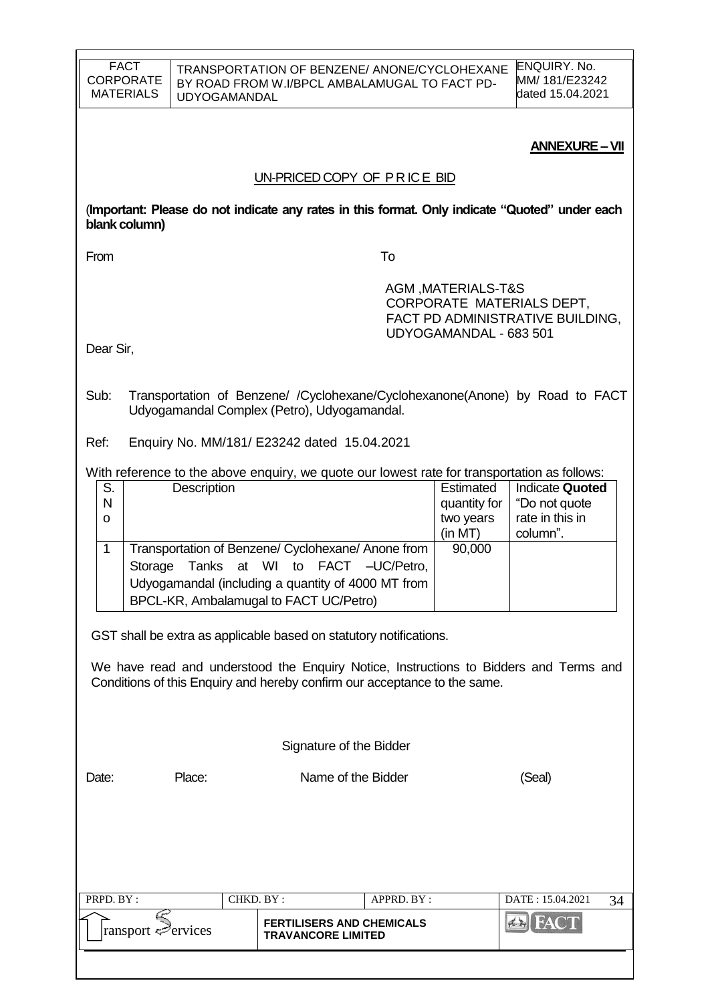| <b>FACT</b><br><b>CORPORATE</b><br><b>MATERIALS</b> | <b>UDYOGAMANDAL</b> | TRANSPORTATION OF BENZENE/ ANONE/CYCLOHEXANE<br>BY ROAD FROM W.I/BPCL AMBALAMUGAL TO FACT PD-                                                                                 |               |                                                   | <b>ENQUIRY. No.</b><br>MM/ 181/E23242<br>dated 15.04.2021              |    |
|-----------------------------------------------------|---------------------|-------------------------------------------------------------------------------------------------------------------------------------------------------------------------------|---------------|---------------------------------------------------|------------------------------------------------------------------------|----|
|                                                     |                     | UN-PRICED COPY OF PRICE BID                                                                                                                                                   |               |                                                   | <b>ANNEXURE - VII</b>                                                  |    |
| blank column)                                       |                     | (Important: Please do not indicate any rates in this format. Only indicate "Quoted" under each                                                                                |               |                                                   |                                                                        |    |
| From                                                |                     |                                                                                                                                                                               | To            |                                                   |                                                                        |    |
|                                                     |                     |                                                                                                                                                                               |               | AGM, MATERIALS-T&S<br>UDYOGAMANDAL - 683 501      | CORPORATE MATERIALS DEPT,<br>FACT PD ADMINISTRATIVE BUILDING.          |    |
| Dear Sir,                                           |                     |                                                                                                                                                                               |               |                                                   |                                                                        |    |
| Sub:                                                |                     | Transportation of Benzene/ / Cyclohexane/Cyclohexanone(Anone) by Road to FACT<br>Udyogamandal Complex (Petro), Udyogamandal.                                                  |               |                                                   |                                                                        |    |
| Ref:                                                |                     | Enquiry No. MM/181/ E23242 dated 15.04.2021                                                                                                                                   |               |                                                   |                                                                        |    |
| S.<br>N<br>o                                        | Description         | With reference to the above enquiry, we quote our lowest rate for transportation as follows:                                                                                  |               | Estimated<br>quantity for<br>two years<br>(in MT) | <b>Indicate Quoted</b><br>"Do not quote<br>rate in this in<br>column". |    |
| $\mathbf{1}$<br>Storage                             | Tanks<br>at         | Transportation of Benzene/ Cyclohexane/ Anone from<br>WI<br>to<br><b>FACT</b><br>Udyogamandal (including a quantity of 4000 MT from<br>BPCL-KR, Ambalamugal to FACT UC/Petro) | $-UC/Petro$ , | 90,000                                            |                                                                        |    |
|                                                     |                     | GST shall be extra as applicable based on statutory notifications.                                                                                                            |               |                                                   |                                                                        |    |
|                                                     |                     | We have read and understood the Enquiry Notice, Instructions to Bidders and Terms and<br>Conditions of this Enquiry and hereby confirm our acceptance to the same.            |               |                                                   |                                                                        |    |
|                                                     |                     | Signature of the Bidder                                                                                                                                                       |               |                                                   |                                                                        |    |
| Date:                                               | Place:              | Name of the Bidder                                                                                                                                                            |               |                                                   | (Seal)                                                                 |    |
|                                                     |                     |                                                                                                                                                                               |               |                                                   |                                                                        |    |
| PRPD. BY:                                           |                     | CHKD. BY:<br><b>FERTILISERS AND CHEMICALS</b>                                                                                                                                 | APPRD. BY:    |                                                   | DATE: 15.04.2021<br>A                                                  | 34 |
| ransport ⇔ervices                                   |                     | <b>TRAVANCORE LIMITED</b>                                                                                                                                                     |               |                                                   |                                                                        |    |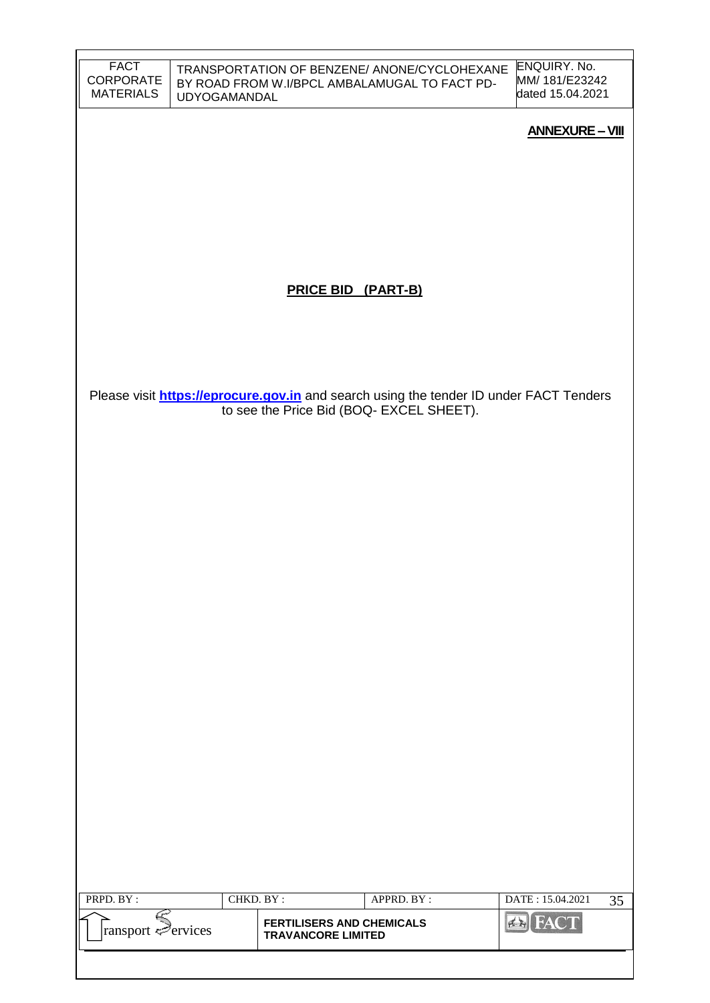| <b>FACT</b>                   |              |                                                               | TRANSPORTATION OF BENZENE/ ANONE/CYCLOHEXANE                                                                                              | ENQUIRY. No.<br>MM/ 181/E23242 |
|-------------------------------|--------------|---------------------------------------------------------------|-------------------------------------------------------------------------------------------------------------------------------------------|--------------------------------|
| CORPORATE<br><b>MATERIALS</b> | UDYOGAMANDAL |                                                               | BY ROAD FROM W.I/BPCL AMBALAMUGAL TO FACT PD-                                                                                             | dated 15.04.2021               |
|                               |              |                                                               |                                                                                                                                           | <b>ANNEXURE - VIII</b>         |
|                               |              |                                                               |                                                                                                                                           |                                |
|                               |              |                                                               |                                                                                                                                           |                                |
|                               |              |                                                               |                                                                                                                                           |                                |
|                               |              |                                                               |                                                                                                                                           |                                |
|                               |              | <b>PRICE BID (PART-B)</b>                                     |                                                                                                                                           |                                |
|                               |              |                                                               |                                                                                                                                           |                                |
|                               |              |                                                               |                                                                                                                                           |                                |
|                               |              |                                                               |                                                                                                                                           |                                |
|                               |              |                                                               | Please visit <b>https://eprocure.gov.in</b> and search using the tender ID under FACT Tenders<br>to see the Price Bid (BOQ- EXCEL SHEET). |                                |
|                               |              |                                                               |                                                                                                                                           |                                |
|                               |              |                                                               |                                                                                                                                           |                                |
|                               |              |                                                               |                                                                                                                                           |                                |
|                               |              |                                                               |                                                                                                                                           |                                |
|                               |              |                                                               |                                                                                                                                           |                                |
|                               |              |                                                               |                                                                                                                                           |                                |
|                               |              |                                                               |                                                                                                                                           |                                |
|                               |              |                                                               |                                                                                                                                           |                                |
|                               |              |                                                               |                                                                                                                                           |                                |
|                               |              |                                                               |                                                                                                                                           |                                |
|                               |              |                                                               |                                                                                                                                           |                                |
|                               |              |                                                               |                                                                                                                                           |                                |
|                               |              |                                                               |                                                                                                                                           |                                |
|                               |              |                                                               |                                                                                                                                           |                                |
|                               |              |                                                               |                                                                                                                                           |                                |
| PRPD. BY:                     | CHKD. BY:    |                                                               | APPRD. BY:                                                                                                                                | DATE: 15.04.2021<br>35         |
| ransport Pervices             |              | <b>FERTILISERS AND CHEMICALS</b><br><b>TRAVANCORE LIMITED</b> |                                                                                                                                           | <b>EN FACT</b>                 |
|                               |              |                                                               |                                                                                                                                           |                                |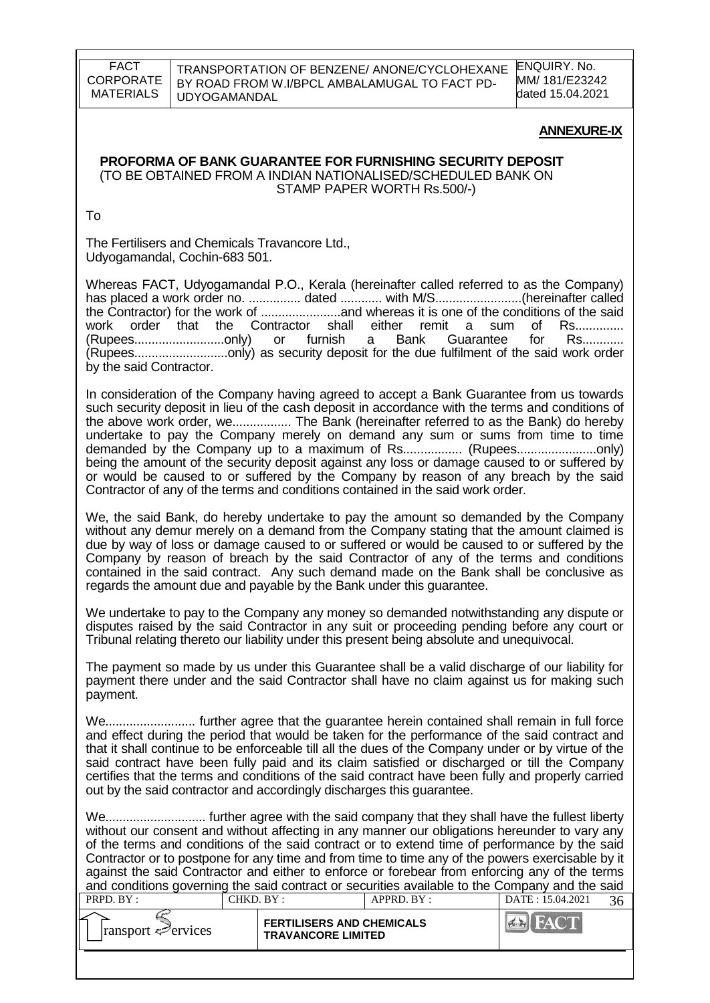ENQUIRY. No. MM/ 181/E23242 dated 15.04.2021

#### **ANNEXURE-IX**

#### **PROFORMA OF BANK GUARANTEE FOR FURNISHING SECURITY DEPOSIT** (TO BE OBTAINED FROM A INDIAN NATIONALISED/SCHEDULED BANK ON STAMP PAPER WORTH Rs.500/-)

To

The Fertilisers and Chemicals Travancore Ltd., Udyogamandal, Cochin-683 501.

Whereas FACT, Udyogamandal P.O., Kerala (hereinafter called referred to as the Company) has placed a work order no. ............... dated ............ with M/S.........................(hereinafter called the Contractor) for the work of .......................and whereas it is one of the conditions of the said work order that the Contractor shall either remit a sum of Rs..............<br>(Rupees...............................only) or furnish a Bank Guarantee for Rs............ (Rupees..........................only) or furnish a Bank Guarantee for Rs............ (Rupees...........................only) as security deposit for the due fulfilment of the said work order by the said Contractor.

In consideration of the Company having agreed to accept a Bank Guarantee from us towards such security deposit in lieu of the cash deposit in accordance with the terms and conditions of the above work order, we................. The Bank (hereinafter referred to as the Bank) do hereby undertake to pay the Company merely on demand any sum or sums from time to time demanded by the Company up to a maximum of Rs................. (Rupees.......................only) being the amount of the security deposit against any loss or damage caused to or suffered by or would be caused to or suffered by the Company by reason of any breach by the said Contractor of any of the terms and conditions contained in the said work order.

We, the said Bank, do hereby undertake to pay the amount so demanded by the Company without any demur merely on a demand from the Company stating that the amount claimed is due by way of loss or damage caused to or suffered or would be caused to or suffered by the Company by reason of breach by the said Contractor of any of the terms and conditions contained in the said contract. Any such demand made on the Bank shall be conclusive as regards the amount due and payable by the Bank under this guarantee.

We undertake to pay to the Company any money so demanded notwithstanding any dispute or disputes raised by the said Contractor in any suit or proceeding pending before any court or Tribunal relating thereto our liability under this present being absolute and unequivocal.

The payment so made by us under this Guarantee shall be a valid discharge of our liability for payment there under and the said Contractor shall have no claim against us for making such payment.

We.......................... further agree that the guarantee herein contained shall remain in full force and effect during the period that would be taken for the performance of the said contract and that it shall continue to be enforceable till all the dues of the Company under or by virtue of the said contract have been fully paid and its claim satisfied or discharged or till the Company certifies that the terms and conditions of the said contract have been fully and properly carried out by the said contractor and accordingly discharges this guarantee.

We............................. further agree with the said company that they shall have the fullest liberty without our consent and without affecting in any manner our obligations hereunder to vary any of the terms and conditions of the said contract or to extend time of performance by the said Contractor or to postpone for any time and from time to time any of the powers exercisable by it against the said Contractor and either to enforce or forebear from enforcing any of the terms and conditions governing the said contract or securities available to the Company and the said

| <b>FERTILISERS AND CHEMICALS</b><br>$\lvert$ ransport $\mathcal{P}$ ervices<br><b>TRAVANCORE LIMITED</b> | PRPD. BY: | CHKD. BY : | $APPRD$ . $BY$ : | DATE: 15.04.2021 |  |
|----------------------------------------------------------------------------------------------------------|-----------|------------|------------------|------------------|--|
|                                                                                                          |           |            |                  |                  |  |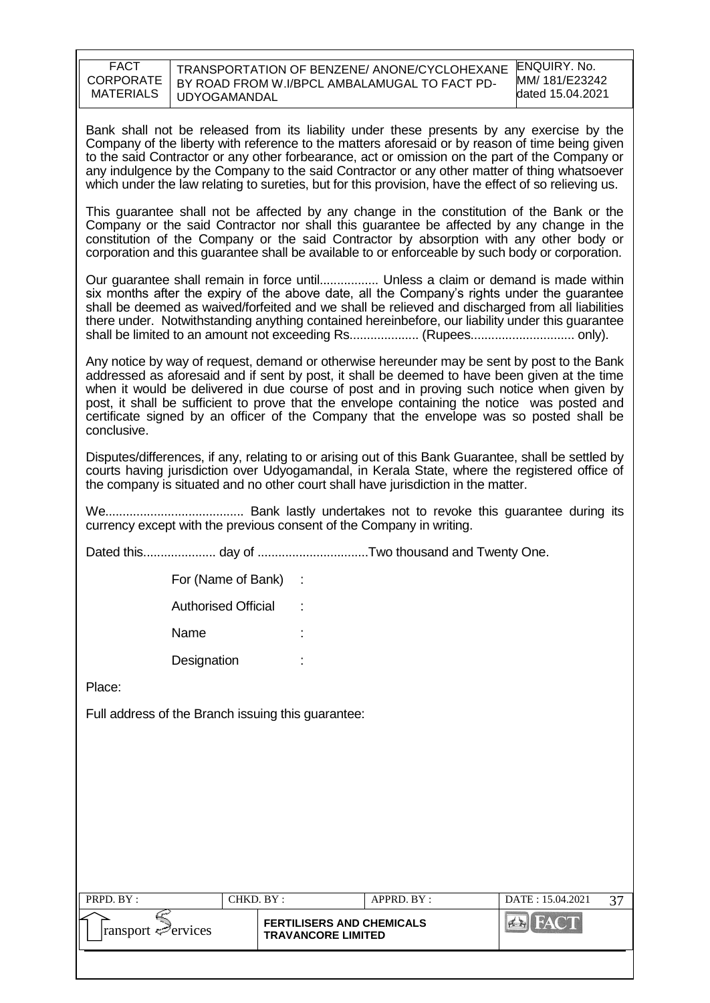| <b>FACT</b>      | TRANSPORTATION OF BENZENE/ ANONE/CYCLOHEXANE  | ENQUIRY, No.     |
|------------------|-----------------------------------------------|------------------|
| CORPORATE        | BY ROAD FROM W.I/BPCL AMBALAMUGAL TO FACT PD- | MM/ 181/E23242   |
| <b>MATERIALS</b> | <b>UDYOGAMANDAL</b>                           | dated 15.04.2021 |
|                  |                                               |                  |

Bank shall not be released from its liability under these presents by any exercise by the Company of the liberty with reference to the matters aforesaid or by reason of time being given to the said Contractor or any other forbearance, act or omission on the part of the Company or any indulgence by the Company to the said Contractor or any other matter of thing whatsoever which under the law relating to sureties, but for this provision, have the effect of so relieving us.

This guarantee shall not be affected by any change in the constitution of the Bank or the Company or the said Contractor nor shall this guarantee be affected by any change in the constitution of the Company or the said Contractor by absorption with any other body or corporation and this guarantee shall be available to or enforceable by such body or corporation.

Our guarantee shall remain in force until................. Unless a claim or demand is made within six months after the expiry of the above date, all the Company's rights under the guarantee shall be deemed as waived/forfeited and we shall be relieved and discharged from all liabilities there under. Notwithstanding anything contained hereinbefore, our liability under this guarantee shall be limited to an amount not exceeding Rs.................... (Rupees.............................. only).

Any notice by way of request, demand or otherwise hereunder may be sent by post to the Bank addressed as aforesaid and if sent by post, it shall be deemed to have been given at the time when it would be delivered in due course of post and in proving such notice when given by post, it shall be sufficient to prove that the envelope containing the notice was posted and certificate signed by an officer of the Company that the envelope was so posted shall be conclusive.

Disputes/differences, if any, relating to or arising out of this Bank Guarantee, shall be settled by courts having jurisdiction over Udyogamandal, in Kerala State, where the registered office of the company is situated and no other court shall have jurisdiction in the matter.

We........................................ Bank lastly undertakes not to revoke this guarantee during its currency except with the previous consent of the Company in writing.

Dated this..................... day of ................................Two thousand and Twenty One.

For (Name of Bank) :

Authorised Official :

Name

Designation :

Place:

Full address of the Branch issuing this guarantee:

| PRPD. BY:                       | CHKD. BY :                                                    | APPRD. BY: | DATE: 15.04.2021 | $\sim$ |
|---------------------------------|---------------------------------------------------------------|------------|------------------|--------|
| $\lvert$ ransport $\ll$ ervices | <b>FERTILISERS AND CHEMICALS</b><br><b>TRAVANCORE LIMITED</b> |            |                  |        |
|                                 |                                                               |            |                  |        |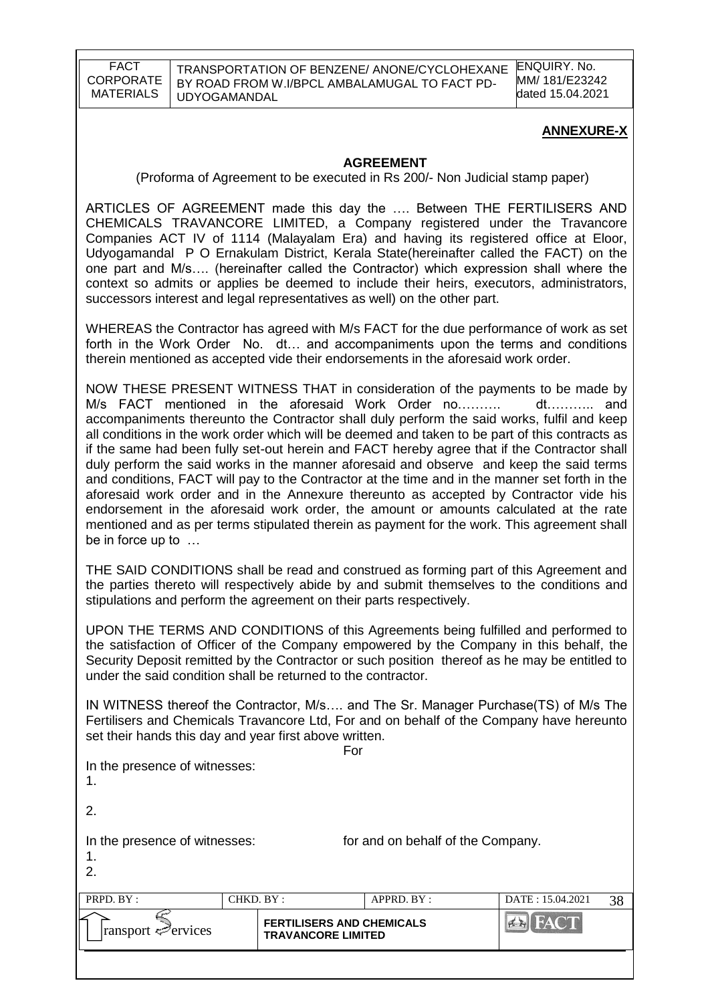### **ANNEXURE-X**

### **AGREEMENT**

(Proforma of Agreement to be executed in Rs 200/- Non Judicial stamp paper)

ARTICLES OF AGREEMENT made this day the …. Between THE FERTILISERS AND CHEMICALS TRAVANCORE LIMITED, a Company registered under the Travancore Companies ACT IV of 1114 (Malayalam Era) and having its registered office at Eloor, Udyogamandal P O Ernakulam District, Kerala State(hereinafter called the FACT) on the one part and M/s…. (hereinafter called the Contractor) which expression shall where the context so admits or applies be deemed to include their heirs, executors, administrators, successors interest and legal representatives as well) on the other part.

WHEREAS the Contractor has agreed with M/s FACT for the due performance of work as set forth in the Work Order No. dt… and accompaniments upon the terms and conditions therein mentioned as accepted vide their endorsements in the aforesaid work order.

NOW THESE PRESENT WITNESS THAT in consideration of the payments to be made by M/s FACT mentioned in the aforesaid Work Order no………. dt……….. and accompaniments thereunto the Contractor shall duly perform the said works, fulfil and keep all conditions in the work order which will be deemed and taken to be part of this contracts as if the same had been fully set-out herein and FACT hereby agree that if the Contractor shall duly perform the said works in the manner aforesaid and observe and keep the said terms and conditions, FACT will pay to the Contractor at the time and in the manner set forth in the aforesaid work order and in the Annexure thereunto as accepted by Contractor vide his endorsement in the aforesaid work order, the amount or amounts calculated at the rate mentioned and as per terms stipulated therein as payment for the work. This agreement shall be in force up to …

THE SAID CONDITIONS shall be read and construed as forming part of this Agreement and the parties thereto will respectively abide by and submit themselves to the conditions and stipulations and perform the agreement on their parts respectively.

UPON THE TERMS AND CONDITIONS of this Agreements being fulfilled and performed to the satisfaction of Officer of the Company empowered by the Company in this behalf, the Security Deposit remitted by the Contractor or such position thereof as he may be entitled to under the said condition shall be returned to the contractor.

IN WITNESS thereof the Contractor, M/s…. and The Sr. Manager Purchase(TS) of M/s The Fertilisers and Chemicals Travancore Ltd, For and on behalf of the Company have hereunto set their hands this day and year first above written.

| ransport < Pervices                       |           | <b>FERTILISERS AND CHEMICALS</b><br><b>TRAVANCORE LIMITED</b> | <b>EN FACT</b>                    |    |
|-------------------------------------------|-----------|---------------------------------------------------------------|-----------------------------------|----|
| PRPD. BY:                                 | CHKD. BY: | APPRD. BY:                                                    | DATE: 15.04.2021                  | 38 |
| In the presence of witnesses:<br>1.<br>2. |           |                                                               | for and on behalf of the Company. |    |
| 2.                                        |           |                                                               |                                   |    |
| In the presence of witnesses:<br>.1       |           |                                                               |                                   |    |
|                                           |           | For                                                           |                                   |    |
| $\frac{1}{2}$                             |           |                                                               |                                   |    |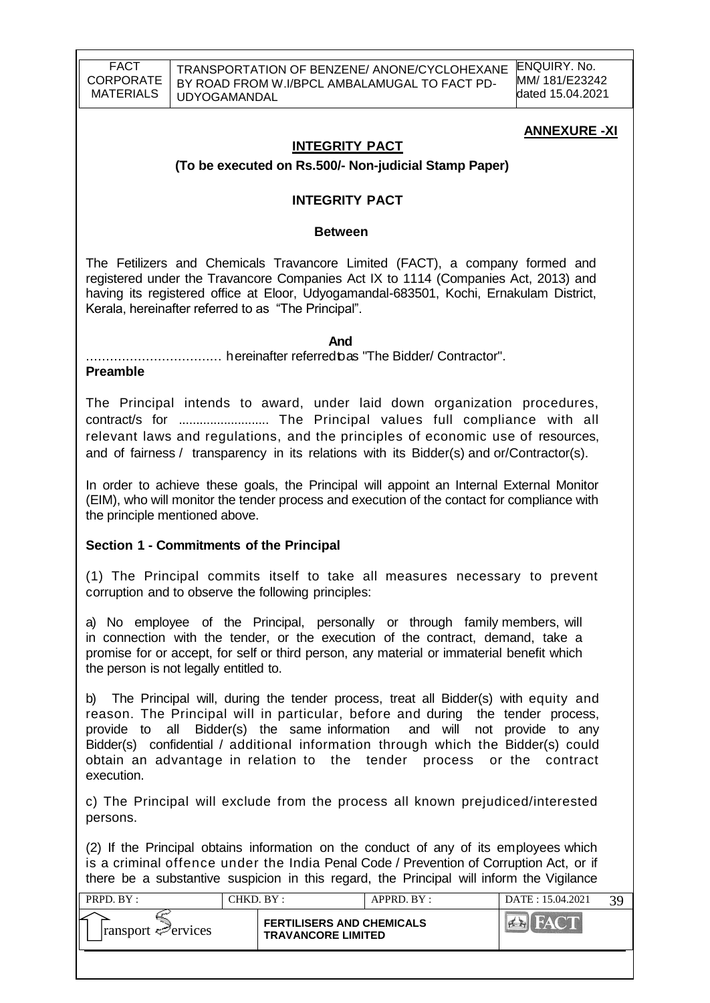### **ANNEXURE -XI**

#### **INTEGRITY PACT**

#### **(To be executed on Rs.500/- Non-judicial Stamp Paper)**

#### **INTEGRITY PACT**

#### **Between**

The Fetilizers and Chemicals Travancore Limited (FACT), a company formed and registered under the Travancore Companies Act IX to 1114 (Companies Act, 2013) and having its registered office at Eloor, Udyogamandal-683501, Kochi, Ernakulam District, Kerala, hereinafter referred to as "The Principal".

*And* 

.................................. hereinafter referredtoas "The Bidder/ Contractor".

#### **Preamble**

The Principal intends to award, under laid down organization procedures, contract/s for .......................... The Principal values full compliance with all relevant laws and regulations, and the principles of economic use of resources, and of fairness / transparency in its relations with its Bidder(s) and or/Contractor(s).

In order to achieve these goals, the Principal will appoint an Internal External Monitor (EIM), who will monitor the tender process and execution of the contact for compliance with the principle mentioned above.

#### **Section 1 - Commitments of the Principal**

(1) The Principal commits itself to take all measures necessary to prevent corruption and to observe the following principles:

a) No employee of the Principal, personally or through family members, will in connection with the tender, or the execution of the contract, demand, take a promise for or accept, for self or third person, any material or immaterial benefit which the person is not legally entitled to.

b) The Principal will, during the tender process, treat all Bidder(s) with equity and reason. The Principal will in particular, before and during the tender process, provide to all Bidder(s) the same information and will not provide to any Bidder(s) confidential / additional information through which the Bidder(s) could obtain an advantage in relation to the tender process or the contract execution.

c) The Principal will exclude from the process all known prejudiced/interested persons.

(2) If the Principal obtains information on the conduct of any of its employees which is a criminal offence under the India Penal Code / Prevention of Corruption Act, or if there be a substantive suspicion in this regard, the Principal will inform the Vigilance

| PRPD. BY:                   | CHKD. BY: |                                                               | APPRD. BY: | DATE: 15.04.2021 |  |
|-----------------------------|-----------|---------------------------------------------------------------|------------|------------------|--|
| $ $ ransport $\leq$ ervices |           | <b>FERTILISERS AND CHEMICALS</b><br><b>TRAVANCORE LIMITED</b> |            |                  |  |
|                             |           |                                                               |            |                  |  |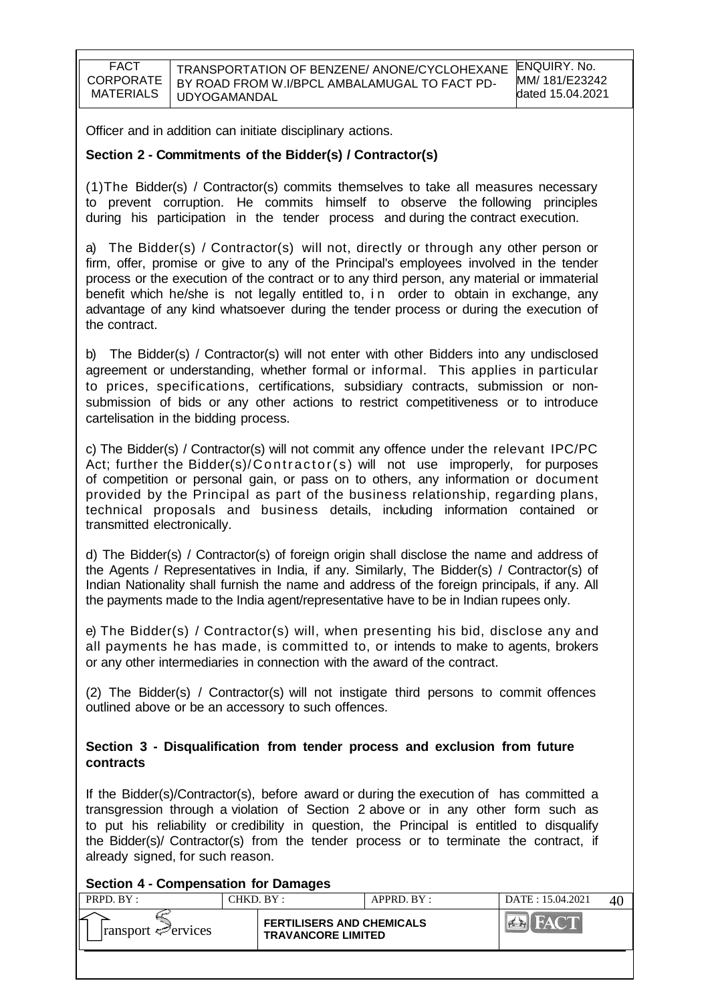TRANSPORTATION OF BENZENE/ ANONE/CYCLOHEXANE BY ROAD FROM W.I/BPCL AMBALAMUGAL TO FACT PD-UDYOGAMANDAL

Officer and in addition can initiate disciplinary actions.

#### **Section 2 - Commitments of the Bidder(s) / Contractor(s)**

(1)The Bidder(s) / Contractor(s) commits themselves to take all measures necessary to prevent corruption. He commits himself to observe the following principles during his participation in the tender process and during the contract execution.

a) The Bidder(s) / Contractor(s) will not, directly or through any other person or firm, offer, promise or give to any of the Principal's employees involved in the tender process or the execution of the contract or to any third person, any material or immaterial benefit which he/she is not legally entitled to, in order to obtain in exchange, any advantage of any kind whatsoever during the tender process or during the execution of the contract.

b) The Bidder(s) / Contractor(s) will not enter with other Bidders into any undisclosed agreement or understanding, whether formal or informal. This applies in particular to prices, specifications, certifications, subsidiary contracts, submission or nonsubmission of bids or any other actions to restrict competitiveness or to introduce cartelisation in the bidding process.

c) The Bidder(s) / Contractor(s) will not commit any offence under the relevant IPC/PC Act; further the Bidder(s)/ $\text{Contractor}(s)$  will not use improperly, for purposes of competition or personal gain, or pass on to others, any information or document provided by the Principal as part of the business relationship, regarding plans, technical proposals and business details, including information contained or transmitted electronically.

d) The Bidder(s) / Contractor(s) of foreign origin shall disclose the name and address of the Agents / Representatives in India, if any. Similarly, The Bidder(s) / Contractor(s) of Indian Nationality shall furnish the name and address of the foreign principals, if any. All the payments made to the India agent/representative have to be in Indian rupees only.

e) The Bidder(s) / Contractor(s) will, when presenting his bid, disclose any and all payments he has made, is committed to, or intends to make to agents, brokers or any other intermediaries in connection with the award of the contract.

(2) The Bidder(s) / Contractor(s) will not instigate third persons to commit offences outlined above or be an accessory to such offences.

#### **Section 3 - Disqualification from tender process and exclusion from future contracts**

If the Bidder(s)/Contractor(s), before award or during the execution of has committed a transgression through a violation of Section 2 above or in any other form such as to put his reliability or credibility in question, the Principal is entitled to disqualify the Bidder(s)/ Contractor(s) from the tender process or to terminate the contract, if already signed, for such reason.

#### **Section 4 - Compensation for Damages**

| PRPD. BY:                       | CHKD. BY: |                                                               | APPRD. BY: | DATE: 15.04.2021 | 4 |
|---------------------------------|-----------|---------------------------------------------------------------|------------|------------------|---|
| $\lvert$ ransport $\ll$ ervices |           | <b>FERTILISERS AND CHEMICALS</b><br><b>TRAVANCORE LIMITED</b> |            |                  |   |
|                                 |           |                                                               |            |                  |   |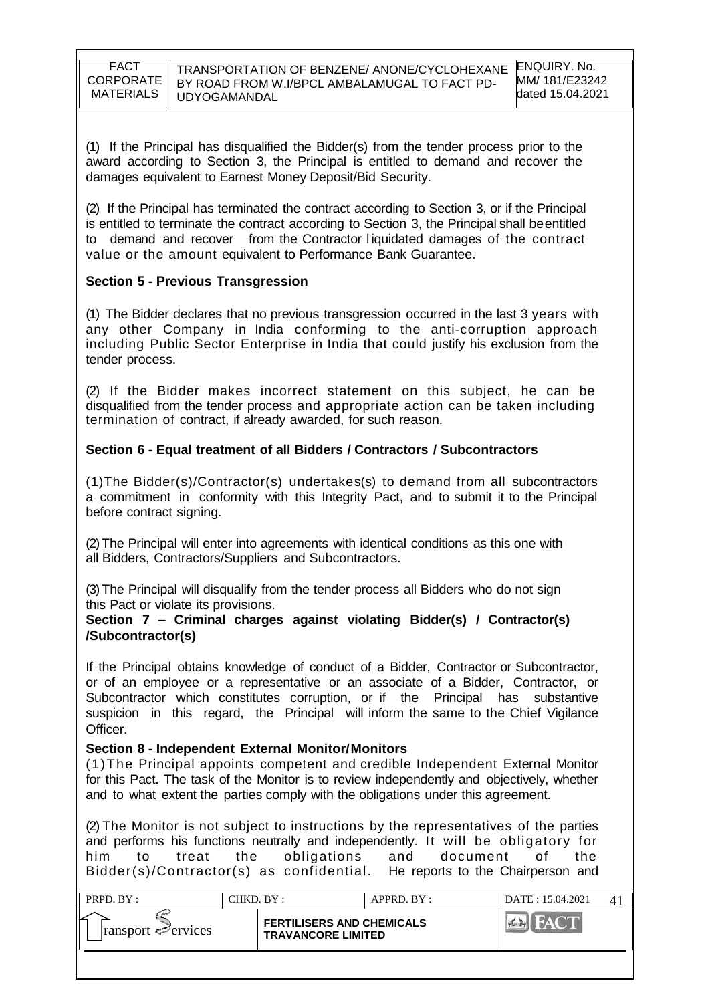| FACT      |
|-----------|
| CORPORATE |
| MATERIALS |

(1) If the Principal has disqualified the Bidder(s) from the tender process prior to the award according to Section 3, the Principal is entitled to demand and recover the damages equivalent to Earnest Money Deposit/Bid Security.

(2) If the Principal has terminated the contract according to Section 3, or if the Principal is entitled to terminate the contract according to Section 3, the Principal shall be entitled to demand and recover from the Contractor l iquidated damages of the contract value or the amount equivalent to Performance Bank Guarantee.

### **Section 5 - Previous Transgression**

(1) The Bidder declares that no previous transgression occurred in the last 3 years with any other Company in India conforming to the anti-corruption approach including Public Sector Enterprise in India that could justify his exclusion from the tender process.

(2) If the Bidder makes incorrect statement on this subject, he can be disqualified from the tender process and appropriate action can be taken including termination of contract, if already awarded, for such reason.

### **Section 6 - Equal treatment of all Bidders / Contractors / Subcontractors**

(1)The Bidder(s)/Contractor(s) undertakes(s) to demand from all subcontractors a commitment in conformity with this Integrity Pact, and to submit it to the Principal before contract signing.

(2)The Principal will enter into agreements with identical conditions as this one with all Bidders, Contractors/Suppliers and Subcontractors.

(3)The Principal will disqualify from the tender process all Bidders who do not sign this Pact or violate its provisions.

#### **Section 7 – Criminal charges against violating Bidder(s) / Contractor(s) /Subcontractor(s)**

If the Principal obtains knowledge of conduct of a Bidder, Contractor or Subcontractor, or of an employee or a representative or an associate of a Bidder, Contractor, or Subcontractor which constitutes corruption, or if the Principal has substantive suspicion in this regard, the Principal will inform the same to the Chief Vigilance Officer.

#### **Section 8 - Independent External Monitor/Monitors**

(1)The Principal appoints competent and credible Independent External Monitor for this Pact. The task of the Monitor is to review independently and objectively, whether and to what extent the parties comply with the obligations under this agreement.

(2) The Monitor is not subject to instructions by the representatives of the parties and performs his functions neutrally and independently. It will be obligatory for him to treat the obligations and document of the Bidder(s)/Contractor(s) as confidential. He reports to the Chairperson and

| PRPD. BY:                   | CHKD. BY: |                                                               | APPRD. BY: | DATE: 15.04.2021 |  |
|-----------------------------|-----------|---------------------------------------------------------------|------------|------------------|--|
| $ $ ransport $\leq$ ervices |           | <b>FERTILISERS AND CHEMICALS</b><br><b>TRAVANCORE LIMITED</b> |            |                  |  |
|                             |           |                                                               |            |                  |  |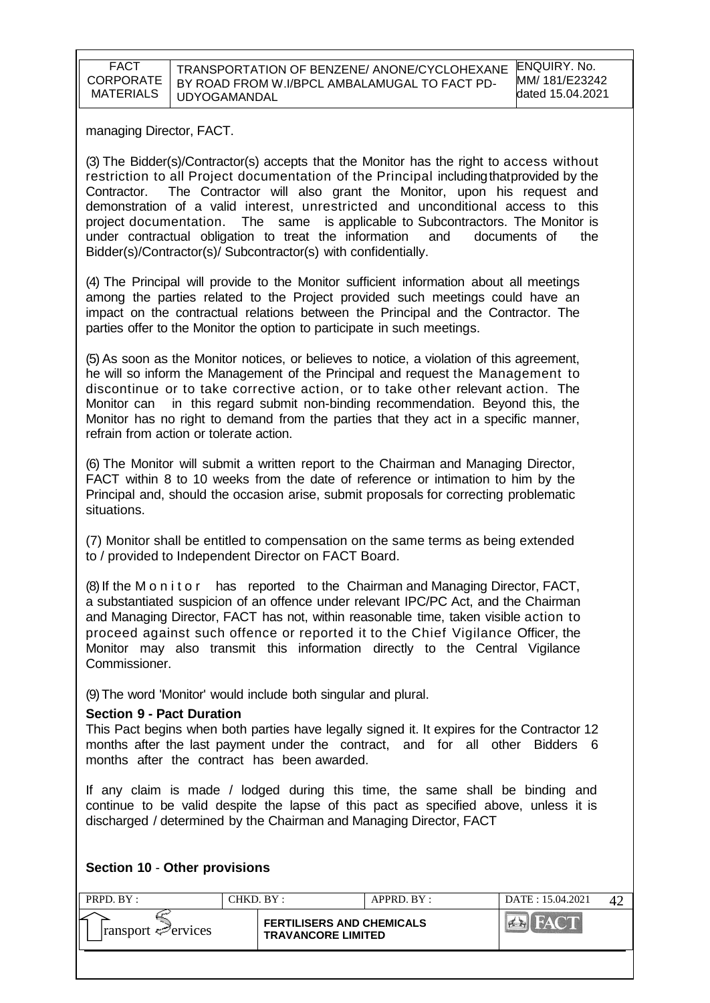managing Director, FACT.

(3) The Bidder(s)/Contractor(s) accepts that the Monitor has the right to access without restriction to all Project documentation of the Principal includingthatprovided by the Contractor. The Contractor will also grant the Monitor, upon his request and demonstration of a valid interest, unrestricted and unconditional access to this project documentation. The same is applicable to Subcontractors. The Monitor is under contractual obligation to treat the information and documents of the Bidder(s)/Contractor(s)/ Subcontractor(s) with confidentially.

(4) The Principal will provide to the Monitor sufficient information about all meetings among the parties related to the Project provided such meetings could have an impact on the contractual relations between the Principal and the Contractor. The parties offer to the Monitor the option to participate in such meetings.

(5) As soon as the Monitor notices, or believes to notice, a violation of this agreement, he will so inform the Management of the Principal and request the Management to discontinue or to take corrective action, or to take other relevant action. The Monitor can in this regard submit non-binding recommendation. Beyond this, the Monitor has no right to demand from the parties that they act in a specific manner, refrain from action or tolerate action.

(6) The Monitor will submit a written report to the Chairman and Managing Director, FACT within 8 to 10 weeks from the date of reference or intimation to him by the Principal and, should the occasion arise, submit proposals for correcting problematic situations.

(7) Monitor shall be entitled to compensation on the same terms as being extended to / provided to Independent Director on FACT Board.

(8) If the M o n i t o r has reported to the Chairman and Managing Director, FACT, a substantiated suspicion of an offence under relevant IPC/PC Act, and the Chairman and Managing Director, FACT has not, within reasonable time, taken visible action to proceed against such offence or reported it to the Chief Vigilance Officer, the Monitor may also transmit this information directly to the Central Vigilance Commissioner.

(9)The word 'Monitor' would include both singular and plural.

#### **Section 9 - Pact Duration**

This Pact begins when both parties have legally signed it. It expires for the Contractor 12 months after the last payment under the contract, and for all other Bidders 6 months after the contract has been awarded.

If any claim is made / lodged during this time, the same shall be binding and continue to be valid despite the lapse of this pact as specified above, unless it is discharged / determined by the Chairman and Managing Director, FACT

#### **Section 10** - **Other provisions**

| PRPD. BY:                                       | CHKD. BY : |                                                               | APPRD. BY: | DATE: 15.04.2021 |  |
|-------------------------------------------------|------------|---------------------------------------------------------------|------------|------------------|--|
| سم ا<br>$\lvert$ ransport $\mathcal{P}$ ervices |            | <b>FERTILISERS AND CHEMICALS</b><br><b>TRAVANCORE LIMITED</b> |            |                  |  |
|                                                 |            |                                                               |            |                  |  |